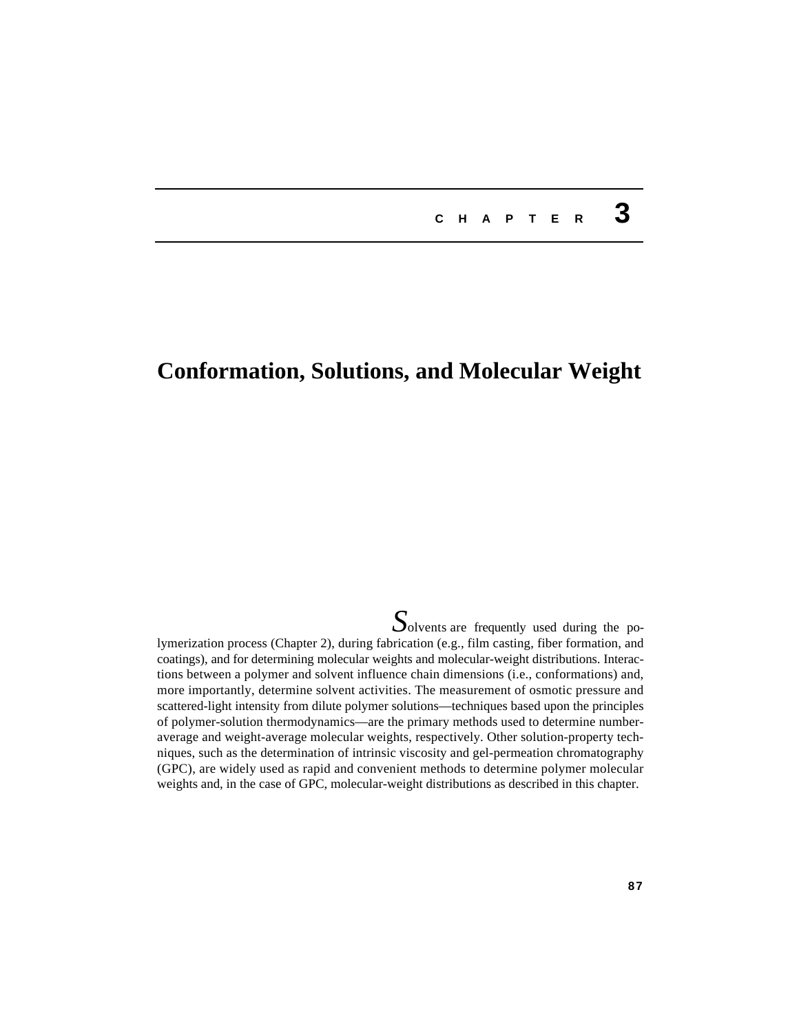# **<sup>C</sup> <sup>H</sup> <sup>A</sup> <sup>P</sup> <sup>T</sup> <sup>E</sup> <sup>R</sup> 3**

# **Conformation, Solutions, and Molecular Weight**

**S**olvents are frequently used during the polymerization process (Chapter 2), during fabrication (e.g., film casting, fiber formation, and coatings), and for determining molecular weights and molecular-weight distributions. Interactions between a polymer and solvent influence chain dimensions (i.e., conformations) and, more importantly, determine solvent activities. The measurement of osmotic pressure and scattered-light intensity from dilute polymer solutions—techniques based upon the principles of polymer-solution thermodynamics—are the primary methods used to determine numberaverage and weight-average molecular weights, respectively. Other solution-property techniques, such as the determination of intrinsic viscosity and gel-permeation chromatography (GPC), are widely used as rapid and convenient methods to determine polymer molecular weights and, in the case of GPC, molecular-weight distributions as described in this chapter.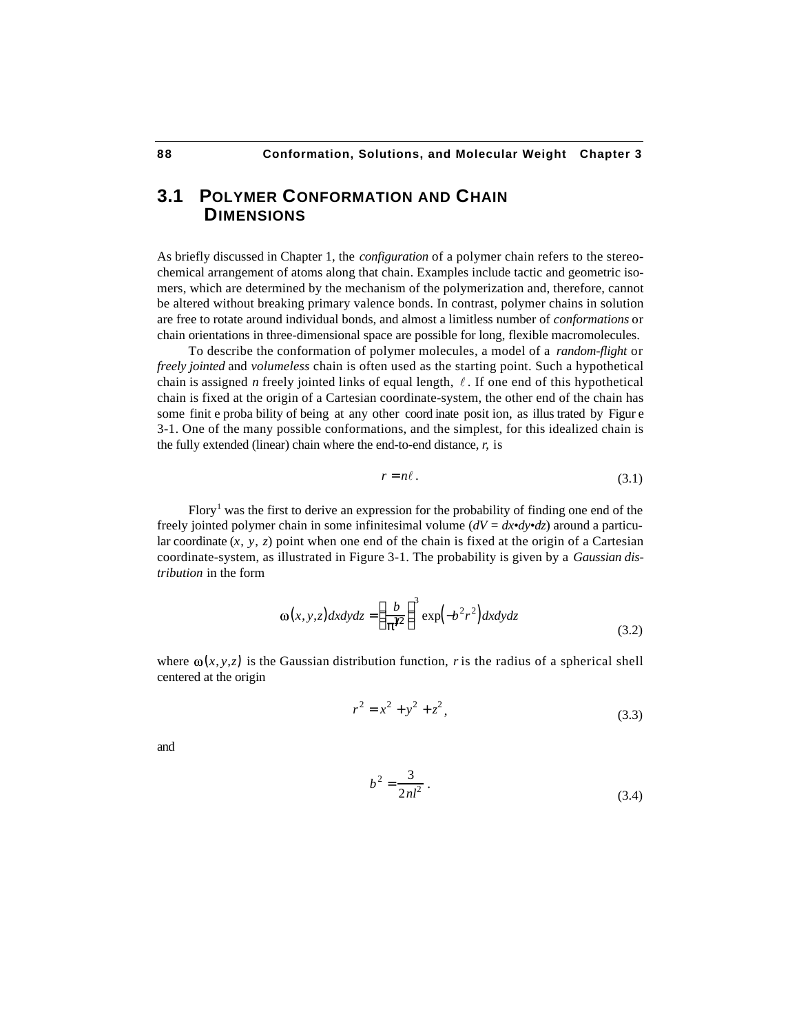# **3.1 POLYMER CONFORMATION AND CHAIN DIMENSIONS**

As briefly discussed in Chapter 1, the *configuration* of a polymer chain refers to the stereochemical arrangement of atoms along that chain. Examples include tactic and geometric isomers, which are determined by the mechanism of the polymerization and, therefore, cannot be altered without breaking primary valence bonds. In contrast, polymer chains in solution are free to rotate around individual bonds, and almost a limitless number of *conformations* or chain orientations in three-dimensional space are possible for long, flexible macromolecules.

To describe the conformation of polymer molecules, a model of a *random-flight* or *freely jointed* and *volumeless* chain is often used as the starting point. Such a hypothetical chain is assigned *n* freely jointed links of equal length,  $\ell$ . If one end of this hypothetical chain is fixed at the origin of a Cartesian coordinate-system, the other end of the chain has some finit e proba bility of being at any other coord inate posit ion, as illus trated by Figur e 3-1. One of the many possible conformations, and the simplest, for this idealized chain is the fully extended (linear) chain where the end-to-end distance, *r*, is

$$
r = n\ell. \tag{3.1}
$$

Flory<sup>1</sup> was the first to derive an expression for the probability of finding one end of the freely jointed polymer chain in some infinitesimal volume (*dV = dx•dy•dz*) around a particular coordinate  $(x, y, z)$  point when one end of the chain is fixed at the origin of a Cartesian coordinate-system, as illustrated in Figure 3-1. The probability is given by a *Gaussian distribution* in the form

I

$$
\omega(x, y, z) dx dy dz = \frac{b}{\gamma_2}^3 \exp(-b^2 r^2) dx dy dz
$$
\n(3.2)

where  $\omega(x, y, z)$  is the Gaussian distribution function, *r* is the radius of a spherical shell centered at the origin

$$
r^2 = x^2 + y^2 + z^2,
$$
 (3.3)

and

$$
b^2 = \frac{3}{2nl^2} \,. \tag{3.4}
$$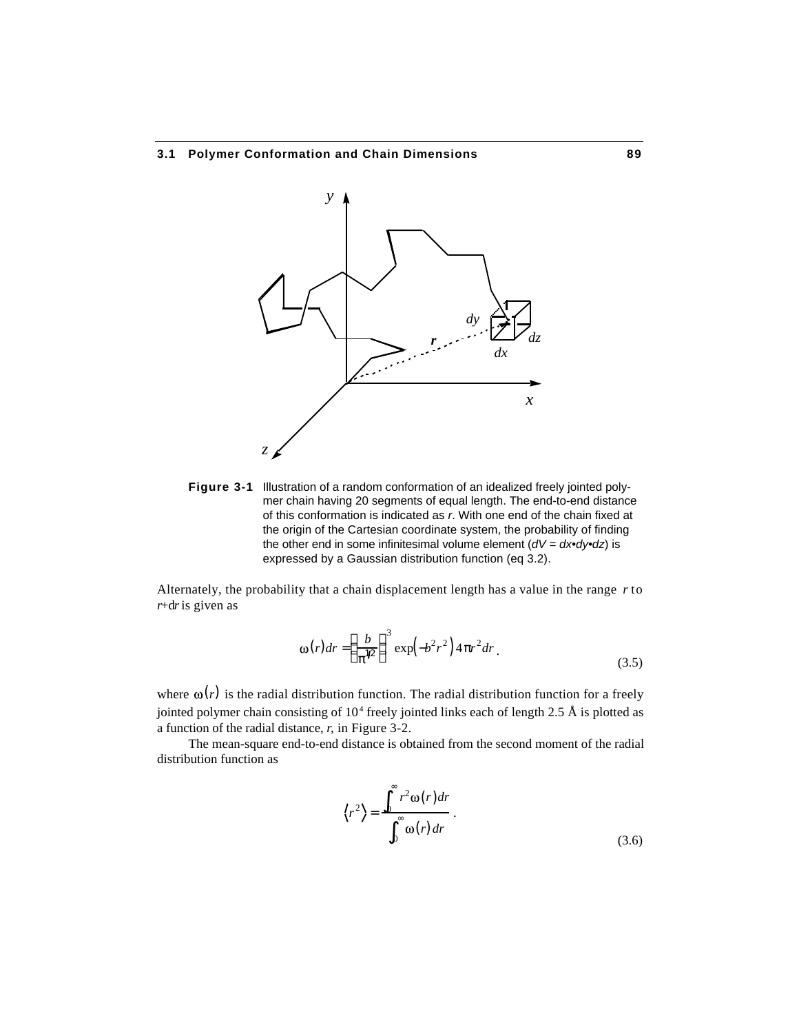

**Figure 3-1** Illustration of a random conformation of an idealized freely jointed polymer chain having 20 segments of equal length. The end-to-end distance of this conformation is indicated as *r*. With one end of the chain fixed at the origin of the Cartesian coordinate system, the probability of finding the other end in some infinitesimal volume element (*dV = dx•dy•dz*) is expressed by a Gaussian distribution function (eq 3.2).

Alternately, the probability that a chain displacement length has a value in the range *r* to *r*+d*r* is given as

$$
\omega(r)dr = \frac{b}{\sqrt{2}} \int \exp\left(-b^2r^2\right) 4 r^2 dr \tag{3.5}
$$

where  $\omega(r)$  is the radial distribution function. The radial distribution function for a freely jointed polymer chain consisting of  $10^4$  freely jointed links each of length 2.5 Å is plotted as a function of the radial distance, *r*, in Figure 3-2.

The mean-square end-to-end distance is obtained from the second moment of the radial distribution function as

$$
\langle r^2 \rangle = \frac{v^2 \omega(r) dr}{\omega(r) dr}.
$$
\n(3.6)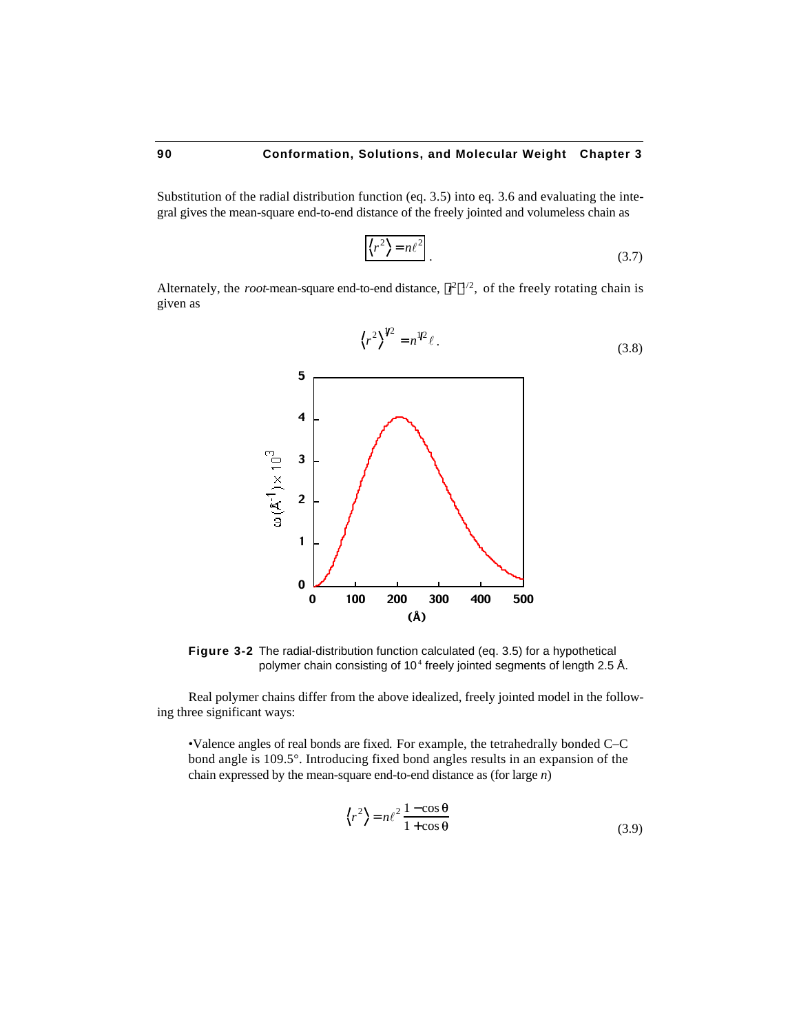Substitution of the radial distribution function (eq. 3.5) into eq. 3.6 and evaluating the integral gives the mean-square end-to-end distance of the freely jointed and volumeless chain as

$$
\langle r^2 \rangle = n\ell^2 \tag{3.7}
$$

Alternately, the *root*-mean-square end-to-end distance,  $r^2$   $^{1/2}$ , of the freely rotating chain is given as



**Figure 3-2** The radial-distribution function calculated (eq. 3.5) for a hypothetical polymer chain consisting of 10<sup>4</sup> freely jointed segments of length 2.5 Å.

Real polymer chains differ from the above idealized, freely jointed model in the following three significant ways:

•Valence angles of real bonds are fixed*.* For example, the tetrahedrally bonded C–C bond angle is 109.5°. Introducing fixed bond angles results in an expansion of the chain expressed by the mean-square end-to-end distance as (for large *n*)

$$
\left\langle r^2 \right\rangle = n\ell^2 \frac{1 - \cos \theta}{1 + \cos \theta} \tag{3.9}
$$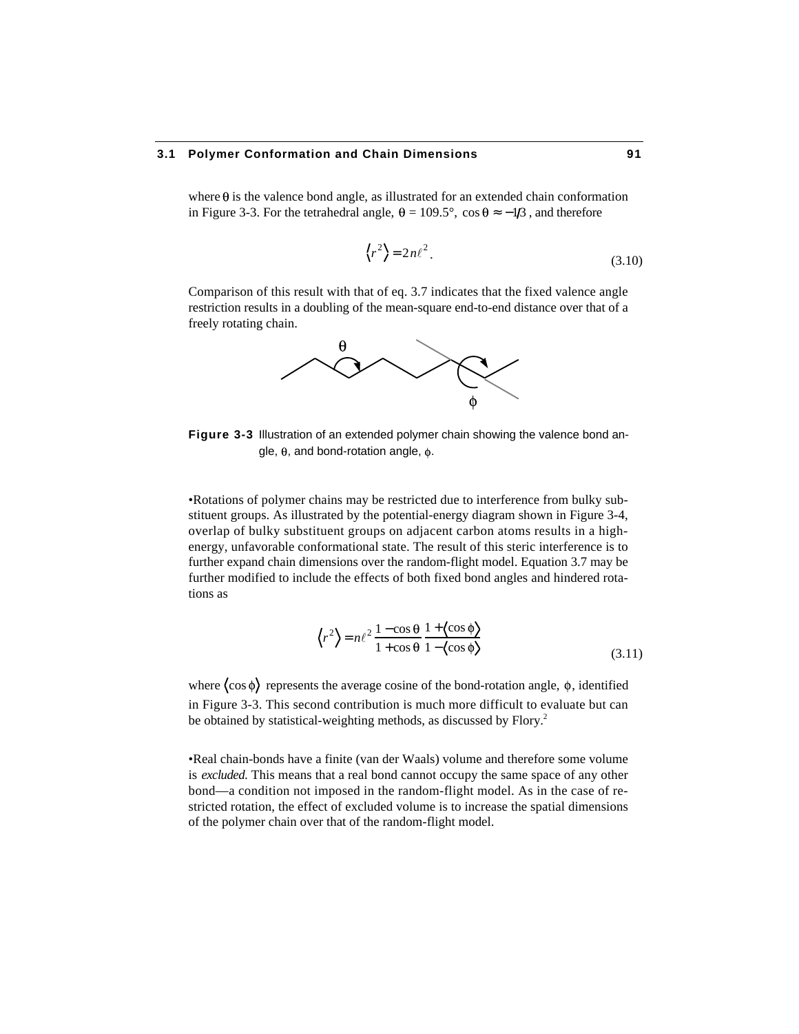#### **3.1 Polymer Conformation and Chain Dimensions 91**

where  $\theta$  is the valence bond angle, as illustrated for an extended chain conformation in Figure 3-3. For the tetrahedral angle,  $\theta = 109.5^\circ$ , cos  $\theta -1/3$ , and therefore

$$
\langle r^2 \rangle = 2n\ell^2. \tag{3.10}
$$

Comparison of this result with that of eq. 3.7 indicates that the fixed valence angle restriction results in a doubling of the mean-square end-to-end distance over that of a freely rotating chain.



**Figure 3-3** Illustration of an extended polymer chain showing the valence bond angle,  $\theta$ , and bond-rotation angle,  $\phi$ .

•Rotations of polymer chains may be restricted due to interference from bulky substituent groups. As illustrated by the potential-energy diagram shown in Figure 3-4, overlap of bulky substituent groups on adjacent carbon atoms results in a highenergy, unfavorable conformational state. The result of this steric interference is to further expand chain dimensions over the random-flight model. Equation 3.7 may be further modified to include the effects of both fixed bond angles and hindered rotations as

$$
\langle r^2 \rangle = n\ell^2 \frac{1 - \cos \theta}{1 + \cos \theta} \frac{1 + \langle \cos \phi \rangle}{1 - \langle \cos \phi \rangle}
$$
 (3.11)

where  $\langle \cos \phi \rangle$  represents the average cosine of the bond-rotation angle,  $\phi$ , identified in Figure 3-3. This second contribution is much more difficult to evaluate but can be obtained by statistical-weighting methods, as discussed by Flory.<sup>2</sup>

•Real chain-bonds have a finite (van der Waals) volume and therefore some volume is *excluded*. This means that a real bond cannot occupy the same space of any other bond—a condition not imposed in the random-flight model. As in the case of restricted rotation, the effect of excluded volume is to increase the spatial dimensions of the polymer chain over that of the random-flight model.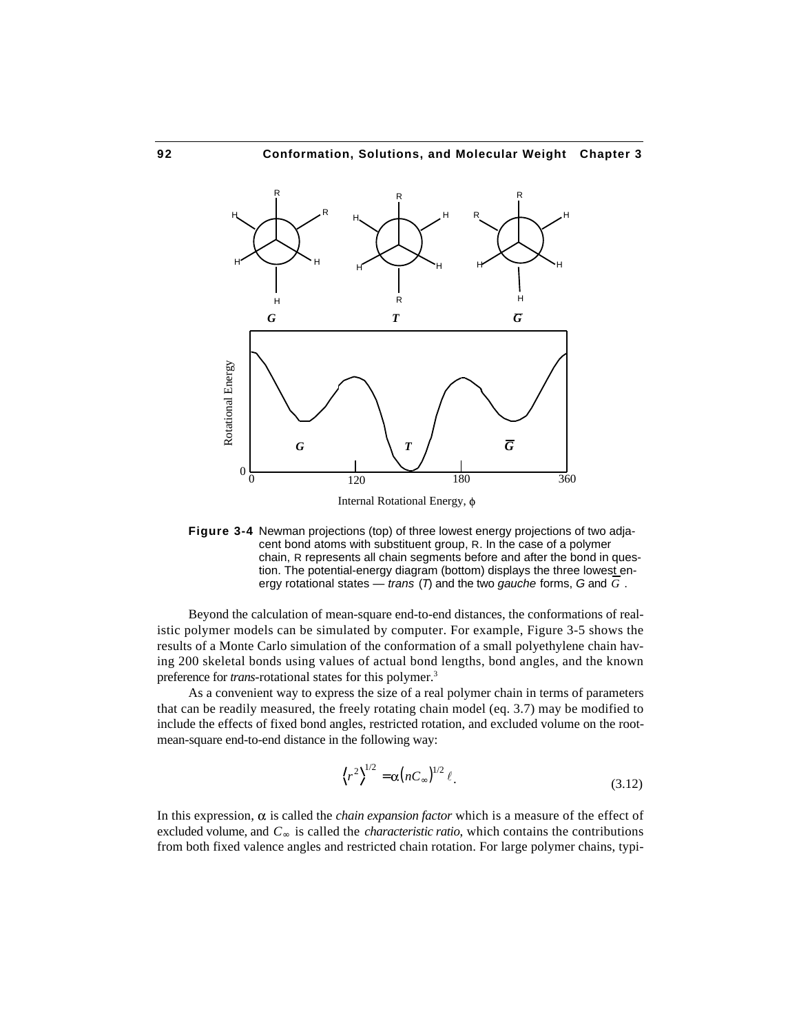

Internal Rotational Energy,

**Figure 3-4** Newman projections (top) of three lowest energy projections of two adjacent bond atoms with substituent group, R. In the case of a polymer chain, R represents all chain segments before and after the bond in question. The potential-energy diagram (bottom) displays the three lowest energy rotational states — *trans* (*T*) and the two *gauche* forms, *G* and *G* .

Beyond the calculation of mean-square end-to-end distances, the conformations of realistic polymer models can be simulated by computer. For example, Figure 3-5 shows the results of a Monte Carlo simulation of the conformation of a small polyethylene chain having 200 skeletal bonds using values of actual bond lengths, bond angles, and the known preference for *trans*-rotational states for this polymer.<sup>3</sup>

As a convenient way to express the size of a real polymer chain in terms of parameters that can be readily measured, the freely rotating chain model (eq. 3.7) may be modified to include the effects of fixed bond angles, restricted rotation, and excluded volume on the rootmean-square end-to-end distance in the following way:

$$
\left\langle r^2 \right\rangle^{1/2} = \alpha \left( nC \right)^{1/2} \ell. \tag{3.12}
$$

In this expression,  $\alpha$  is called the *chain expansion factor* which is a measure of the effect of excluded volume, and *C* is called the *characteristic ratio*, which contains the contributions from both fixed valence angles and restricted chain rotation. For large polymer chains, typi-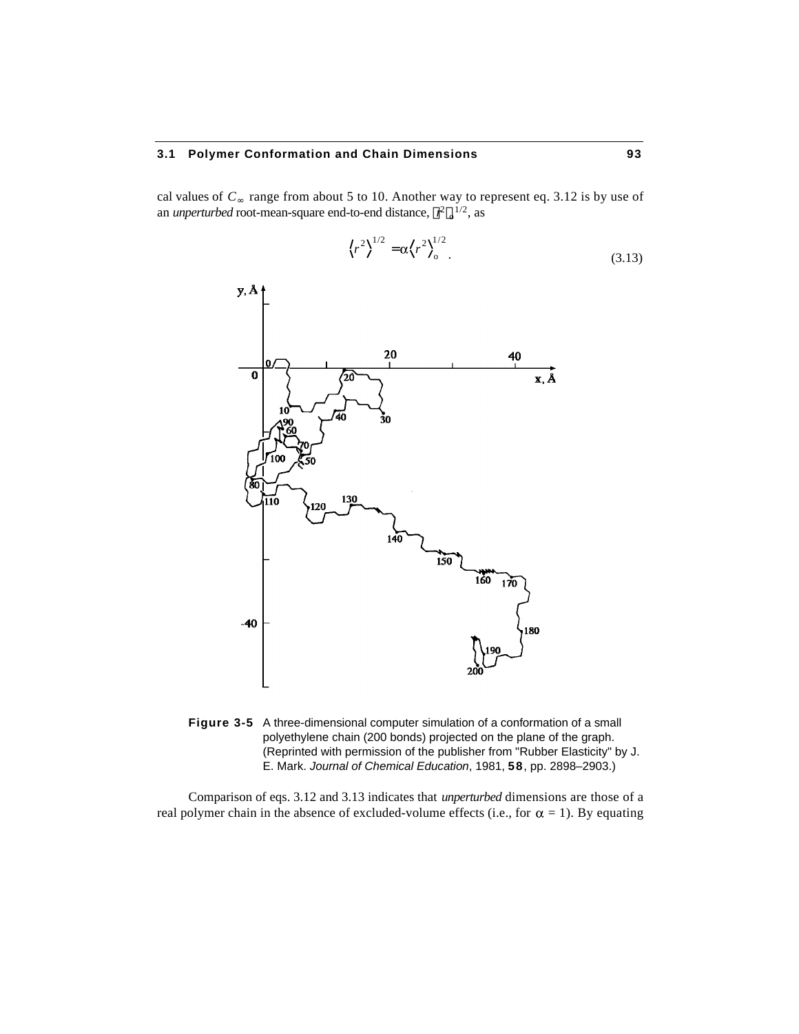# **3.1 Polymer Conformation and Chain Dimensions 93**

cal values of *C* range from about 5 to 10. Another way to represent eq. 3.12 is by use of an *unperturbed* root-mean-square end-to-end distance,  $r^2 e^{1/2}$ , as

$$
\left\langle r^2 \right\rangle^{1/2} = \alpha \left\langle r^2 \right\rangle_0^{1/2} \tag{3.13}
$$



**Figure 3-5** A three-dimensional computer simulation of a conformation of a small polyethylene chain (200 bonds) projected on the plane of the graph. (Reprinted with permission of the publisher from "Rubber Elasticity" by J. E. Mark. *Journal of Chemical Education*, 1981, **58**, pp. 2898–2903.)

Comparison of eqs. 3.12 and 3.13 indicates that *unperturbed* dimensions are those of a real polymer chain in the absence of excluded-volume effects (i.e., for  $\alpha = 1$ ). By equating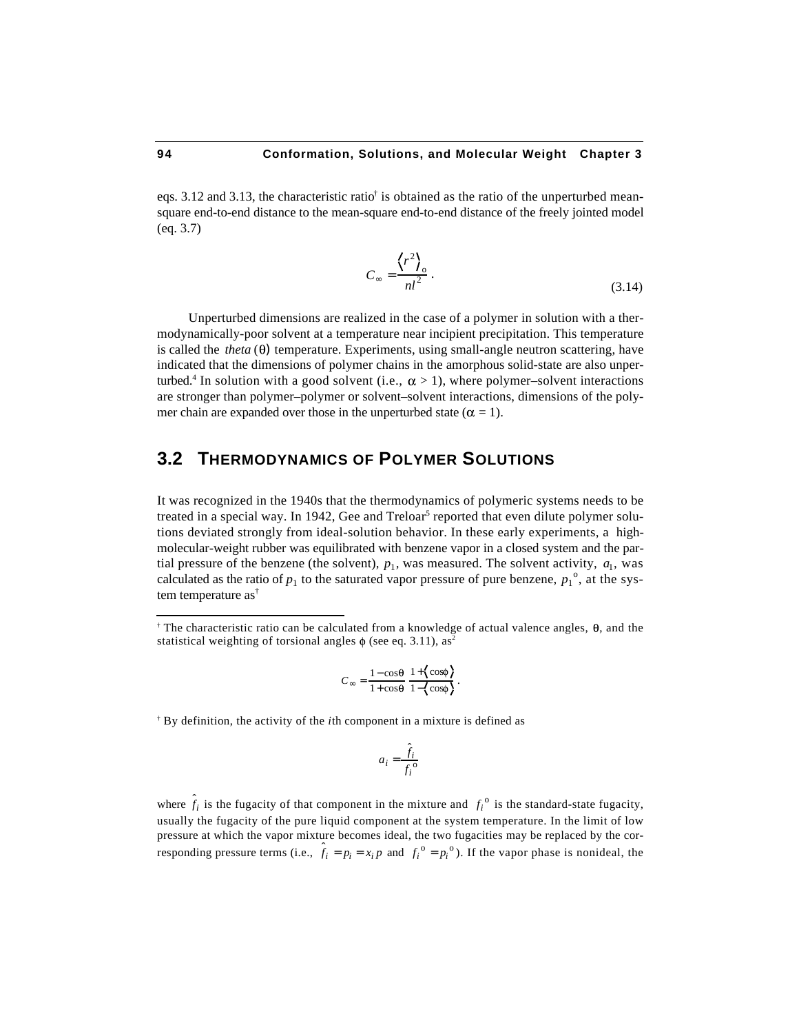eqs. 3.12 and 3.13, the characteristic ratio† is obtained as the ratio of the unperturbed meansquare end-to-end distance to the mean-square end-to-end distance of the freely jointed model (eq. 3.7)

$$
C = \frac{\left\langle r^2 \right\rangle_0}{n l^2} \,. \tag{3.14}
$$

Unperturbed dimensions are realized in the case of a polymer in solution with a thermodynamically-poor solvent at a temperature near incipient precipitation. This temperature is called the *theta*  $(\theta)$  temperature. Experiments, using small-angle neutron scattering, have indicated that the dimensions of polymer chains in the amorphous solid-state are also unperturbed.<sup>4</sup> In solution with a good solvent (i.e.,  $\alpha > 1$ ), where polymer–solvent interactions are stronger than polymer–polymer or solvent–solvent interactions, dimensions of the polymer chain are expanded over those in the unperturbed state ( $\alpha = 1$ ).

# **3.2 THERMODYNAMICS OF POLYMER SOLUTIONS**

It was recognized in the 1940s that the thermodynamics of polymeric systems needs to be treated in a special way. In 1942, Gee and Treloar<sup>5</sup> reported that even dilute polymer solutions deviated strongly from ideal-solution behavior. In these early experiments, a highmolecular-weight rubber was equilibrated with benzene vapor in a closed system and the partial pressure of the benzene (the solvent),  $p_1$ , was measured. The solvent activity,  $a_1$ , was calculated as the ratio of  $p_1$  to the saturated vapor pressure of pure benzene,  $p_1^{\circ}$ , at the system temperature as†

$$
C = \frac{1 - \cos\theta}{1 + \cos\theta} \frac{1 + \left\{\cos\phi\right\}}{1 - \left\{\cos\phi\right\}}.
$$

† By definition, the activity of the *i*th component in a mixture is defined as

$$
a_i = \frac{\hat{f}_i}{f_i^{\,\mathrm{o}}}
$$

where  $\hat{f}_i$  is the fugacity of that component in the mixture and  $f_i^{\circ}$  is the standard-state fugacity, usually the fugacity of the pure liquid component at the system temperature. In the limit of low pressure at which the vapor mixture becomes ideal, the two fugacities may be replaced by the corresponding pressure terms (i.e.,  $\hat{f}_i = p_i = x_i p$  and  $f_i^0 = p_i^0$ ). If the vapor phase is nonideal, the

l

<sup>&</sup>lt;sup>†</sup> The characteristic ratio can be calculated from a knowledge of actual valence angles,  $\theta$ , and the statistical weighting of torsional angles  $\phi$  (see eq. 3.11), as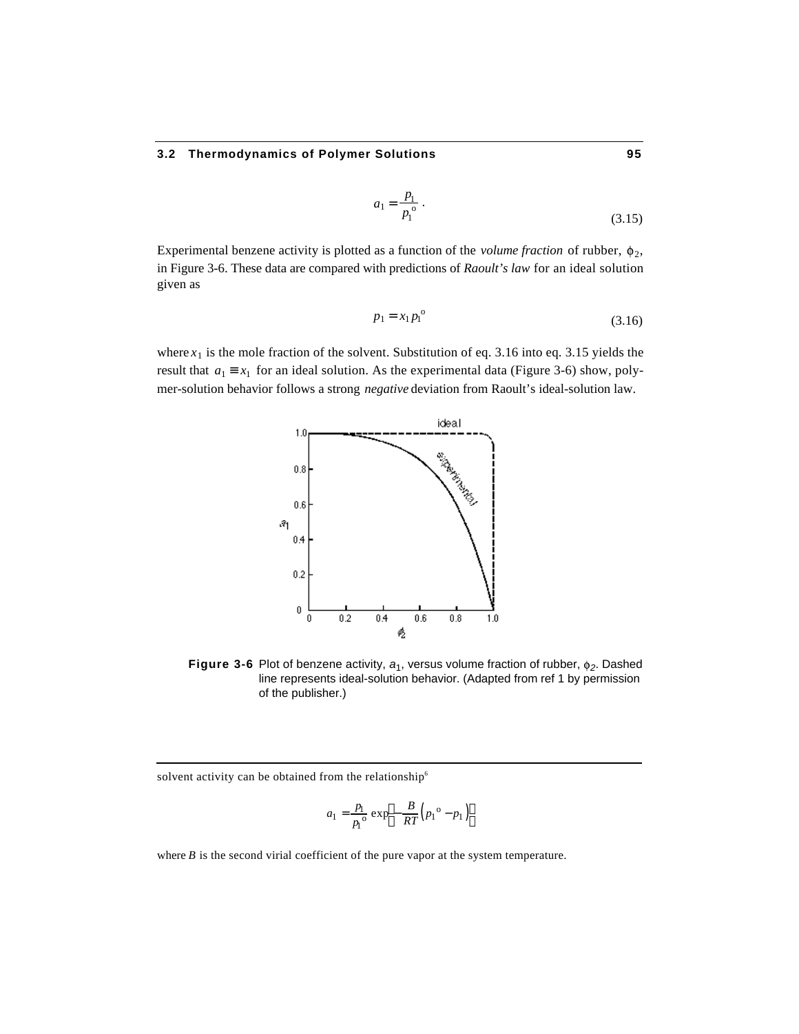$$
a_1 = \frac{p_1}{p_1^{\,0}} \,. \tag{3.15}
$$

Experimental benzene activity is plotted as a function of the *volume fraction* of rubber,  $\phi_2$ , in Figure 3-6. These data are compared with predictions of *Raoult's law* for an ideal solution given as

$$
p_1 = x_1 p_1^{\circ} \tag{3.16}
$$

where  $x_1$  is the mole fraction of the solvent. Substitution of eq. 3.16 into eq. 3.15 yields the result that  $a_1 \quad x_1$  for an ideal solution. As the experimental data (Figure 3-6) show, polymer-solution behavior follows a strong *negative* deviation from Raoult's ideal-solution law.



**Figure 3-6** Plot of benzene activity,  $a_1$ , versus volume fraction of rubber,  $\phi_2$ . Dashed line represents ideal-solution behavior. (Adapted from ref 1 by permission of the publisher.)

solvent activity can be obtained from the relationship<sup>6</sup>

1

$$
a_1 = \frac{p_1}{p_1^{\mathrm{o}}} \exp \left(-\frac{B}{RT}\left(p_1^{\mathrm{o}} - p_1\right)\right)
$$

where *B* is the second virial coefficient of the pure vapor at the system temperature.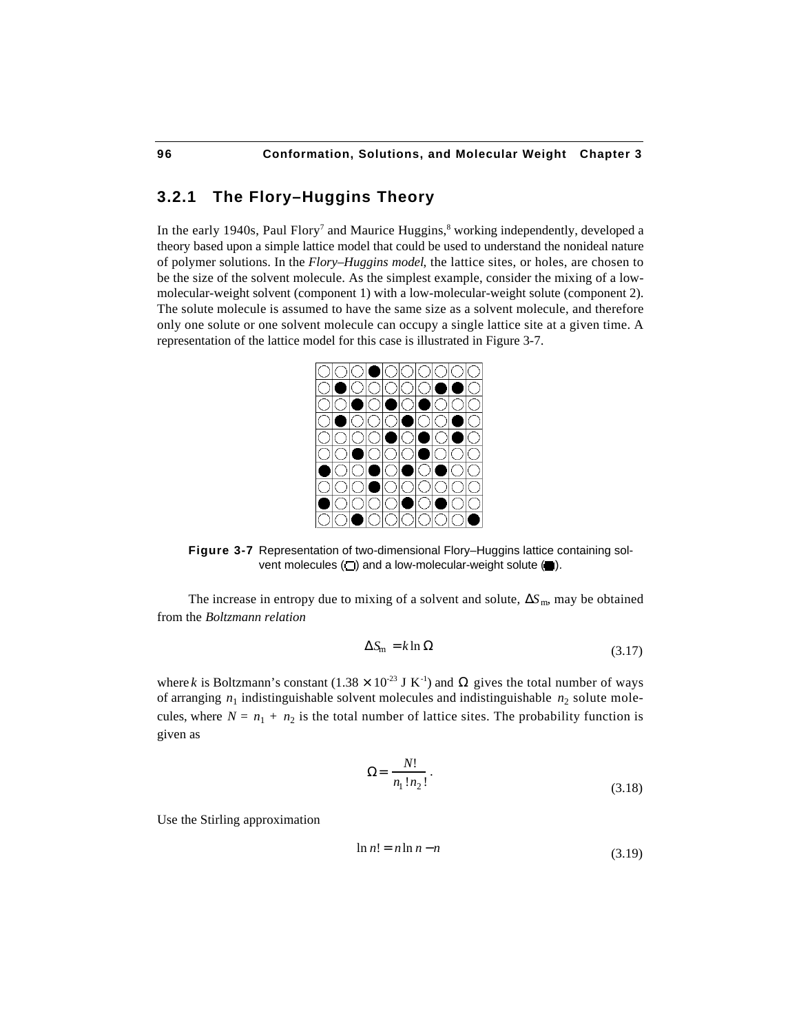# **3.2.1 The Flory–Huggins Theory**

In the early 1940s, Paul Flory<sup>7</sup> and Maurice Huggins,<sup>8</sup> working independently, developed a theory based upon a simple lattice model that could be used to understand the nonideal nature of polymer solutions. In the *Flory–Huggins model*, the lattice sites, or holes, are chosen to be the size of the solvent molecule. As the simplest example, consider the mixing of a lowmolecular-weight solvent (component 1) with a low-molecular-weight solute (component 2). The solute molecule is assumed to have the same size as a solvent molecule, and therefore only one solute or one solvent molecule can occupy a single lattice site at a given time. A representation of the lattice model for this case is illustrated in Figure 3-7.



**Figure 3-7** Representation of two-dimensional Flory–Huggins lattice containing solvent molecules  $(\square)$  and a low-molecular-weight solute  $(\blacksquare)$ .

The increase in entropy due to mixing of a solvent and solute,  $S_m$ , may be obtained from the *Boltzmann relation*

$$
S_{\rm m} = k \ln \tag{3.17}
$$

where *k* is Boltzmann's constant  $(1.38 \times 10^{-23} \text{ J K}^{-1})$  and gives the total number of ways of arranging  $n_1$  indistinguishable solvent molecules and indistinguishable  $n_2$  solute molecules, where  $N = n_1 + n_2$  is the total number of lattice sites. The probability function is given as

$$
= \frac{N!}{n_1! n_2!}.
$$
\n(3.18)

Use the Stirling approximation

$$
\ln n! = n \ln n - n \tag{3.19}
$$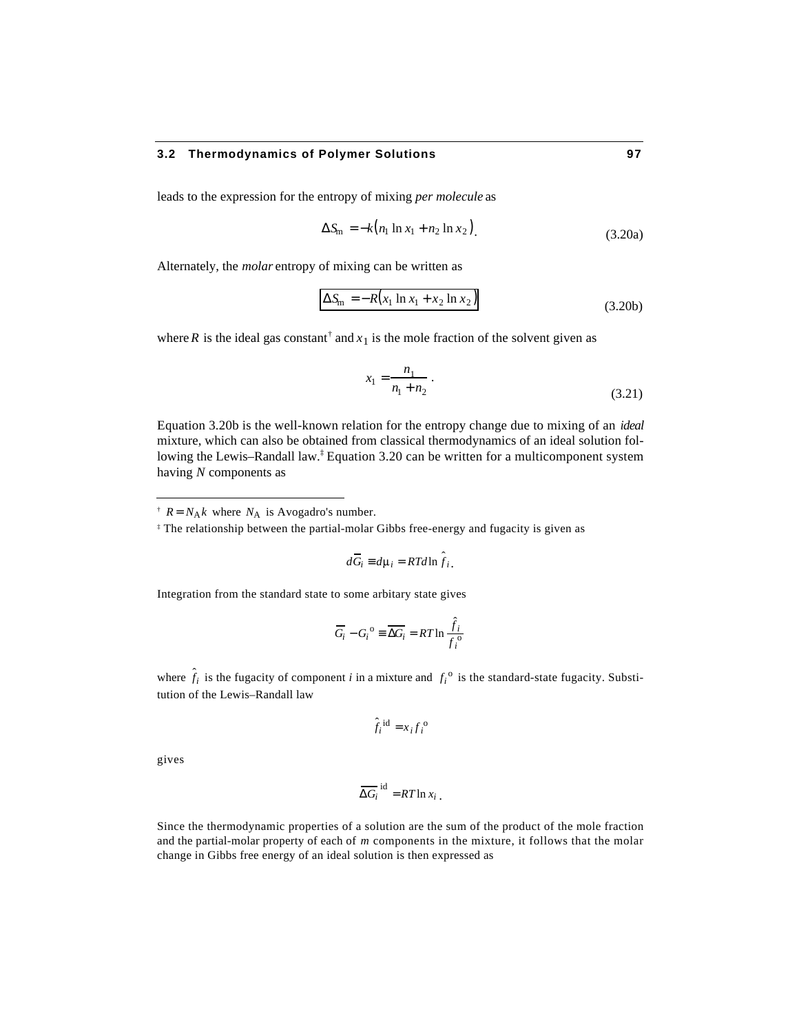leads to the expression for the entropy of mixing *per molecule* as

$$
S_{\rm m} = -k \big( n_1 \ln x_1 + n_2 \ln x_2 \big) \tag{3.20a}
$$

Alternately, the *molar* entropy of mixing can be written as

$$
S_{\rm m} = -R\big(x_1 \ln x_1 + x_2 \ln x_2\big) \tag{3.20b}
$$

where *R* is the ideal gas constant<sup>†</sup> and  $x_1$  is the mole fraction of the solvent given as

$$
x_1 = \frac{n_1}{n_1 + n_2} \,. \tag{3.21}
$$

Equation 3.20b is the well-known relation for the entropy change due to mixing of an *ideal* mixture, which can also be obtained from classical thermodynamics of an ideal solution following the Lewis–Randall law.‡ Equation 3.20 can be written for a multicomponent system having *N* components as

$$
d\overline{G}_i \quad d\mu_i = RTd\ln \hat{f}_i.
$$

Integration from the standard state to some arbitary state gives

$$
\overline{G_i} - G_i^{\text{o}} \quad \overline{G_i} = RT \ln \frac{\hat{f}_i}{f_i^{\text{o}}}
$$

where  $\hat{f}_i$  is the fugacity of component *i* in a mixture and  $f_i^{\circ}$  is the standard-state fugacity. Substitution of the Lewis–Randall law

$$
\hat{f}_i^{\text{id}} = x_i f_i^{\text{o}}
$$

gives

l

$$
\overline{G_i}^{\text{id}} = RT \ln x_i.
$$

Since the thermodynamic properties of a solution are the sum of the product of the mole fraction and the partial-molar property of each of *m* components in the mixture, it follows that the molar change in Gibbs free energy of an ideal solution is then expressed as

<sup>&</sup>lt;sup> $\dagger$ </sup>  $R = N_A k$  where  $N_A$  is Avogadro's number.

<sup>‡</sup> The relationship between the partial-molar Gibbs free-energy and fugacity is given as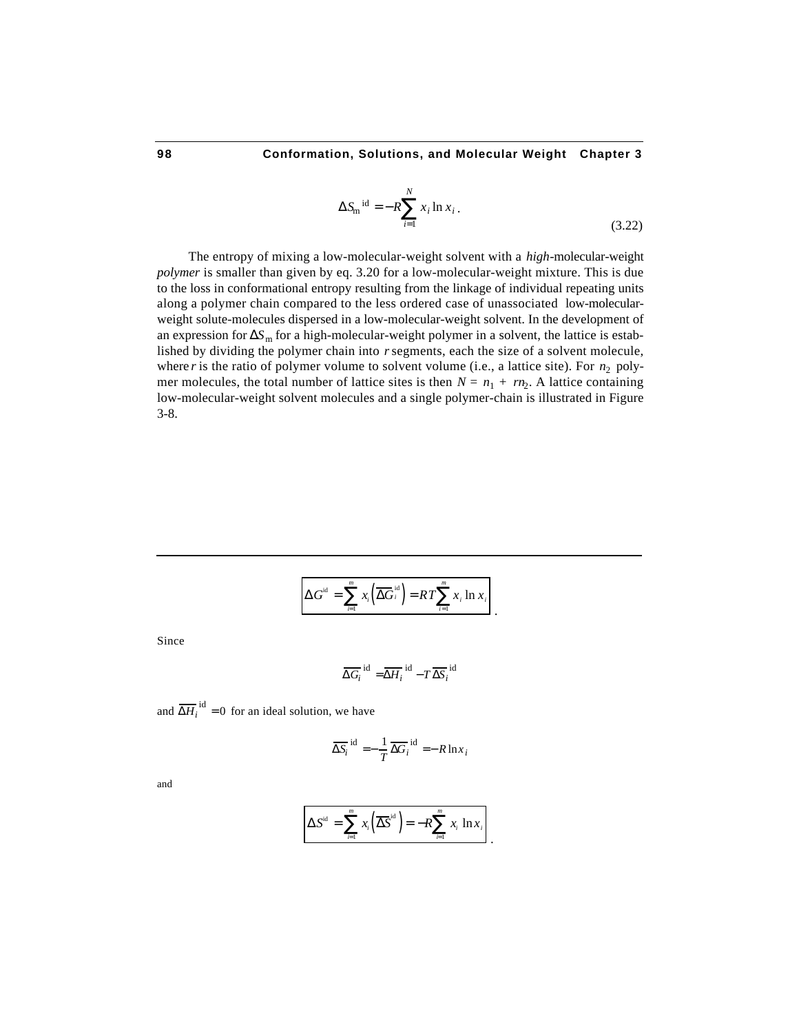$$
S_{\rm m}^{\ \rm id} = -R \, x_i \ln x_i \,. \tag{3.22}
$$

.

The entropy of mixing a low-molecular-weight solvent with a *high*-molecular-weight *polymer* is smaller than given by eq. 3.20 for a low-molecular-weight mixture. This is due to the loss in conformational entropy resulting from the linkage of individual repeating units along a polymer chain compared to the less ordered case of unassociated low-molecularweight solute-molecules dispersed in a low-molecular-weight solvent. In the development of an expression for  $S<sub>m</sub>$  for a high-molecular-weight polymer in a solvent, the lattice is established by dividing the polymer chain into *r* segments, each the size of a solvent molecule, where *r* is the ratio of polymer volume to solvent volume (i.e., a lattice site). For  $n_2$  polymer molecules, the total number of lattice sites is then  $N = n_1 + rn_2$ . A lattice containing low-molecular-weight solvent molecules and a single polymer-chain is illustrated in Figure 3-8.

$$
G^{id} = \sum_{i=1}^{m} x_i \left( \overline{G_i^{id}} \right) = RT \sum_{i=1}^{m} x_i \ln x_i
$$

Since

1

$$
\overline{G_i}^{\text{id}} = \overline{H_i}^{\text{id}} - T \overline{S_i}^{\text{id}}
$$

and  $\overline{H}_i^{\text{id}} = 0$  for an ideal solution, we have

$$
\overline{S_i}^{\text{id}} = -\frac{1}{T} \overline{G_i}^{\text{id}} = -R \ln x_i
$$

and

$$
S^{id} = \sum_{i=1}^{m} x_i \left( \overline{S}^{id} \right) = -R \sum_{i=1}^{m} x_i \ln x_i
$$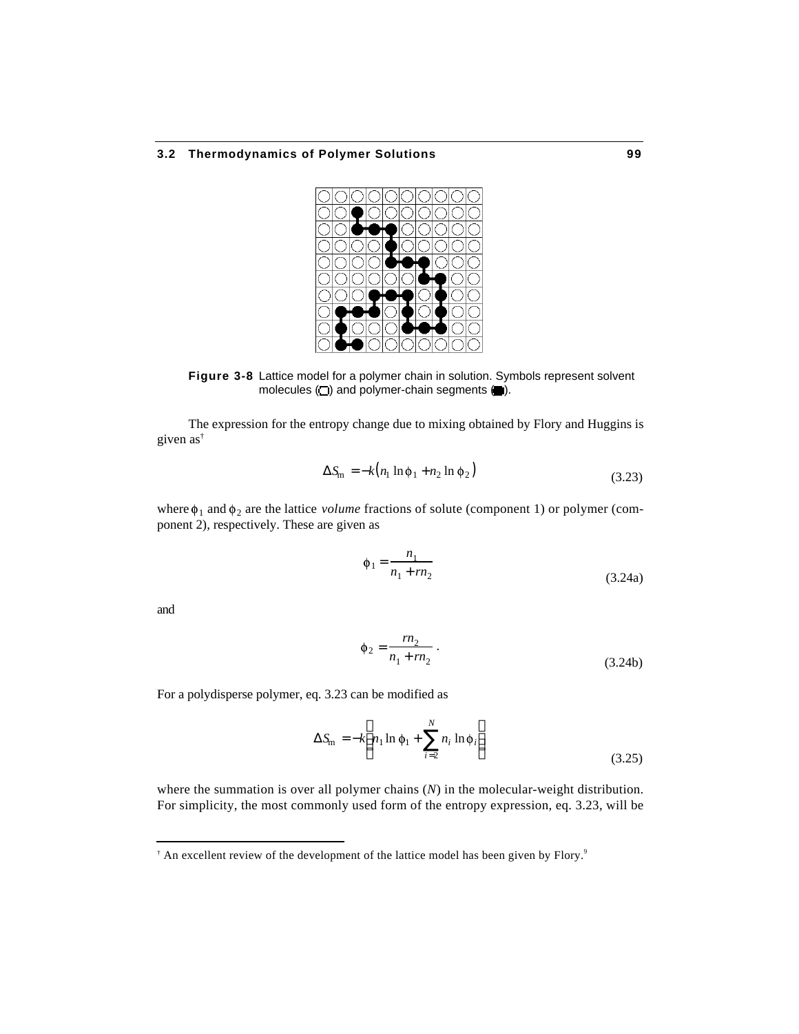

**Figure 3-8** Lattice model for a polymer chain in solution. Symbols represent solvent molecules  $(\square)$  and polymer-chain segments  $(\blacksquare)$ .

The expression for the entropy change due to mixing obtained by Flory and Huggins is given as†

$$
S_{\rm m} = -k(n_1 \ln \phi_1 + n_2 \ln \phi_2)
$$
 (3.23)

where  $\phi_1$  and  $\phi_2$  are the lattice *volume* fractions of solute (component 1) or polymer (component 2), respectively. These are given as

$$
\phi_1 = \frac{n_1}{n_1 + rn_2} \tag{3.24a}
$$

and

1

$$
\phi_2 = \frac{rn_2}{n_1 + rn_2} \,. \tag{3.24b}
$$

For a polydisperse polymer, eq. 3.23 can be modified as

$$
S_{\rm m} = -k \ n_1 \ln \phi_1 + \sum_{i=2}^{N} n_i \ln \phi_i
$$
 (3.25)

where the summation is over all polymer chains (*N*) in the molecular-weight distribution. For simplicity, the most commonly used form of the entropy expression, eq. 3.23, will be

<sup>&</sup>lt;sup>†</sup> An excellent review of the development of the lattice model has been given by Flory.<sup>9</sup>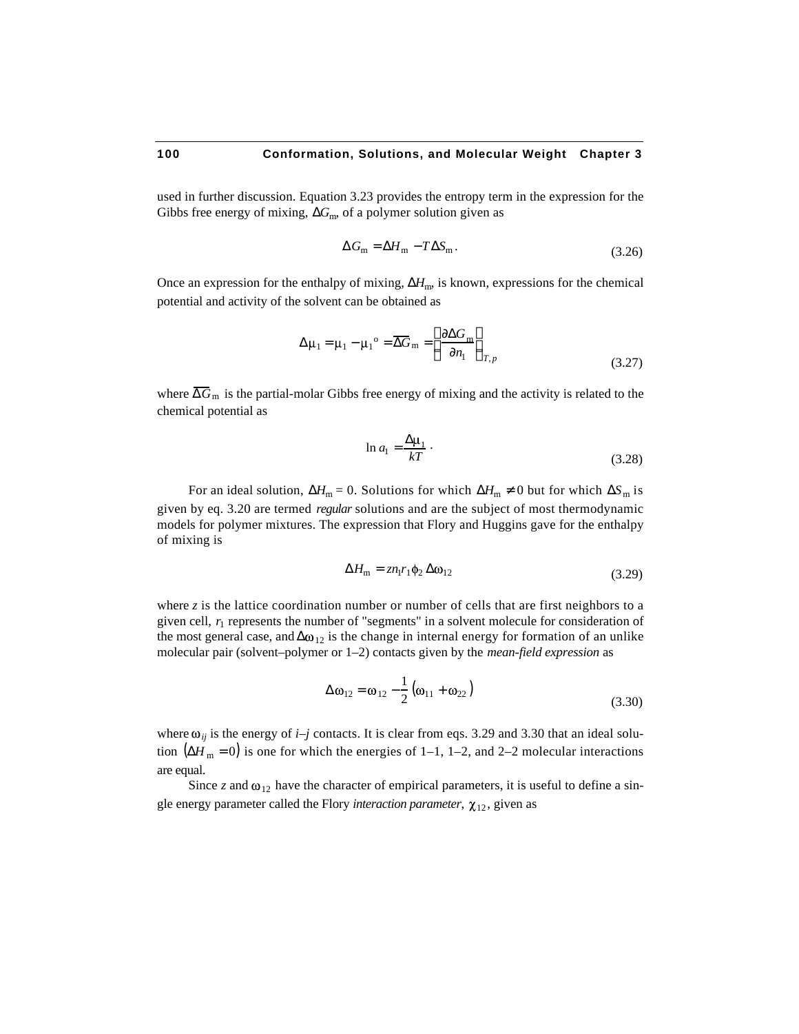used in further discussion. Equation 3.23 provides the entropy term in the expression for the Gibbs free energy of mixing,  $G<sub>m</sub>$ , of a polymer solution given as

$$
G_{\rm m} = H_{\rm m} - T S_{\rm m}.
$$
\n
$$
(3.26)
$$

Once an expression for the enthalpy of mixing,  $H<sub>m</sub>$ , is known, expressions for the chemical potential and activity of the solvent can be obtained as

$$
\mu_1 = \mu_1 - \mu_1^{\circ} = \overline{G}_m = \frac{G_m}{n_1}
$$
\n(3.27)

where  $\overline{G}_{m}$  is the partial-molar Gibbs free energy of mixing and the activity is related to the chemical potential as

$$
\ln a_1 = \frac{\mu_1}{kT} \tag{3.28}
$$

For an ideal solution,  $H_m = 0$ . Solutions for which  $H_m = 0$  but for which  $S_m$  is given by eq. 3.20 are termed *regular* solutions and are the subject of most thermodynamic models for polymer mixtures. The expression that Flory and Huggins gave for the enthalpy of mixing is

$$
H_{\rm m} = z n_1 r_1 \phi_2 \quad \omega_{12} \tag{3.29}
$$

where  $\zeta$  is the lattice coordination number or number of cells that are first neighbors to a given cell,  $r_1$  represents the number of "segments" in a solvent molecule for consideration of the most general case, and  $\omega_{12}$  is the change in internal energy for formation of an unlike molecular pair (solvent–polymer or 1–2) contacts given by the *mean-field expression* as

$$
\omega_{12} = \omega_{12} - \frac{1}{2} \left( \omega_{11} + \omega_{22} \right)
$$
 (3.30)

where  $\omega_{ij}$  is the energy of *i*–*j* contacts. It is clear from eqs. 3.29 and 3.30 that an ideal solution  $(H_m = 0)$  is one for which the energies of 1–1, 1–2, and 2–2 molecular interactions are equal.

Since *z* and  $\omega_{12}$  have the character of empirical parameters, it is useful to define a single energy parameter called the Flory *interaction parameter*,  $\chi_{12}$ , given as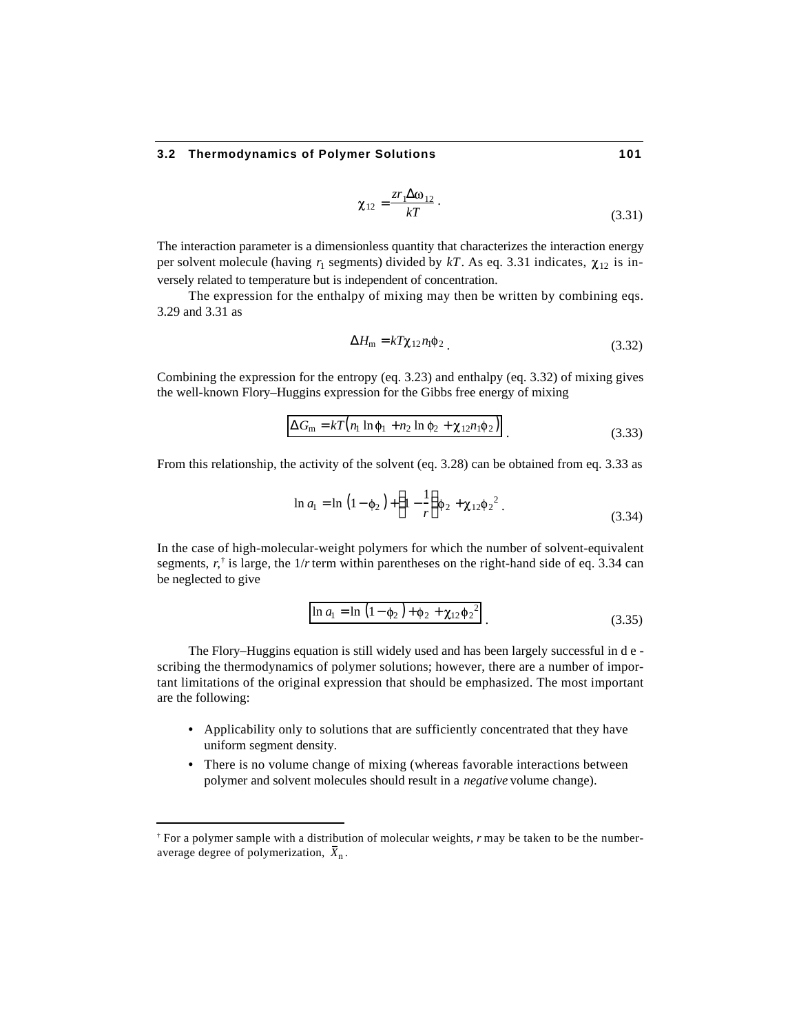$$
\chi_{12} = \frac{z r_1 \omega_{12}}{kT} \,. \tag{3.31}
$$

The interaction parameter is a dimensionless quantity that characterizes the interaction energy per solvent molecule (having  $r_1$  segments) divided by  $kT$ . As eq. 3.31 indicates,  $\chi_{12}$  is inversely related to temperature but is independent of concentration.

The expression for the enthalpy of mixing may then be written by combining eqs. 3.29 and 3.31 as

$$
H_{\rm m} = kT\chi_{12}n_1\phi_2 \tag{3.32}
$$

Combining the expression for the entropy (eq. 3.23) and enthalpy (eq. 3.32) of mixing gives the well-known Flory–Huggins expression for the Gibbs free energy of mixing

$$
G_{\rm m} = kT \left( n_1 \ln \phi_1 + n_2 \ln \phi_2 + \chi_{12} n_1 \phi_2 \right) \tag{3.33}
$$

From this relationship, the activity of the solvent (eq. 3.28) can be obtained from eq. 3.33 as

$$
\ln a_1 = \ln \left( 1 - \phi_2 \right) + 1 - \frac{1}{r} \phi_2 + \chi_{12} \phi_2^2 \,. \tag{3.34}
$$

In the case of high-molecular-weight polymers for which the number of solvent-equivalent segments,  $r,^{\dagger}$  is large, the  $1/r$  term within parentheses on the right-hand side of eq. 3.34 can be neglected to give

$$
\ln a_1 = \ln (1 - \phi_2) + \phi_2 + \chi_{12} \phi_2^2
$$
 (3.35)

The Flory–Huggins equation is still widely used and has been largely successful in d e scribing the thermodynamics of polymer solutions; however, there are a number of important limitations of the original expression that should be emphasized. The most important are the following:

- Applicability only to solutions that are sufficiently concentrated that they have uniform segment density.
- There is no volume change of mixing (whereas favorable interactions between polymer and solvent molecules should result in a *negative* volume change).

l

<sup>†</sup> For a polymer sample with a distribution of molecular weights, *r* may be taken to be the numberaverage degree of polymerization,  $\bar{X}_n$ .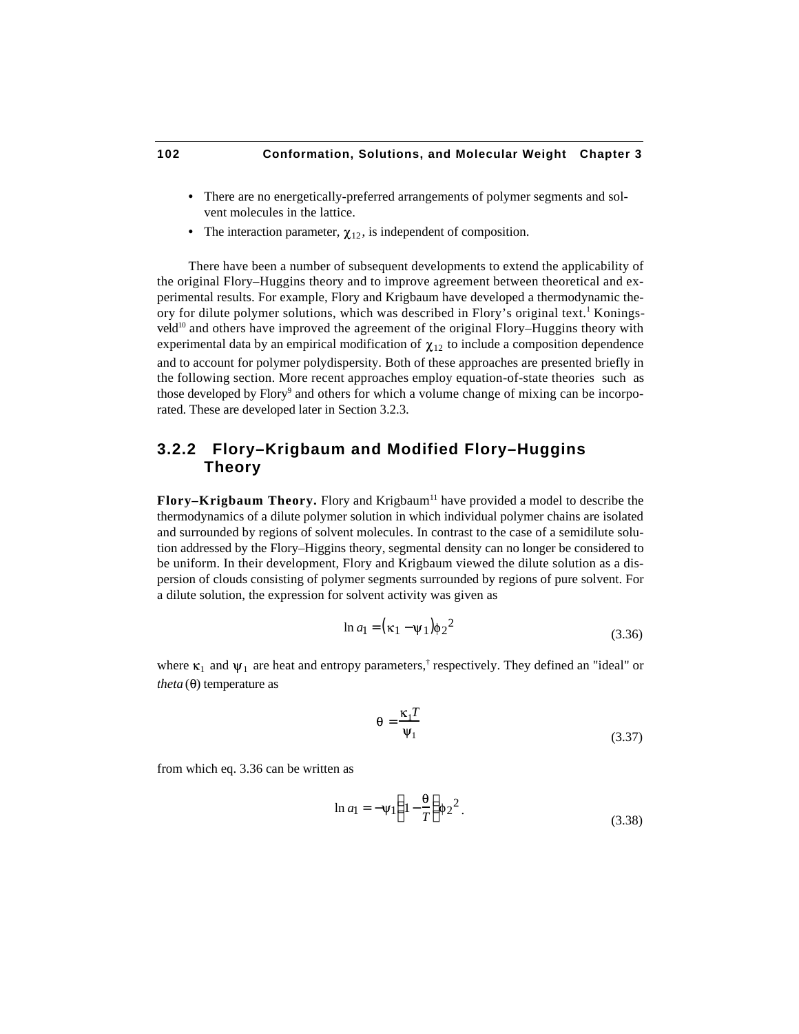- There are no energetically-preferred arrangements of polymer segments and solvent molecules in the lattice.
- The interaction parameter,  $\chi_{12}$ , is independent of composition.

There have been a number of subsequent developments to extend the applicability of the original Flory–Huggins theory and to improve agreement between theoretical and experimental results. For example, Flory and Krigbaum have developed a thermodynamic theory for dilute polymer solutions, which was described in Flory's original text.<sup>1</sup> Koningsveld<sup>10</sup> and others have improved the agreement of the original Flory–Huggins theory with experimental data by an empirical modification of  $\chi_{12}$  to include a composition dependence and to account for polymer polydispersity. Both of these approaches are presented briefly in the following section. More recent approaches employ equation-of-state theories such as those developed by Flory<sup>9</sup> and others for which a volume change of mixing can be incorporated. These are developed later in Section 3.2.3.

# **3.2.2 Flory–Krigbaum and Modified Flory–Huggins Theory**

Flory–Krigbaum Theory. Flory and Krigbaum<sup>11</sup> have provided a model to describe the thermodynamics of a dilute polymer solution in which individual polymer chains are isolated and surrounded by regions of solvent molecules. In contrast to the case of a semidilute solution addressed by the Flory–Higgins theory, segmental density can no longer be considered to be uniform. In their development, Flory and Krigbaum viewed the dilute solution as a dispersion of clouds consisting of polymer segments surrounded by regions of pure solvent. For a dilute solution, the expression for solvent activity was given as

$$
\ln a_1 = (\kappa_1 - \psi_1)\phi_2^2\tag{3.36}
$$

where  $\kappa_1$  and  $\psi_1$  are heat and entropy parameters,<sup>†</sup> respectively. They defined an "ideal" or *theta*  $(\theta)$  temperature as

$$
\theta = \frac{\kappa_1 T}{\Psi_1} \tag{3.37}
$$

from which eq. 3.36 can be written as

$$
\ln a_1 = -\Psi_1 \ \ 1 - \frac{\theta}{T} \ \ \phi_2^2 \,. \tag{3.38}
$$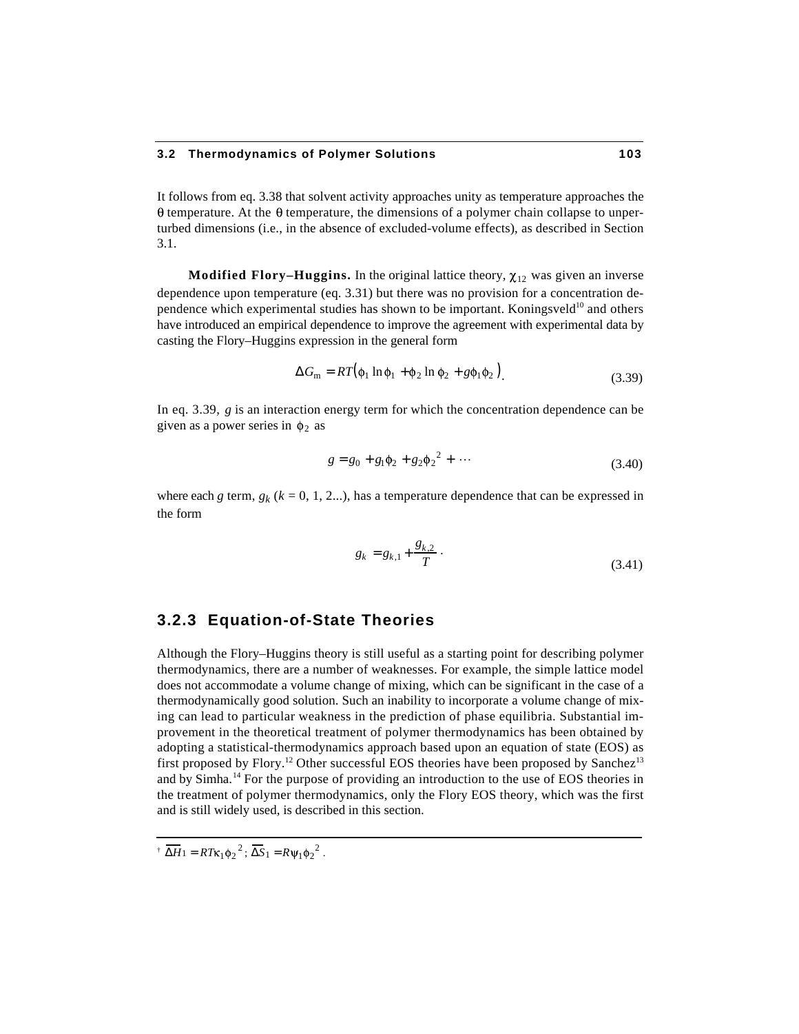It follows from eq. 3.38 that solvent activity approaches unity as temperature approaches the  $\theta$  temperature. At the  $\theta$  temperature, the dimensions of a polymer chain collapse to unperturbed dimensions (i.e., in the absence of excluded-volume effects), as described in Section 3.1.

**Modified Flory–Huggins.** In the original lattice theory,  $\chi_{12}$  was given an inverse dependence upon temperature (eq. 3.31) but there was no provision for a concentration dependence which experimental studies has shown to be important. Koningsveld<sup>10</sup> and others have introduced an empirical dependence to improve the agreement with experimental data by casting the Flory–Huggins expression in the general form

$$
G_{\rm m} = RT(\phi_1 \ln \phi_1 + \phi_2 \ln \phi_2 + g\phi_1 \phi_2), \tag{3.39}
$$

In eq. 3.39, *g* is an interaction energy term for which the concentration dependence can be given as a power series in  $\phi_2$  as

$$
g = g_0 + g_1 \phi_2 + g_2 \phi_2^2 + \cdots \tag{3.40}
$$

where each *g* term,  $g_k$  ( $k = 0, 1, 2...$ ), has a temperature dependence that can be expressed in the form

$$
g_k = g_{k,1} + \frac{g_{k,2}}{T} \tag{3.41}
$$

# **3.2.3 Equation-of-State Theories**

Although the Flory–Huggins theory is still useful as a starting point for describing polymer thermodynamics, there are a number of weaknesses. For example, the simple lattice model does not accommodate a volume change of mixing, which can be significant in the case of a thermodynamically good solution. Such an inability to incorporate a volume change of mixing can lead to particular weakness in the prediction of phase equilibria. Substantial improvement in the theoretical treatment of polymer thermodynamics has been obtained by adopting a statistical-thermodynamics approach based upon an equation of state (EOS) as first proposed by Flory.<sup>12</sup> Other successful EOS theories have been proposed by Sanchez<sup>13</sup> and by Simha.<sup>14</sup> For the purpose of providing an introduction to the use of EOS theories in the treatment of polymer thermodynamics, only the Flory EOS theory, which was the first and is still widely used, is described in this section.

 $\overline{H} = RT\kappa_1\phi_2^2$ ;  $\overline{S}_1 = R\psi_1\phi_2^2$ .

1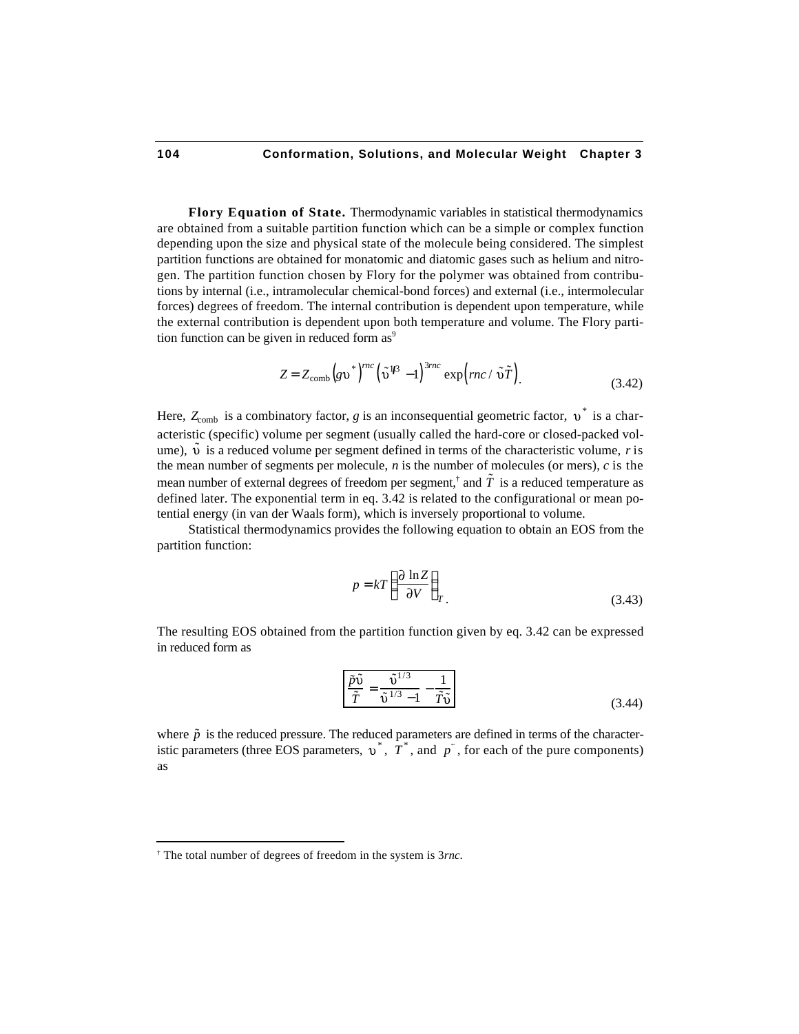**Flory Equation of State.** Thermodynamic variables in statistical thermodynamics are obtained from a suitable partition function which can be a simple or complex function depending upon the size and physical state of the molecule being considered. The simplest partition functions are obtained for monatomic and diatomic gases such as helium and nitrogen. The partition function chosen by Flory for the polymer was obtained from contributions by internal (i.e., intramolecular chemical-bond forces) and external (i.e., intermolecular forces) degrees of freedom. The internal contribution is dependent upon temperature, while the external contribution is dependent upon both temperature and volume. The Flory partition function can be given in reduced form  $as<sup>9</sup>$ 

$$
Z = Z_{\text{comb}} \left( g v^* \right)^{mc} \left( \tilde{v}^{1/3} - 1 \right)^{3mc} \exp \left( mc / \tilde{v} \tilde{T} \right). \tag{3.42}
$$

Here,  $Z_{\text{comb}}$  is a combinatory factor, g is an inconsequential geometric factor,  $v^*$  is a characteristic (specific) volume per segment (usually called the hard-core or closed-packed volume),  $\tilde{v}$  is a reduced volume per segment defined in terms of the characteristic volume, *r* is the mean number of segments per molecule, *n* is the number of molecules (or mers), *c* is the mean number of external degrees of freedom per segment,<sup>†</sup> and  $\tilde{T}$  is a reduced temperature as defined later. The exponential term in eq. 3.42 is related to the configurational or mean potential energy (in van der Waals form), which is inversely proportional to volume.

Statistical thermodynamics provides the following equation to obtain an EOS from the partition function:

$$
p = kT \frac{\partial \ln Z}{\partial V} \bigg|_{T} \tag{3.43}
$$

The resulting EOS obtained from the partition function given by eq. 3.42 can be expressed in reduced form as

$$
\frac{\tilde{p}\tilde{v}}{\tilde{T}} = \frac{\tilde{v}^{1/3}}{\tilde{v}^{1/3} - 1} - \frac{1}{\tilde{T}\tilde{v}}\tag{3.44}
$$

where  $\tilde{p}$  is the reduced pressure. The reduced parameters are defined in terms of the characteristic parameters (three EOS parameters,  $v^*$ ,  $\overline{T}^*$ , and  $\overline{p}^*$ , for each of the pure components) as

1

<sup>†</sup> The total number of degrees of freedom in the system is 3*rnc*.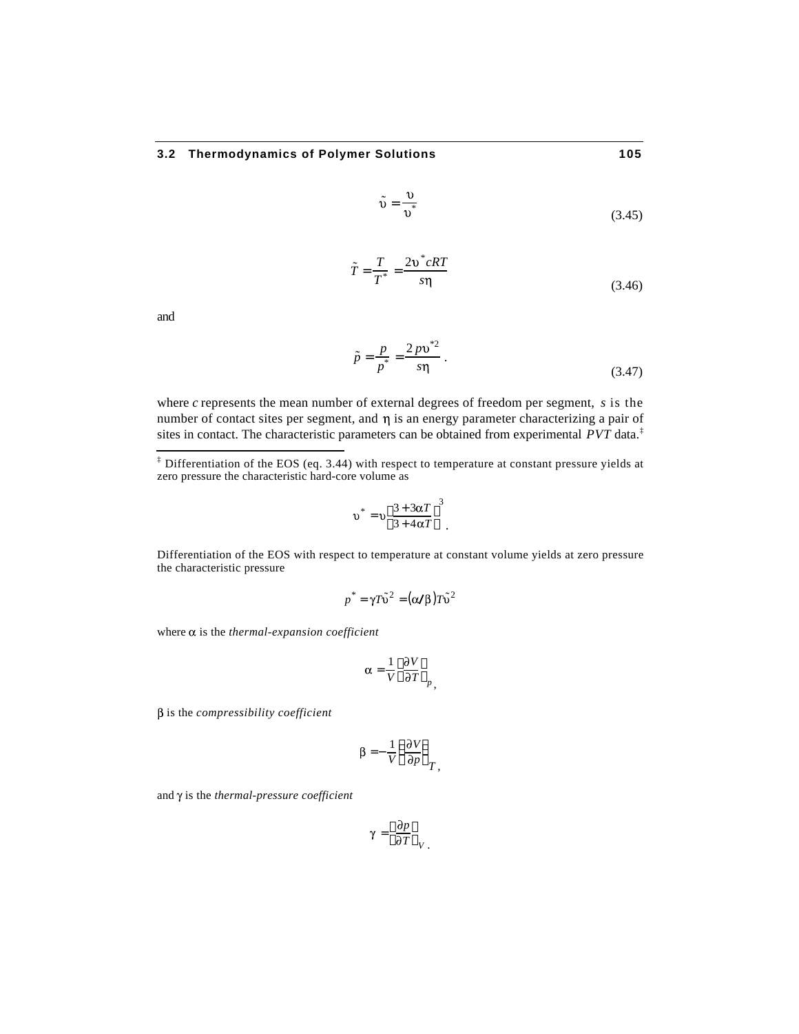$$
\tilde{\nu} = \frac{\nu}{\nu^*} \tag{3.45}
$$

$$
\tilde{T} = \frac{T}{T^*} = \frac{2v^*cRT}{s\eta}
$$
\n(3.46)

and

j

$$
\tilde{p} = \frac{p}{p^*} = \frac{2p v^{*2}}{s \eta} \,. \tag{3.47}
$$

where *c* represents the mean number of external degrees of freedom per segment, *s* is the number of contact sites per segment, and  $\eta$  is an energy parameter characterizing a pair of sites in contact. The characteristic parameters can be obtained from experimental *PVT* data.‡

$$
v^* = v \frac{3 + 3\alpha T}{3 + 4\alpha T}^{3}.
$$

Differentiation of the EOS with respect to temperature at constant volume yields at zero pressure the characteristic pressure

$$
p^* = \gamma T\tilde{\nu}^2 = (\alpha/\beta)T\tilde{\nu}^2
$$

where  $\alpha$  is the *thermal-expansion coefficient* 

$$
\alpha = \frac{1}{V} \frac{\partial V}{\partial T} \Big|_{P}
$$

β is the *compressibility coefficient* 

$$
\beta = -\frac{1}{V} \frac{\partial V}{\partial p} T,
$$

and  $\gamma$  is the *thermal-pressure coefficient* 

$$
\gamma = \frac{\partial p}{\partial T} \Big|_{V}.
$$

 $\ddagger$  Differentiation of the EOS (eq. 3.44) with respect to temperature at constant pressure yields at zero pressure the characteristic hard-core volume as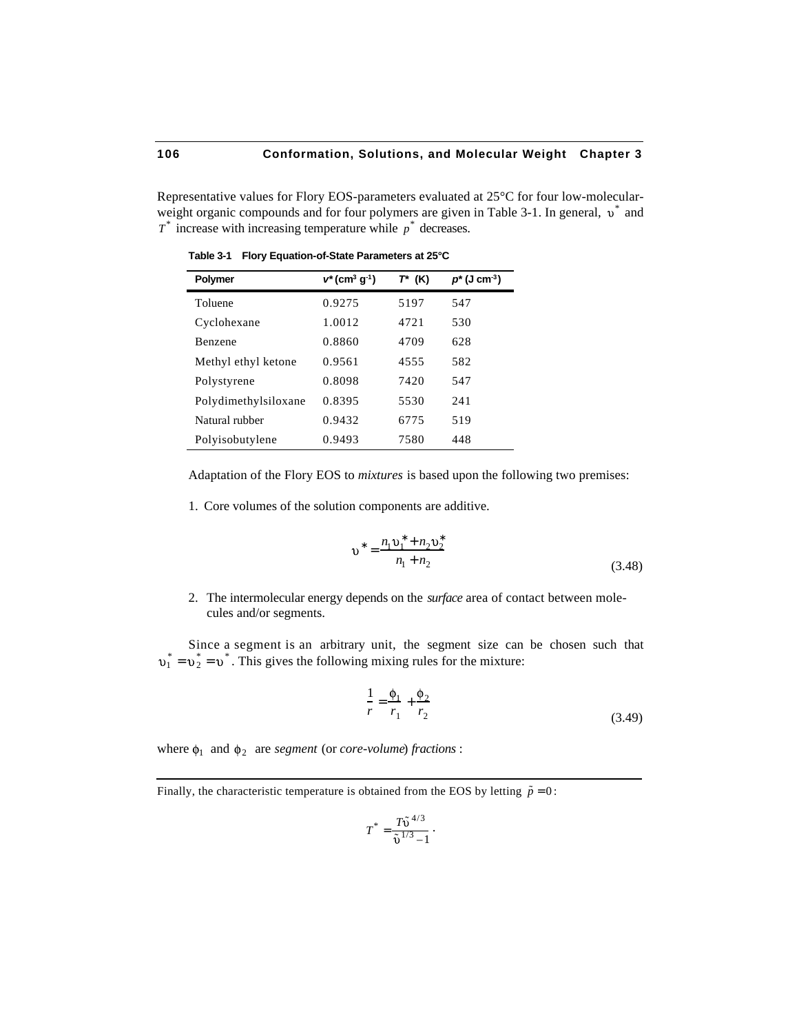Representative values for Flory EOS-parameters evaluated at 25°C for four low-molecularweight organic compounds and for four polymers are given in Table 3-1. In general,  $v^*$  and  $T^*$  increase with increasing temperature while  $p^*$  decreases.

| <b>Polymer</b>       | $v^*(cm^3 g^{-1})$ | $T^*$ (K) | $p^*(J \, cm^{-3})$ |
|----------------------|--------------------|-----------|---------------------|
| Toluene              | 0.9275             | 5197      | 547                 |
| Cyclohexane          | 1.0012             | 4721      | 530                 |
| <b>Benzene</b>       | 0.8860             | 4709      | 628                 |
| Methyl ethyl ketone  | 0.9561             | 4555      | 582                 |
| Polystyrene          | 0.8098             | 7420      | 547                 |
| Polydimethylsiloxane | 0.8395             | 5530      | 241                 |
| Natural rubber       | 0.9432             | 6775      | 519                 |
| Polyisobutylene      | 0.9493             | 7580      | 448                 |

**Table 3-1 Flory Equation-of-State Parameters at 25°C**

Adaptation of the Flory EOS to *mixtures* is based upon the following two premises:

1. Core volumes of the solution components are additive.

$$
v = \frac{n_1 v_1 + n_2 v_2}{n_1 + n_2}
$$
 (3.48)

2. The intermolecular energy depends on the *surface* area of contact between molecules and/or segments.

Since a segment is an arbitrary unit, the segment size can be chosen such that  $i_1^* = \nu_2^* = \nu^*$ . This gives the following mixing rules for the mixture:

$$
\frac{1}{r} = \frac{\phi_1}{r_1} + \frac{\phi_2}{r_2} \tag{3.49}
$$

where  $\phi_1$  and  $\phi_2$  are *segment* (or *core-volume*) *fractions* :

Finally, the characteristic temperature is obtained from the EOS by letting  $\tilde{p} = 0$ :

$$
T^* = \frac{T\tilde{\upsilon}^{4/3}}{\tilde{\upsilon}^{1/3} - 1} \; \cdot \hspace{5cm}
$$

1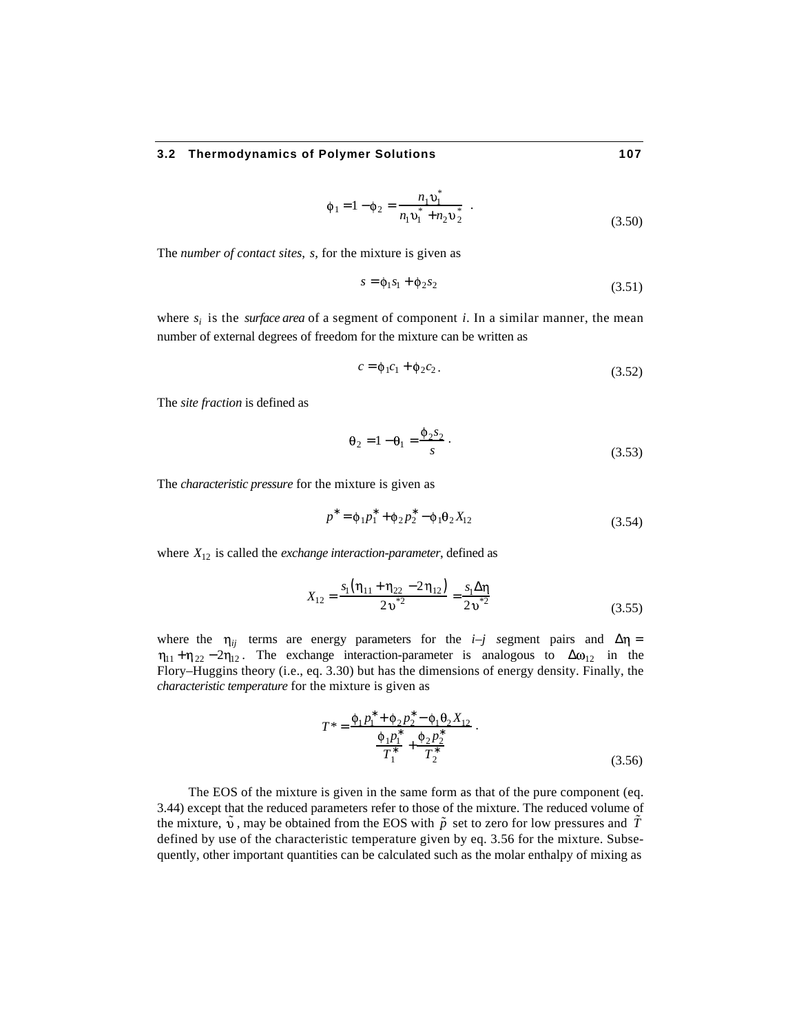$$
\phi_1 = 1 - \phi_2 = \frac{n_1 v_1^*}{n_1 v_1^* + n_2 v_2^*} \quad .
$$
\n(3.50)

The *number of contact sites*, *s*, for the mixture is given as

$$
s = \phi_1 s_1 + \phi_2 s_2 \tag{3.51}
$$

where  $s_i$  is the *surface area* of a segment of component *i*. In a similar manner, the mean number of external degrees of freedom for the mixture can be written as

$$
c = \phi_1 c_1 + \phi_2 c_2. \tag{3.52}
$$

The *site fraction* is defined as

$$
\theta_2 = 1 - \theta_1 = \frac{\phi_2 s_2}{s} \tag{3.53}
$$

The *characteristic pressure* for the mixture is given as

$$
p = \phi_1 p_1 + \phi_2 p_2 - \phi_1 \theta_2 X_{12} \tag{3.54}
$$

where  $X_{12}$  is called the *exchange interaction-parameter*, defined as

$$
X_{12} = \frac{s_1 \left( \eta_{11} + \eta_{22} - 2 \eta_{12} \right)}{2 \nu^{*2}} = \frac{s_1}{2 \nu^{*2}} \tag{3.55}
$$

where the  $\eta_{ii}$  terms are energy parameters for the *i*–*j* segment pairs and  $\eta$  =  $\eta_{11} + \eta_{22} - 2\eta_{12}$ . The exchange interaction-parameter is analogous to  $\omega_{12}$  in the Flory–Huggins theory (i.e., eq. 3.30) but has the dimensions of energy density. Finally, the *characteristic temperature* for the mixture is given as

$$
T^* = \frac{\Phi_1 p_1 + \Phi_2 p_2 - \Phi_1 \Theta_2 X_{12}}{\frac{\Phi_1 p_1}{T_1} + \frac{\Phi_2 p_2}{T_2}}.
$$
\n(3.56)

The EOS of the mixture is given in the same form as that of the pure component (eq. 3.44) except that the reduced parameters refer to those of the mixture. The reduced volume of the mixture,  $\dot{v}$ , may be obtained from the EOS with  $\tilde{p}$  set to zero for low pressures and T defined by use of the characteristic temperature given by eq. 3.56 for the mixture. Subsequently, other important quantities can be calculated such as the molar enthalpy of mixing as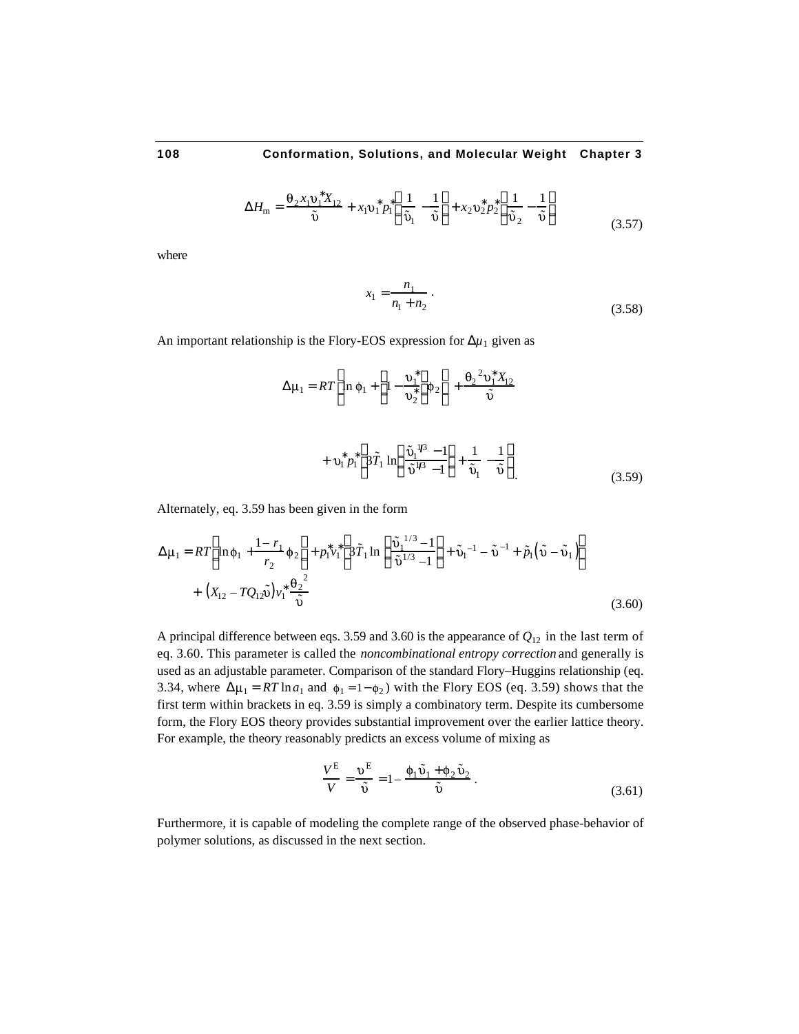$$
H_{\rm m} = \frac{\theta_2 x_1 v_1 X_{12}}{\tilde{v}} + x_1 v_1 p_1 \frac{1}{\tilde{v}_1} - \frac{1}{\tilde{v}} + x_2 v_2 p_2 \frac{1}{\tilde{v}_2} - \frac{1}{\tilde{v}}
$$
(3.57)

where

$$
x_1 = \frac{n_1}{n_1 + n_2} \,. \tag{3.58}
$$

An important relationship is the Flory-EOS expression for  $\mu_1$  given as

$$
\mu_1 = RT \ln \phi_1 + 1 - \frac{v_1}{v_2} \phi_2 + \frac{\theta_2^2 v_1 X_{12}}{\tilde{v}}
$$
  
+  $v_1 p_1$  3 $\tilde{T}_1$  ln  $\frac{\tilde{v}_1^{1/3} - 1}{\tilde{v}_1^{1/3} - 1} + \frac{1}{\tilde{v}_1} - \frac{1}{\tilde{v}}$  (3.59)

Alternately, eq. 3.59 has been given in the form

$$
\mu_1 = RT \ln \phi_1 + \frac{1 - r_1}{r_2} \phi_2 + p_1 v_1 \frac{3 \tilde{T}_1 \ln \frac{\tilde{v}_1^{1/3} - 1}{\tilde{v}_1^{1/3} - 1} + \tilde{v}_1^{-1} - \tilde{v}^{-1} + \tilde{p}_1 (\tilde{v} - \tilde{v}_1)
$$
  
+  $(X_{12} - TQ_{12}\tilde{v}) v_1 \frac{\theta_2^2}{\tilde{v}_1}$  (3.60)

A principal difference between eqs. 3.59 and 3.60 is the appearance of  $Q_{12}$  in the last term of eq. 3.60. This parameter is called the *noncombinational entropy correction* and generally is used as an adjustable parameter. Comparison of the standard Flory–Huggins relationship (eq. 3.34, where  $\mu_1 = RT \ln a_1$  and  $\phi_1 = 1 - \phi_2$ ) with the Flory EOS (eq. 3.59) shows that the first term within brackets in eq. 3.59 is simply a combinatory term. Despite its cumbersome form, the Flory EOS theory provides substantial improvement over the earlier lattice theory. For example, the theory reasonably predicts an excess volume of mixing as

$$
\frac{V^{\mathcal{E}}}{V} = \frac{v^{\mathcal{E}}}{\tilde{v}} = 1 - \frac{\phi_1 \tilde{v}_1 + \phi_2 \tilde{v}_2}{\tilde{v}}.
$$
\n(3.61)

Furthermore, it is capable of modeling the complete range of the observed phase-behavior of polymer solutions, as discussed in the next section.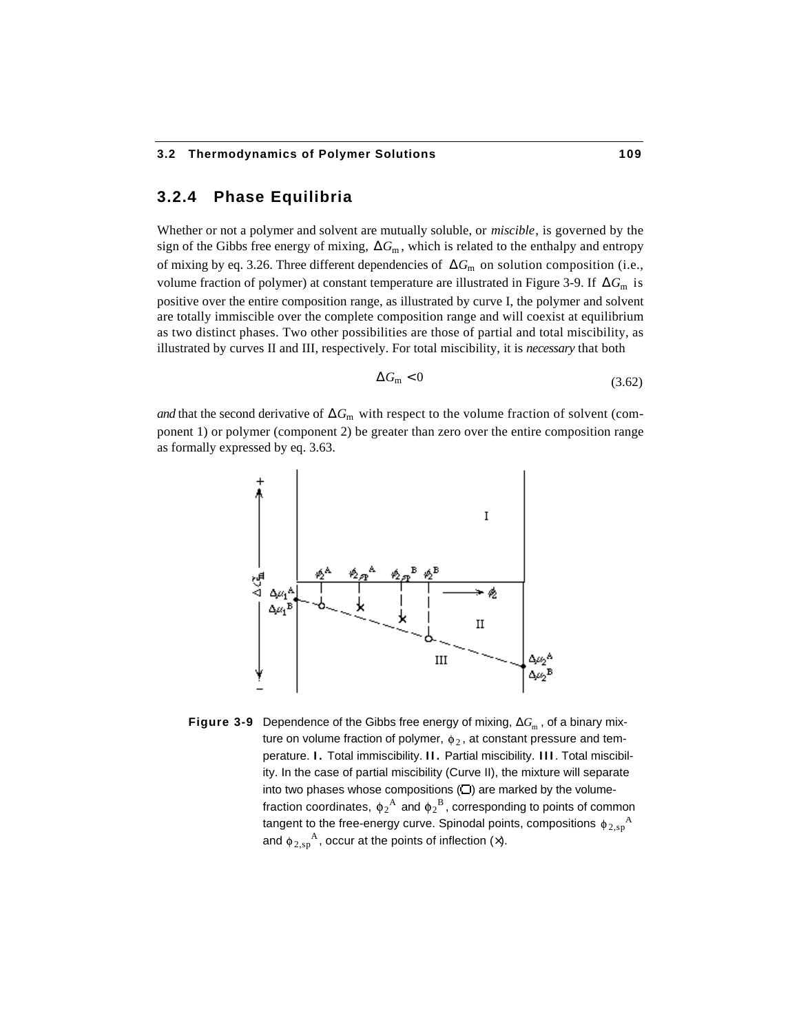# **3.2.4 Phase Equilibria**

Whether or not a polymer and solvent are mutually soluble, or *miscible*, is governed by the sign of the Gibbs free energy of mixing,  $G_m$ , which is related to the enthalpy and entropy of mixing by eq. 3.26. Three different dependencies of *G*<sub>m</sub> on solution composition (i.e., volume fraction of polymer) at constant temperature are illustrated in Figure 3-9. If *G*<sub>m</sub> is positive over the entire composition range, as illustrated by curve I, the polymer and solvent are totally immiscible over the complete composition range and will coexist at equilibrium as two distinct phases. Two other possibilities are those of partial and total miscibility, as illustrated by curves II and III, respectively. For total miscibility, it is *necessary* that both

$$
G_{\rm m} < 0 \tag{3.62}
$$

*and* that the second derivative of  $G<sub>m</sub>$  with respect to the volume fraction of solvent (component 1) or polymer (component 2) be greater than zero over the entire composition range as formally expressed by eq. 3.63.



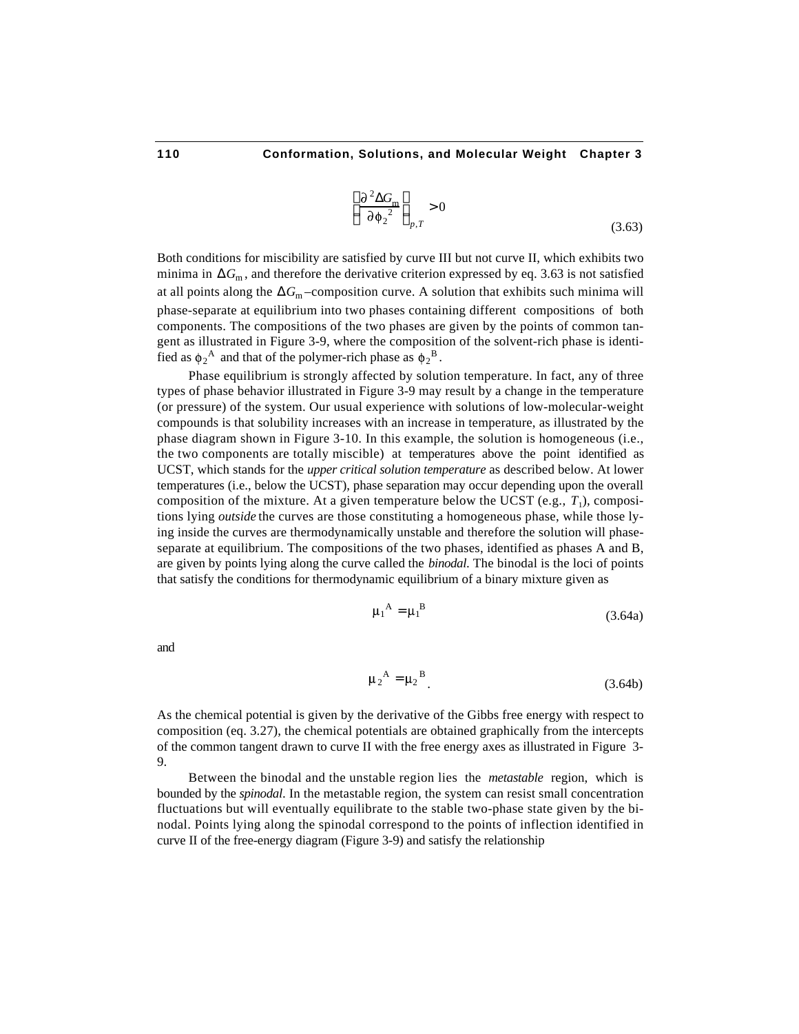$$
\frac{\partial^2 G_m}{\partial \phi_2^2} > 0
$$
\n(3.63)

Both conditions for miscibility are satisfied by curve III but not curve II, which exhibits two minima in *G*<sub>m</sub>, and therefore the derivative criterion expressed by eq. 3.63 is not satisfied at all points along the *G*<sub>m</sub>-composition curve. A solution that exhibits such minima will phase-separate at equilibrium into two phases containing different compositions of both components. The compositions of the two phases are given by the points of common tangent as illustrated in Figure 3-9, where the composition of the solvent-rich phase is identified as  $\phi_2^A$  and that of the polymer-rich phase as  $\phi_2^B$ .

Phase equilibrium is strongly affected by solution temperature. In fact, any of three types of phase behavior illustrated in Figure 3-9 may result by a change in the temperature (or pressure) of the system. Our usual experience with solutions of low-molecular-weight compounds is that solubility increases with an increase in temperature, as illustrated by the phase diagram shown in Figure 3-10. In this example, the solution is homogeneous (i.e., the two components are totally miscible) at temperatures above the point identified as UCST, which stands for the *upper critical solution temperature* as described below. At lower temperatures (i.e., below the UCST), phase separation may occur depending upon the overall composition of the mixture. At a given temperature below the UCST  $(e.g., T<sub>1</sub>)$ , compositions lying *outside* the curves are those constituting a homogeneous phase, while those lying inside the curves are thermodynamically unstable and therefore the solution will phaseseparate at equilibrium. The compositions of the two phases, identified as phases A and B, are given by points lying along the curve called the *binodal*. The binodal is the loci of points that satisfy the conditions for thermodynamic equilibrium of a binary mixture given as

$$
\mu_1^{\mathbf{A}} = \mu_1^{\mathbf{B}} \tag{3.64a}
$$

and

$$
\mu_2^A = \mu_2^B \tag{3.64b}
$$

As the chemical potential is given by the derivative of the Gibbs free energy with respect to composition (eq. 3.27), the chemical potentials are obtained graphically from the intercepts of the common tangent drawn to curve II with the free energy axes as illustrated in Figure 3- 9.

Between the binodal and the unstable region lies the *metastable* region, which is bounded by the *spinodal*. In the metastable region, the system can resist small concentration fluctuations but will eventually equilibrate to the stable two-phase state given by the binodal. Points lying along the spinodal correspond to the points of inflection identified in curve II of the free-energy diagram (Figure 3-9) and satisfy the relationship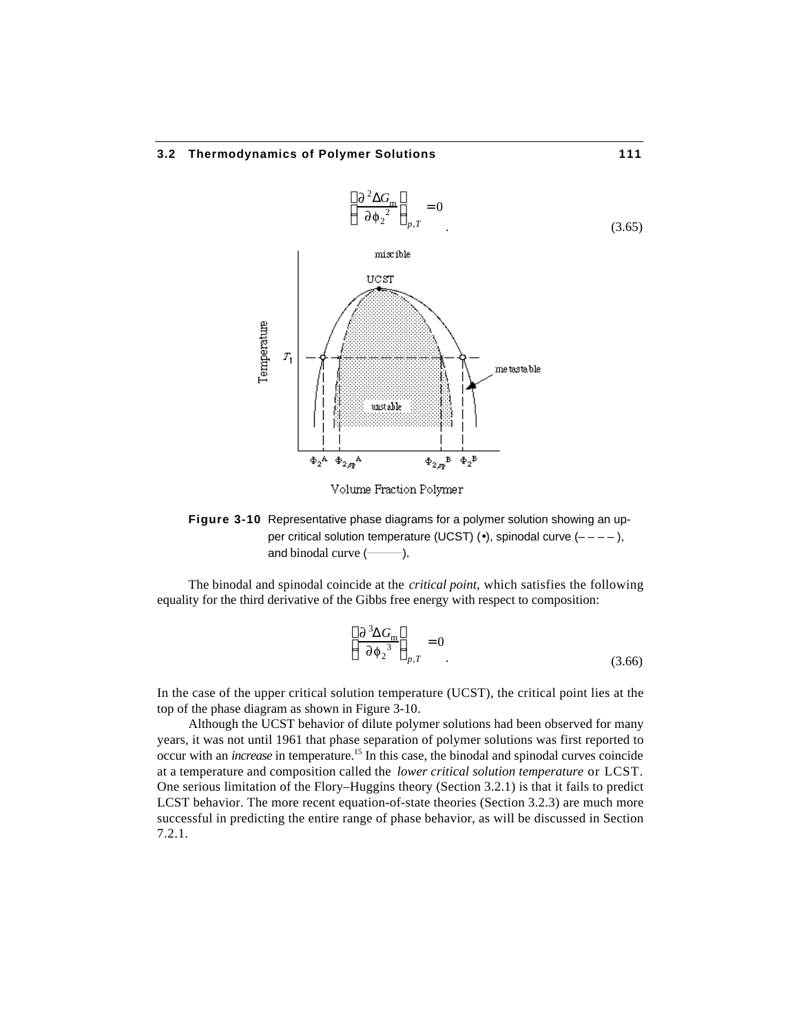

Volume Fraction Polymer

**Figure 3-10** Representative phase diagrams for a polymer solution showing an upper critical solution temperature (UCST)  $(·)$ , spinodal curve  $(---)$ , and binodal curve ( **\_\_\_\_\_\_\_\_\_**).

The binodal and spinodal coincide at the *critical point*, which satisfies the following equality for the third derivative of the Gibbs free energy with respect to composition:

$$
\frac{\partial^3 G_m}{\partial \phi_2^3}_{p,T} = 0
$$
\n(3.66)

In the case of the upper critical solution temperature (UCST), the critical point lies at the top of the phase diagram as shown in Figure 3-10.

Although the UCST behavior of dilute polymer solutions had been observed for many years, it was not until 1961 that phase separation of polymer solutions was first reported to occur with an *increase* in temperature.<sup>15</sup> In this case, the binodal and spinodal curves coincide at a temperature and composition called the *lower critical solution temperature* or LCST. One serious limitation of the Flory–Huggins theory (Section 3.2.1) is that it fails to predict LCST behavior. The more recent equation-of-state theories (Section 3.2.3) are much more successful in predicting the entire range of phase behavior, as will be discussed in Section 7.2.1.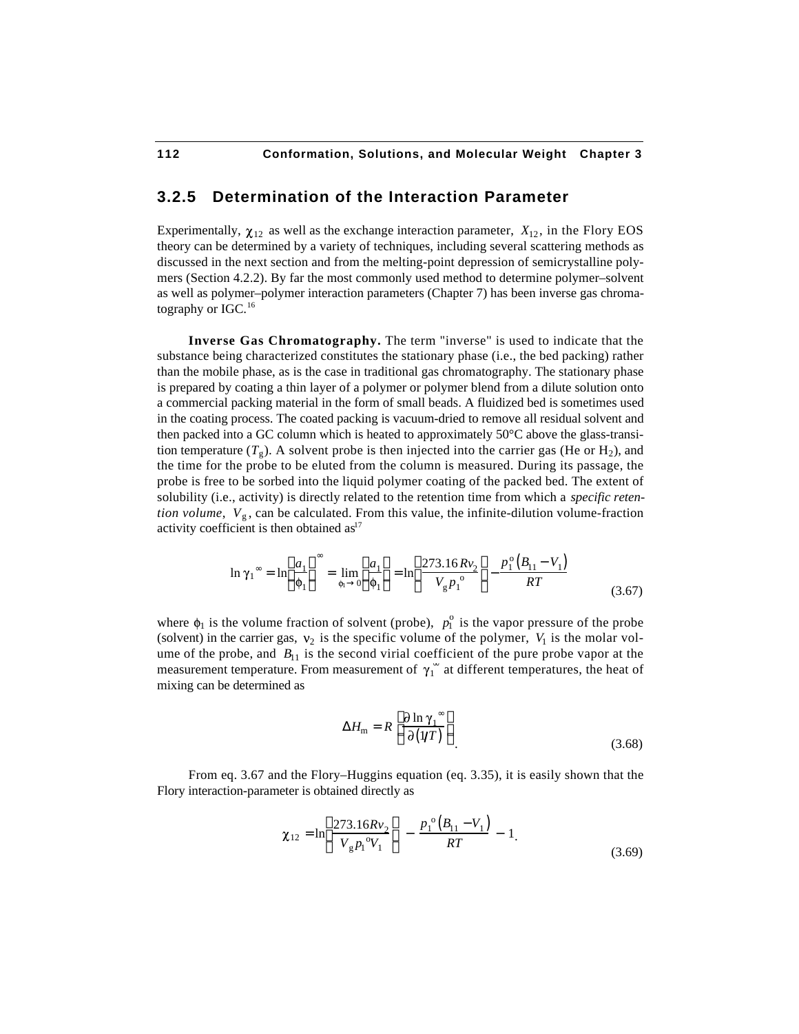# **3.2.5 Determination of the Interaction Parameter**

Experimentally,  $\chi_{12}$  as well as the exchange interaction parameter,  $X_{12}$ , in the Flory EOS theory can be determined by a variety of techniques, including several scattering methods as discussed in the next section and from the melting-point depression of semicrystalline polymers (Section 4.2.2). By far the most commonly used method to determine polymer–solvent as well as polymer–polymer interaction parameters (Chapter 7) has been inverse gas chromatography or  $IGC<sup>16</sup>$ 

**Inverse Gas Chromatography.** The term "inverse" is used to indicate that the substance being characterized constitutes the stationary phase (i.e., the bed packing) rather than the mobile phase, as is the case in traditional gas chromatography. The stationary phase is prepared by coating a thin layer of a polymer or polymer blend from a dilute solution onto a commercial packing material in the form of small beads. A fluidized bed is sometimes used in the coating process. The coated packing is vacuum-dried to remove all residual solvent and then packed into a GC column which is heated to approximately 50°C above the glass-transition temperature  $(T_g)$ . A solvent probe is then injected into the carrier gas (He or H<sub>2</sub>), and the time for the probe to be eluted from the column is measured. During its passage, the probe is free to be sorbed into the liquid polymer coating of the packed bed. The extent of solubility (i.e., activity) is directly related to the retention time from which a *specific retention volume*,  $V_{g}$ , can be calculated. From this value, the infinite-dilution volume-fraction activity coefficient is then obtained  $as<sup>17</sup>$ 

$$
\ln \gamma_1 = \ln \frac{a_1}{\phi_1} = \lim_{\phi_1 \to 0} \frac{a_1}{\phi_1} = \ln \frac{273.16Rv_2}{V_g{p_1}^{\circ}} - \frac{p_1^{\circ}(B_{11} - V_1)}{RT}
$$
(3.67)

where  $\phi_1$  is the volume fraction of solvent (probe),  $p_1^{\circ}$  is the vapor pressure of the probe (solvent) in the carrier gas,  $v_2$  is the specific volume of the polymer,  $V_1$  is the molar volume of the probe, and  $B_{11}$  is the second virial coefficient of the pure probe vapor at the measurement temperature. From measurement of  $\gamma_1$  at different temperatures, the heat of mixing can be determined as

$$
H_{\rm m} = R \frac{\partial \ln \gamma_1}{\partial (1/T)} \tag{3.68}
$$

From eq. 3.67 and the Flory–Huggins equation (eq. 3.35), it is easily shown that the Flory interaction-parameter is obtained directly as

$$
\chi_{12} = \ln \frac{273.16Rv_2}{V_g p_1^{\circ} V_1} - \frac{p_1^{\circ} (B_{11} - V_1)}{RT} - 1.
$$
\n(3.69)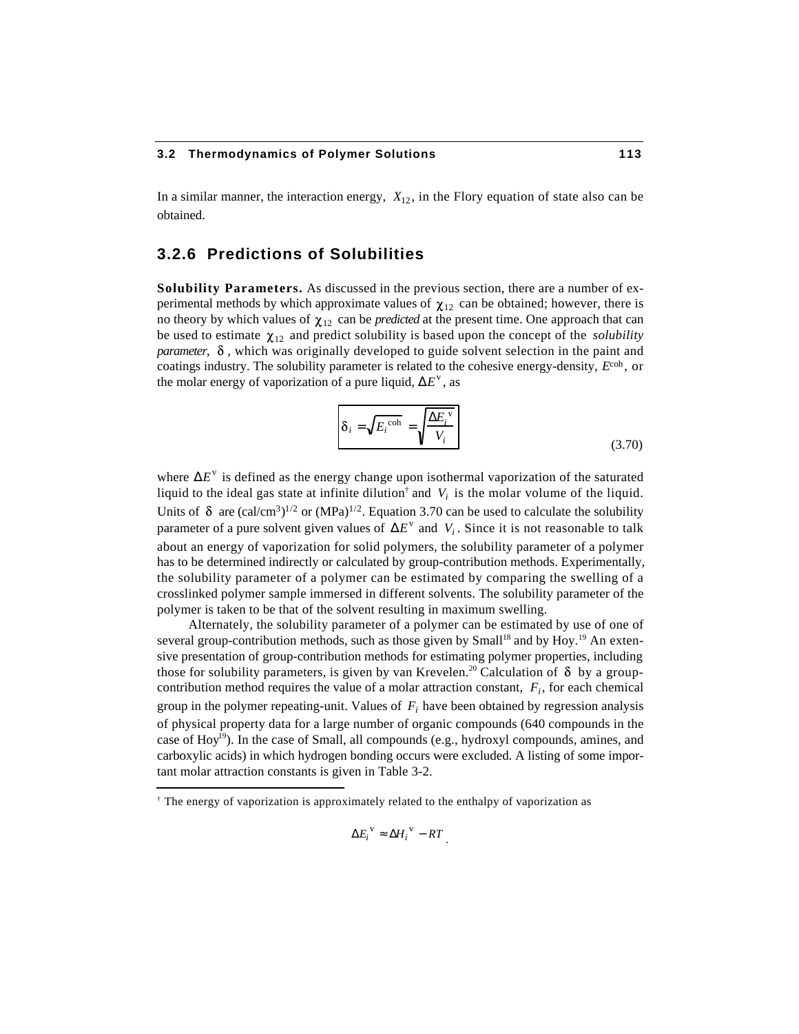In a similar manner, the interaction energy,  $X_{12}$ , in the Flory equation of state also can be obtained.

# **3.2.6 Predictions of Solubilities**

**Solubility Parameters.** As discussed in the previous section, there are a number of experimental methods by which approximate values of  $\chi_{12}$  can be obtained; however, there is no theory by which values of  $\chi_{12}$  can be *predicted* at the present time. One approach that can be used to estimate  $\chi_{12}$  and predict solubility is based upon the concept of the *solubility parameter*,  $\delta$ , which was originally developed to guide solvent selection in the paint and coatings industry. The solubility parameter is related to the cohesive energy-density, *E*coh , or the molar energy of vaporization of a pure liquid,  $E^v$ , as

$$
\delta_i = \sqrt{E_i^{\text{coh}}} = \sqrt{\frac{E_i^{\text{v}}}{V_i}}
$$
\n(3.70)

where  $E^v$  is defined as the energy change upon isothermal vaporization of the saturated liquid to the ideal gas state at infinite dilution<sup>†</sup> and  $V_i$  is the molar volume of the liquid. Units of  $\delta$  are (cal/cm<sup>3</sup>)<sup>1/2</sup> or (MPa)<sup>1/2</sup>. Equation 3.70 can be used to calculate the solubility parameter of a pure solvent given values of  $E^v$  and  $V_i$ . Since it is not reasonable to talk about an energy of vaporization for solid polymers, the solubility parameter of a polymer has to be determined indirectly or calculated by group-contribution methods. Experimentally, the solubility parameter of a polymer can be estimated by comparing the swelling of a crosslinked polymer sample immersed in different solvents. The solubility parameter of the polymer is taken to be that of the solvent resulting in maximum swelling.

Alternately, the solubility parameter of a polymer can be estimated by use of one of several group-contribution methods, such as those given by Small<sup>18</sup> and by Hoy.<sup>19</sup> An extensive presentation of group-contribution methods for estimating polymer properties, including those for solubility parameters, is given by van Krevelen.<sup>20</sup> Calculation of  $\delta$  by a groupcontribution method requires the value of a molar attraction constant, *F<sup>i</sup>* , for each chemical group in the polymer repeating-unit. Values of *F<sup>i</sup>* have been obtained by regression analysis of physical property data for a large number of organic compounds (640 compounds in the case of  $\text{Hoy}^{19}$ ). In the case of Small, all compounds (e.g., hydroxyl compounds, amines, and carboxylic acids) in which hydrogen bonding occurs were excluded. A listing of some important molar attraction constants is given in Table 3-2.

l

$$
E_i^{\mathbf{v}} \qquad H_i^{\mathbf{v}} \sim RT
$$

<sup>†</sup> The energy of vaporization is approximately related to the enthalpy of vaporization as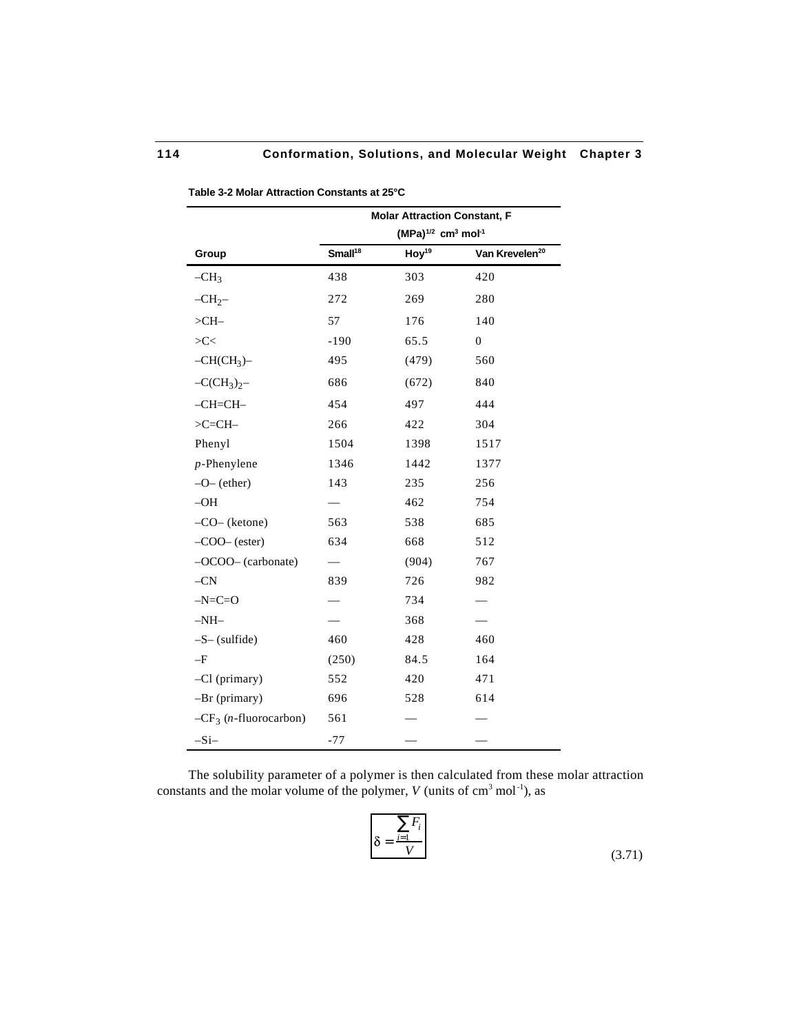|                                   | <b>Molar Attraction Constant, F</b>             |                   |                            |  |
|-----------------------------------|-------------------------------------------------|-------------------|----------------------------|--|
|                                   | $(MPa)^{1/2}$ cm <sup>3</sup> mol <sup>-1</sup> |                   |                            |  |
| Group                             | Small <sup>18</sup>                             | $\text{Hoy}^{19}$ | Van Krevelen <sup>20</sup> |  |
| $-CH3$                            | 438                                             | 303               | 420                        |  |
| $-CH2$                            | 272                                             | 269               | 280                        |  |
| $>CH-$                            | 57                                              | 176               | 140                        |  |
| >C<                               | $-190$                                          | 65.5              | $\overline{0}$             |  |
| $-CH(CH_3)$                       | 495                                             | (479)             | 560                        |  |
| $-CCH_3)_2-$                      | 686                                             | (672)             | 840                        |  |
| $-CH=CH-$                         | 454                                             | 497               | 444                        |  |
| $>C=CH-$                          | 266                                             | 422               | 304                        |  |
| Phenyl                            | 1504                                            | 1398              | 1517                       |  |
| $p$ -Phenylene                    | 1346                                            | 1442              | 1377                       |  |
| $-O-$ (ether)                     | 143                                             | 235               | 256                        |  |
| $-OH$                             |                                                 | 462               | 754                        |  |
| $-CO-$ (ketone)                   | 563                                             | 538               | 685                        |  |
| $-COO-(\text{ester})$             | 634                                             | 668               | 512                        |  |
| $-OCOO-$ (carbonate)              |                                                 | (904)             | 767                        |  |
| $-CN$                             | 839                                             | 726               | 982                        |  |
| $-N=C=O$                          |                                                 | 734               |                            |  |
| $-NH-$                            |                                                 | 368               |                            |  |
| $-S-$ (sulfide)                   | 460                                             | 428               | 460                        |  |
| $-F$                              | (250)                                           | 84.5              | 164                        |  |
| -Cl (primary)                     | 552                                             | 420               | 471                        |  |
| $-Br$ (primary)                   | 696                                             | 528               | 614                        |  |
| $-CF_3$ ( <i>n</i> -fluorocarbon) | 561                                             |                   |                            |  |
| $-Si-$                            | $-77$                                           |                   |                            |  |

**Table 3-2 Molar Attraction Constants at 25°C**

The solubility parameter of a polymer is then calculated from these molar attraction constants and the molar volume of the polymer,  $V$  (units of  $cm<sup>3</sup>$  mol<sup>-1</sup>), as

$$
\delta = \frac{F_i}{V}
$$
 (3.71)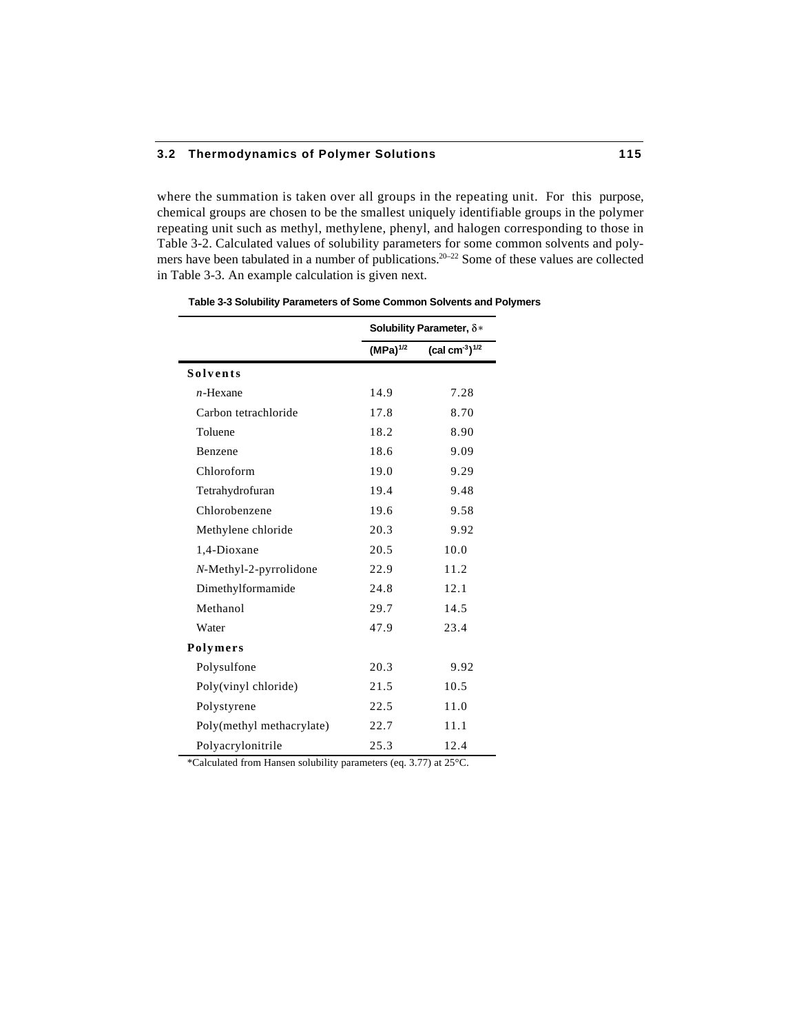where the summation is taken over all groups in the repeating unit. For this purpose, chemical groups are chosen to be the smallest uniquely identifiable groups in the polymer repeating unit such as methyl, methylene, phenyl, and halogen corresponding to those in Table 3-2. Calculated values of solubility parameters for some common solvents and polymers have been tabulated in a number of publications.<sup>20–22</sup> Some of these values are collected in Table 3-3. An example calculation is given next.

|                           | Solubility Parameter, $\delta *$ |                 |
|---------------------------|----------------------------------|-----------------|
|                           | $(MPa)^{1/2}$                    | $(cal cm-3)1/2$ |
| <b>Solvents</b>           |                                  |                 |
| $n$ -Hexane               | 14.9                             | 7.28            |
| Carbon tetrachloride      | 17.8                             | 8.70            |
| Toluene                   | 18.2                             | 8.90            |
| Benzene                   | 18.6                             | 9.09            |
| Chloroform                | 19.0                             | 9.29            |
| Tetrahydrofuran           | 19.4                             | 9.48            |
| Chlorobenzene             | 19.6                             | 9.58            |
| Methylene chloride        | 20.3                             | 9.92            |
| 1,4-Dioxane               | 20.5                             | 10.0            |
| N-Methyl-2-pyrrolidone    | 22.9                             | 11.2            |
| Dimethylformamide         | 24.8                             | 12.1            |
| Methanol                  | 29.7                             | 14.5            |
| Water                     | 47.9                             | 23.4            |
| Polymers                  |                                  |                 |
| Polysulfone               | 20.3                             | 9.92            |
| Poly(vinyl chloride)      | 21.5                             | 10.5            |
| Polystyrene               | 22.5                             | 11.0            |
| Poly(methyl methacrylate) | 22.7                             | 11.1            |
| Polyacrylonitrile         | 25.3                             | 12.4            |

**Table 3-3 Solubility Parameters of Some Common Solvents and Polymers**

\*Calculated from Hansen solubility parameters (eq. 3.77) at 25°C.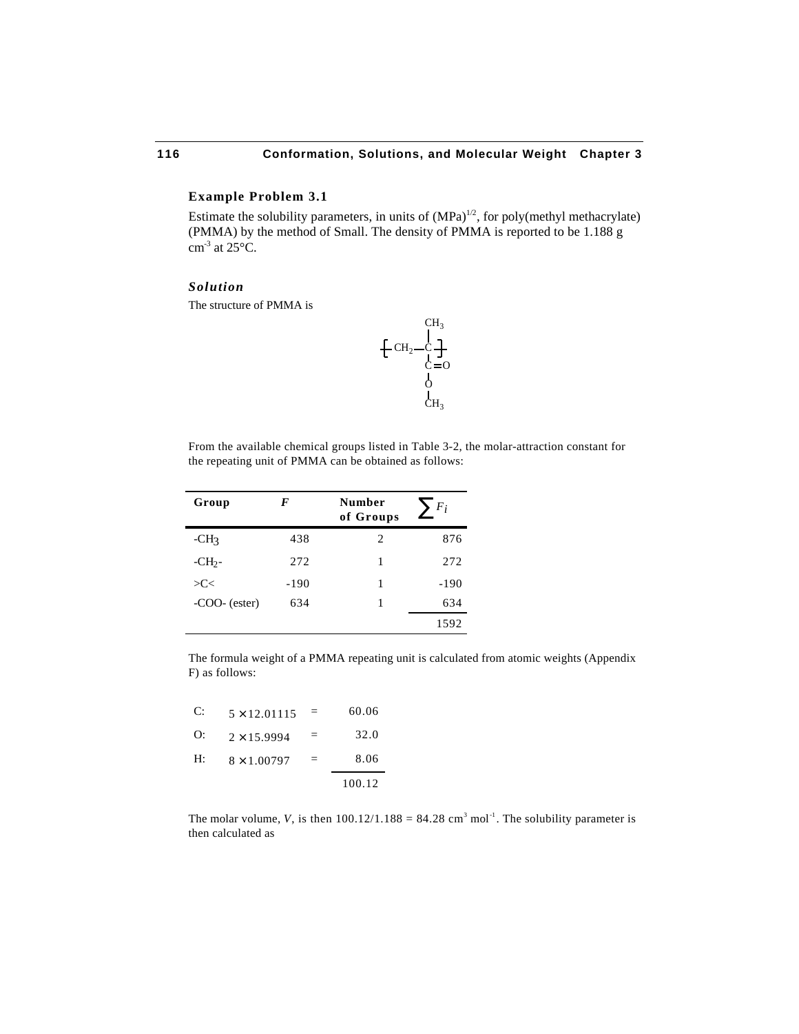#### **Example Problem 3.1**

Estimate the solubility parameters, in units of  $(MPa)^{1/2}$ , for poly(methyl methacrylate) (PMMA) by the method of Small. The density of PMMA is reported to be 1.188 g  $cm<sup>3</sup>$  at 25 $°C$ .

#### *Solution*

The structure of PMMA is



From the available chemical groups listed in Table 3-2, the molar-attraction constant for the repeating unit of PMMA can be obtained as follows:

| Group           | F    | Number<br>of Groups | $F_i$ |
|-----------------|------|---------------------|-------|
| $-CH3$          | 438  | 2                   | 876   |
| $-CH2$          | 272  | 1                   | 272   |
| >C<             | -190 | 1                   | -190  |
| $-COO-$ (ester) | 634  | 1                   | 634   |
|                 |      |                     | 1592  |

The formula weight of a PMMA repeating unit is calculated from atomic weights (Appendix F) as follows:

| C: | $5 \times 12.01115$ | $=$ | 60.06  |
|----|---------------------|-----|--------|
| O: | $2 \times 15.9994$  | =   | 32.0   |
| H: | $8 \times 1.00797$  | =   | 8.06   |
|    |                     |     | 100.12 |

The molar volume, *V*, is then  $100.12/1.188 = 84.28$  cm<sup>3</sup> mol<sup>-1</sup>. The solubility parameter is then calculated as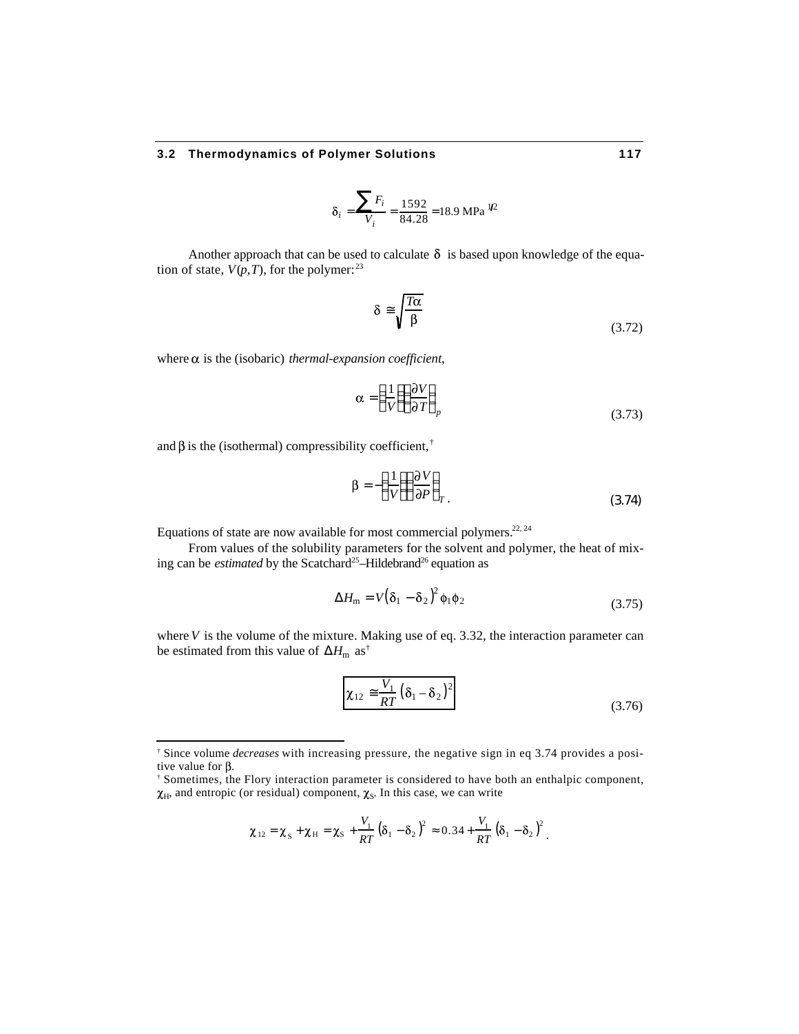$$
\delta_i = \frac{F_i}{V_i} = \frac{1592}{84.28} = 18.9 \text{ MPa} \, \text{M}
$$

Another approach that can be used to calculate  $\delta$  is based upon knowledge of the equation of state,  $V(p,T)$ , for the polymer:<sup>23</sup>

$$
\delta \sqrt{\frac{T\alpha}{\beta}} \tag{3.72}
$$

where  $\alpha$  is the (isobaric) *thermal-expansion coefficient*,

$$
\alpha = \frac{1}{V} \frac{\partial V}{\partial T}_{p} \tag{3.73}
$$

and  $\beta$  is the (isothermal) compressibility coefficient,  $\dagger$ 

l

$$
\beta = -\frac{1}{V} \frac{\partial V}{\partial P} \Big|_{T} \tag{3.74}
$$

Equations of state are now available for most commercial polymers.<sup>22, 24</sup>

From values of the solubility parameters for the solvent and polymer, the heat of mixing can be *estimated* by the Scatchard<sup>25</sup>-Hildebrand<sup>26</sup> equation as

$$
H_{\rm m} = V \left(\delta_1 - \delta_2\right)^2 \phi_1 \phi_2 \tag{3.75}
$$

where *V* is the volume of the mixture. Making use of eq. 3.32, the interaction parameter can be estimated from this value of  $H_{\text{m}}$  as<sup>†</sup>

$$
\chi_{12} \quad \frac{V_1}{RT} \left(\delta_1 - \delta_2\right)^2 \tag{3.76}
$$

$$
\chi_{12} = \chi_{\rm S} + \chi_{\rm H} = \chi_{\rm S} + \frac{V_{\rm L}}{RT} \left(\delta_1 - \delta_2\right)^2 \quad 0.34 + \frac{V_{\rm L}}{RT} \left(\delta_1 - \delta_2\right)^2.
$$

<sup>†</sup> Since volume *decreases* with increasing pressure, the negative sign in eq 3.74 provides a positive value for  $\beta$ .

<sup>†</sup> Sometimes, the Flory interaction parameter is considered to have both an enthalpic component,  $_{\text{H}}$ , and entropic (or residual) component,  $\chi_{\text{S}}$ . In this case, we can write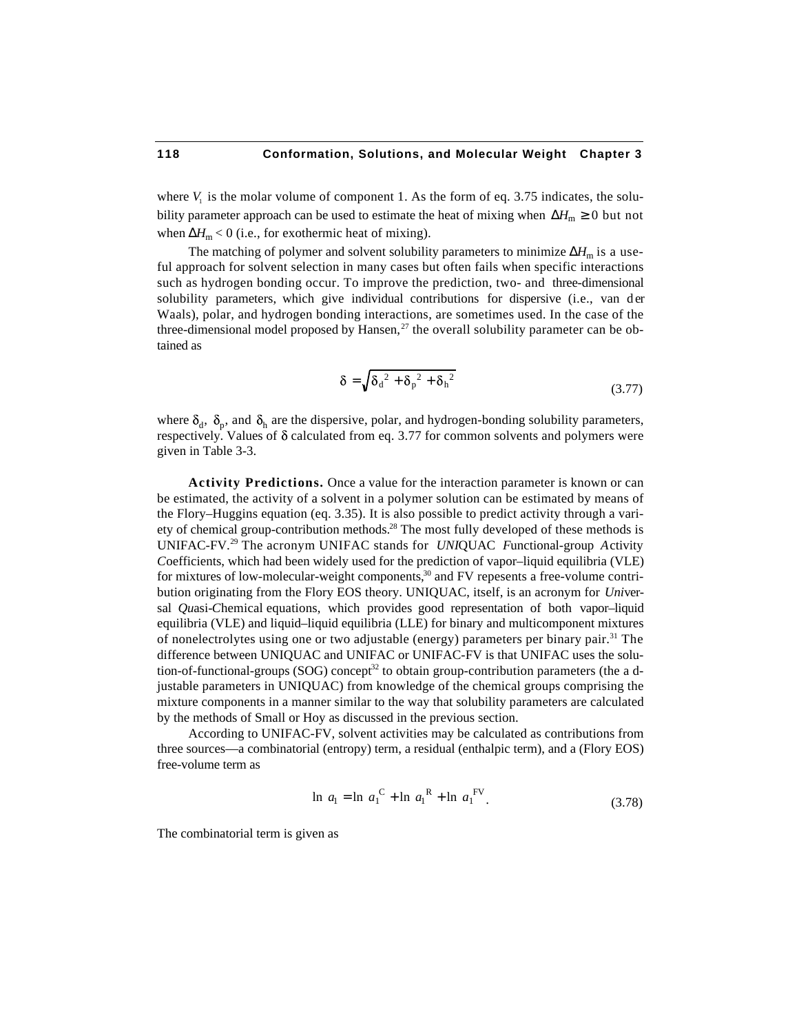where  $V_1$  is the molar volume of component 1. As the form of eq. 3.75 indicates, the solubility parameter approach can be used to estimate the heat of mixing when  $H_m$  0 but not when  $H_m < 0$  (i.e., for exothermic heat of mixing).

The matching of polymer and solvent solubility parameters to minimize  $H_m$  is a useful approach for solvent selection in many cases but often fails when specific interactions such as hydrogen bonding occur. To improve the prediction, two- and three-dimensional solubility parameters, which give individual contributions for dispersive (i.e., van der Waals), polar, and hydrogen bonding interactions, are sometimes used. In the case of the three-dimensional model proposed by Hansen, $^{27}$  the overall solubility parameter can be obtained as

$$
\delta = \sqrt{\delta_d^2 + \delta_p^2 + \delta_h^2}
$$
 (3.77)

where  $\delta_d$ ,  $\delta_p$ , and  $\delta_h$  are the dispersive, polar, and hydrogen-bonding solubility parameters, respectively. Values of  $\delta$  calculated from eq. 3.77 for common solvents and polymers were given in Table 3-3.

**Activity Predictions.** Once a value for the interaction parameter is known or can be estimated, the activity of a solvent in a polymer solution can be estimated by means of the Flory–Huggins equation (eq. 3.35). It is also possible to predict activity through a variety of chemical group-contribution methods.<sup>28</sup> The most fully developed of these methods is UNIFAC-FV.<sup>29</sup> The acronym UNIFAC stands for *UNI*QUAC *F*unctional-group *A*ctivity *C*oefficients, which had been widely used for the prediction of vapor–liquid equilibria (VLE) for mixtures of low-molecular-weight components,<sup>30</sup> and FV repesents a free-volume contribution originating from the Flory EOS theory. UNIQUAC, itself, is an acronym for *Uni*versal *Qu*asi-*C*hemical equations, which provides good representation of both vapor–liquid equilibria (VLE) and liquid–liquid equilibria (LLE) for binary and multicomponent mixtures of nonelectrolytes using one or two adjustable (energy) parameters per binary pair.<sup>31</sup> The difference between UNIQUAC and UNIFAC or UNIFAC-FV is that UNIFAC uses the solution-of-functional-groups (SOG) concept<sup>32</sup> to obtain group-contribution parameters (the a djustable parameters in UNIQUAC) from knowledge of the chemical groups comprising the mixture components in a manner similar to the way that solubility parameters are calculated by the methods of Small or Hoy as discussed in the previous section.

According to UNIFAC-FV, solvent activities may be calculated as contributions from three sources—a combinatorial (entropy) term, a residual (enthalpic term), and a (Flory EOS) free-volume term as

$$
\ln a_1 = \ln a_1^{\text{C}} + \ln a_1^{\text{R}} + \ln a_1^{\text{FV}}.
$$
 (3.78)

The combinatorial term is given as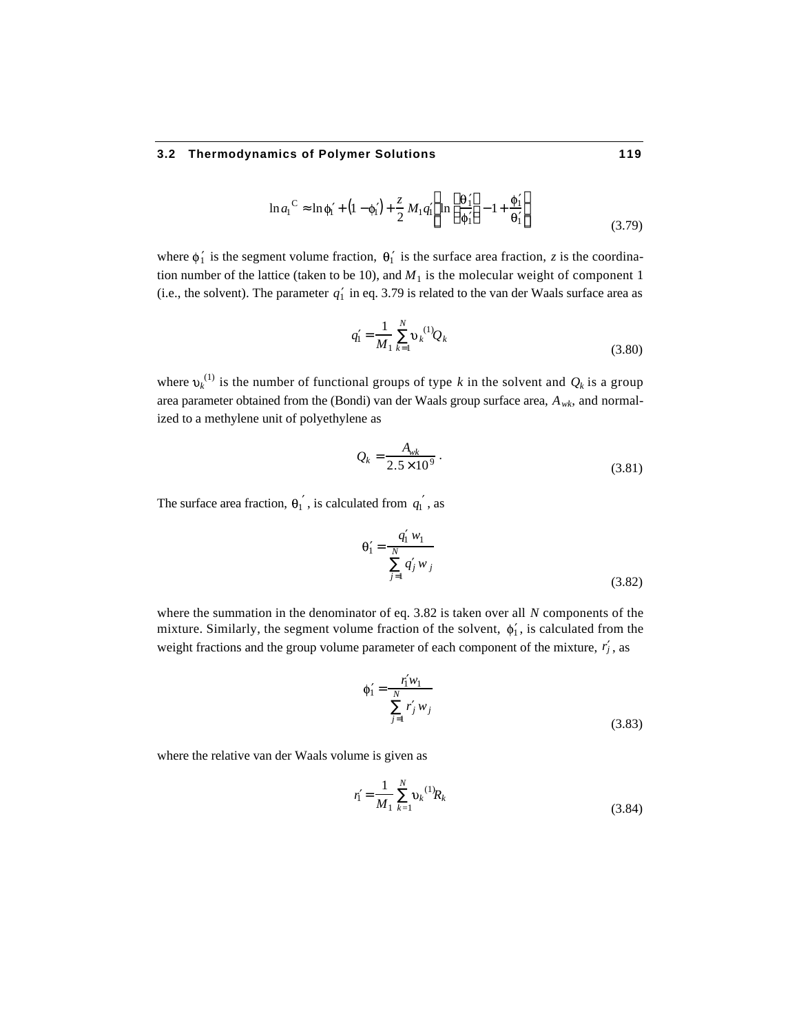$$
\ln a_1^C
$$
  $\ln \phi_1 + (1 - \phi_1) + \frac{z}{2} M_1 q_1$   $\ln \frac{\theta_1}{\phi_1} - 1 + \frac{\phi_1}{\theta_1}$  (3.79)

where  $\phi_1$  is the segment volume fraction,  $\theta_1$  is the surface area fraction, *z* is the coordination number of the lattice (taken to be 10), and  $M_1$  is the molecular weight of component 1 (i.e., the solvent). The parameter  $q_1$  in eq. 3.79 is related to the van der Waals surface area as

$$
q_1 = \frac{1}{M_1} \sum_{k=1}^{N} v_k^{(1)} Q_k
$$
 (3.80)

where  $v_k^{(1)}$  is the number of functional groups of type *k* in the solvent and  $Q_k$  is a group area parameter obtained from the (Bondi) van der Waals group surface area, *Awk*, and normalized to a methylene unit of polyethylene as

$$
Q_k = \frac{A_{wk}}{2.5 \times 10^9} \,. \tag{3.81}
$$

The surface area fraction,  $\theta_1$ , is calculated from  $q_1$ , as

$$
\theta_1 = \frac{q_1 w_1}{N}
$$
  
  $q_j w_j$  (3.82)

where the summation in the denominator of eq. 3.82 is taken over all *N* components of the mixture. Similarly, the segment volume fraction of the solvent,  $\phi_1$ , is calculated from the weight fractions and the group volume parameter of each component of the mixture,  $r_j$ , as

$$
\phi_1 = \frac{r_1 w_1}{N}
$$
  

$$
r_j w_j
$$
  
(3.83)

where the relative van der Waals volume is given as

$$
r_1 = \frac{1}{M_1} \sum_{k=1}^{N} v_k^{(1)} R_k
$$
 (3.84)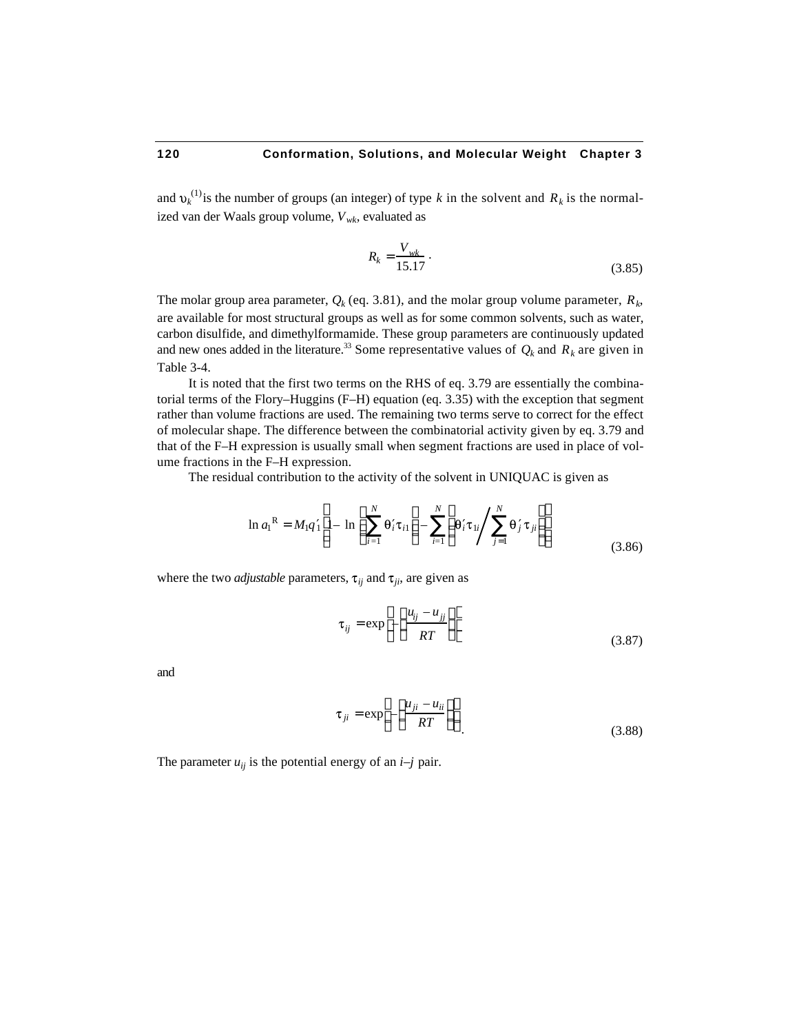and  $v_k^{(1)}$  is the number of groups (an integer) of type *k* in the solvent and  $R_k$  is the normalized van der Waals group volume, *Vwk*, evaluated as

$$
R_k = \frac{V_{wk}}{15.17} \,. \tag{3.85}
$$

The molar group area parameter,  $Q_k$  (eq. 3.81), and the molar group volume parameter,  $R_k$ , are available for most structural groups as well as for some common solvents, such as water, carbon disulfide, and dimethylformamide. These group parameters are continuously updated and new ones added in the literature.<sup>33</sup> Some representative values of  $Q_k$  and  $R_k$  are given in Table 3-4.

It is noted that the first two terms on the RHS of eq. 3.79 are essentially the combinatorial terms of the Flory–Huggins (F–H) equation (eq. 3.35) with the exception that segment rather than volume fractions are used. The remaining two terms serve to correct for the effect of molecular shape. The difference between the combinatorial activity given by eq. 3.79 and that of the F–H expression is usually small when segment fractions are used in place of volume fractions in the F–H expression.

The residual contribution to the activity of the solvent in UNIQUAC is given as

$$
\ln a_{1}^{R} = M_{1}q_{1} \cdot 1 - \ln \bigg|_{i=1}^{N} \theta_{i} \tau_{i1} - \bigg|_{i=1}^{N} \theta_{i} \tau_{1i} \bigg|_{j=1}^{N} \theta_{j} \tau_{ji}
$$
\n(3.86)

where the two *adjustable* parameters,  $\tau_{ij}$  and  $\tau_{ji}$ , are given as

$$
\tau_{ij} = \exp - \frac{u_{ij} - u_{jj}}{RT}
$$
\n(3.87)

and

$$
\tau_{ji} = \exp - \frac{u_{ji} - u_{ii}}{RT}
$$
\n(3.88)

The parameter  $u_{ii}$  is the potential energy of an  $i-j$  pair.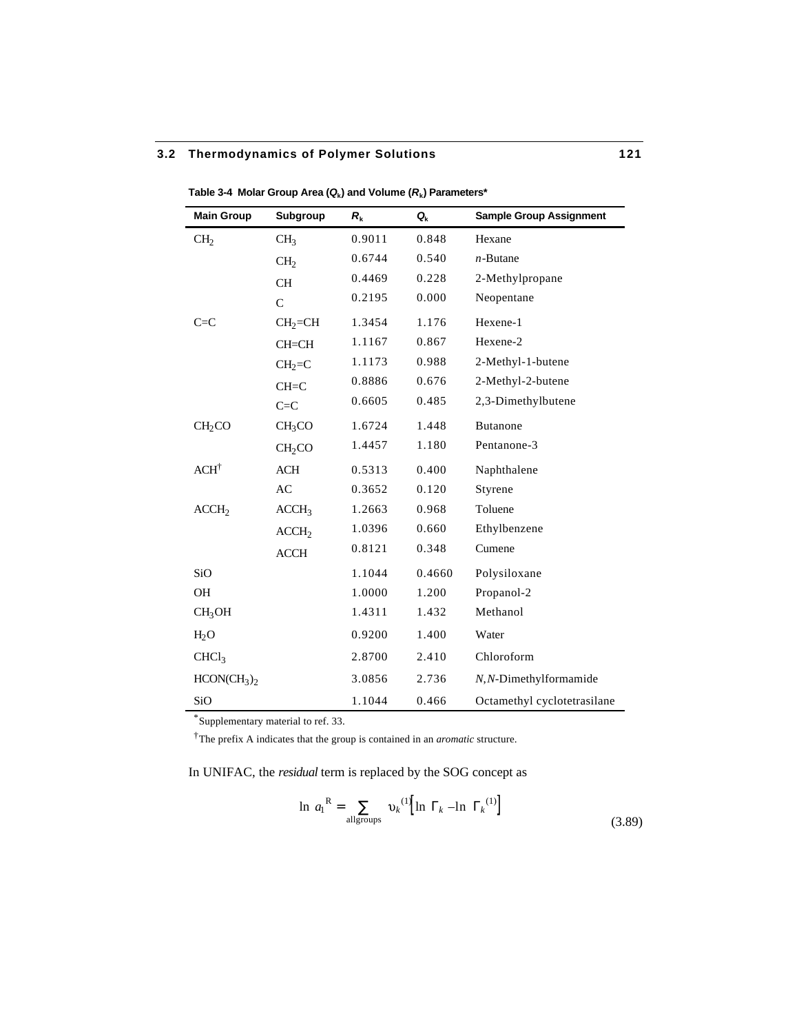| <b>Main Group</b>                   | Subgroup           | $R_{k}$ | $Q_{k}$ | <b>Sample Group Assignment</b> |
|-------------------------------------|--------------------|---------|---------|--------------------------------|
| CH <sub>2</sub>                     | CH <sub>3</sub>    | 0.9011  | 0.848   | Hexane                         |
|                                     | CH <sub>2</sub>    | 0.6744  | 0.540   | $n$ -Butane                    |
|                                     | <b>CH</b>          | 0.4469  | 0.228   | 2-Methylpropane                |
|                                     | $\mathbf C$        | 0.2195  | 0.000   | Neopentane                     |
| $C = C$                             | $CH2=CH$           | 1.3454  | 1.176   | Hexene-1                       |
|                                     | $CH=CH$            | 1.1167  | 0.867   | Hexene-2                       |
|                                     | $CH2=C$            | 1.1173  | 0.988   | 2-Methyl-1-butene              |
|                                     | $CH=C$             | 0.8886  | 0.676   | 2-Methyl-2-butene              |
|                                     | $C = C$            | 0.6605  | 0.485   | 2,3-Dimethylbutene             |
| CH <sub>2</sub> CO                  | CH <sub>3</sub> CO | 1.6724  | 1.448   | <b>Butanone</b>                |
|                                     | CH <sub>2</sub> CO | 1.4457  | 1.180   | Pentanone-3                    |
| $ACH^{\dagger}$                     | <b>ACH</b>         | 0.5313  | 0.400   | Naphthalene                    |
|                                     | AC                 | 0.3652  | 0.120   | Styrene                        |
| ACCH <sub>2</sub>                   | ACCH <sub>3</sub>  | 1.2663  | 0.968   | Toluene                        |
|                                     | ACCH <sub>2</sub>  | 1.0396  | 0.660   | Ethylbenzene                   |
|                                     | <b>ACCH</b>        | 0.8121  | 0.348   | Cumene                         |
| SiO                                 |                    | 1.1044  | 0.4660  | Polysiloxane                   |
| <b>OH</b>                           |                    | 1.0000  | 1.200   | Propanol-2                     |
| CH <sub>3</sub> OH                  |                    | 1.4311  | 1.432   | Methanol                       |
| H <sub>2</sub> O                    |                    | 0.9200  | 1.400   | Water                          |
| CHCl <sub>3</sub>                   |                    | 2.8700  | 2.410   | Chloroform                     |
| HCON(CH <sub>3</sub> ) <sub>2</sub> |                    | 3.0856  | 2.736   | N,N-Dimethylformamide          |
| SiO                                 |                    | 1.1044  | 0.466   | Octamethyl cyclotetrasilane    |

**Table 3-4 Molar Group Area (***Q***<sup>k</sup> ) and Volume (***R***<sup>k</sup> ) Parameters\***

\*Supplementary material to ref. 33.

†The prefix A indicates that the group is contained in an *aromatic* structure.

In UNIFAC, the *residual* term is replaced by the SOG concept as

$$
\ln a_1^R = \bigcup_{\text{allgroups}} \nu_k^{(1)} \bigg[ \ln a_k - \ln a_k^{(1)} \bigg] \tag{3.89}
$$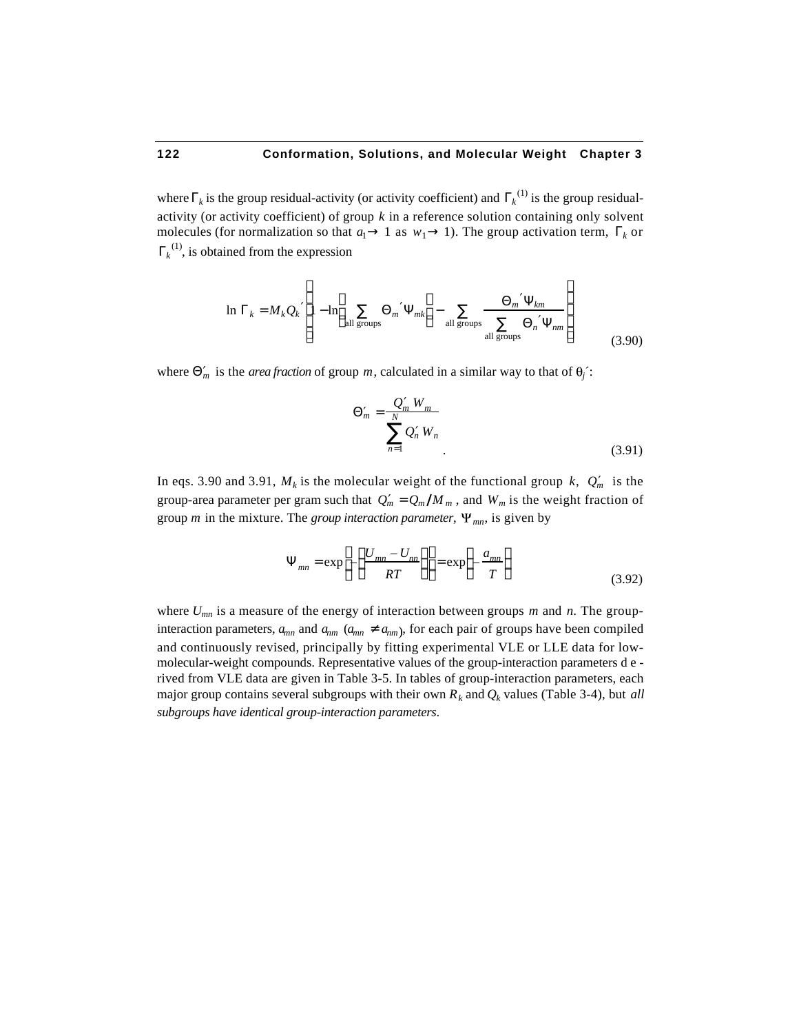where  $\kappa$  is the group residual-activity (or activity coefficient) and  $\kappa^{(1)}$  is the group residualactivity (or activity coefficient) of group *k* in a reference solution containing only solvent molecules (for normalization so that  $a_1$  1 as  $w_1$  1). The group activation term,  $\kappa$  or  $k^{(1)}$ , is obtained from the expression

$$
\ln \quad k = M_k Q_k \quad 1 - \ln \quad m \quad m \quad k \quad - \quad \frac{m \quad km}{\text{all groups}} \quad n \quad nm \tag{3.90}
$$

where  $\mu$  is the *area fraction* of group *m*, calculated in a similar way to that of  $\theta_j$ .

$$
m = \frac{Q_m W_m}{N}
$$
  

$$
Q_n W_n
$$
  

$$
n = 1
$$
 (3.91)

In eqs. 3.90 and 3.91,  $M_k$  is the molecular weight of the functional group  $k$ ,  $Q_m$  is the group-area parameter per gram such that  $Q_m = Q_m / M_m$ , and  $W_m$  is the weight fraction of group *m* in the mixture. The *group interaction parameter*,  $\Psi_{mn}$ , is given by

$$
_{mn} = \exp -\frac{U_{mn} - U_{nn}}{RT} = \exp -\frac{a_{mn}}{T}
$$
\n(3.92)

where *Umn* is a measure of the energy of interaction between groups *m* and *n*. The groupinteraction parameters,  $a_{mn}$  and  $a_{nm}$  ( $a_{mn}$  *a<sub>nm</sub>*), for each pair of groups have been compiled and continuously revised, principally by fitting experimental VLE or LLE data for lowmolecular-weight compounds. Representative values of the group-interaction parameters d e rived from VLE data are given in Table 3-5. In tables of group-interaction parameters, each major group contains several subgroups with their own  $R_k$  and  $Q_k$  values (Table 3-4), but *all subgroups have identical group-interaction parameters*.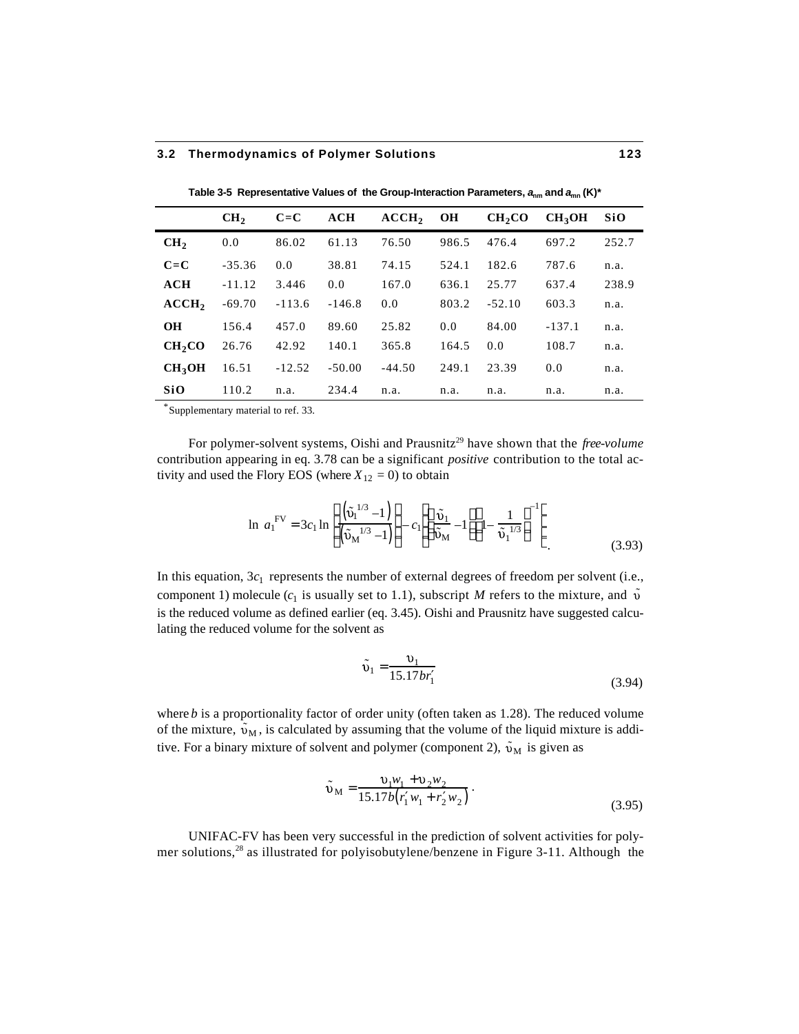|                    | CH <sub>2</sub> | $C = C$  | ACH      | ACCH <sub>2</sub> | <b>OH</b> | CH <sub>2</sub> CO | CH <sub>3</sub> OH | <b>SiO</b> |
|--------------------|-----------------|----------|----------|-------------------|-----------|--------------------|--------------------|------------|
| CH <sub>2</sub>    | 0.0             | 86.02    | 61.13    | 76.50             | 986.5     | 476.4              | 697.2              | 252.7      |
| $C = C$            | $-35.36$        | 0.0      | 38.81    | 74.15             | 524.1     | 182.6              | 787.6              | n.a.       |
| ACH                | $-11.12$        | 3.446    | 0.0      | 167.0             | 636.1     | 25.77              | 637.4              | 238.9      |
| ACCH <sub>2</sub>  | $-69.70$        | $-113.6$ | $-146.8$ | 0.0               | 803.2     | $-52.10$           | 603.3              | n.a.       |
| <b>OH</b>          | 156.4           | 457.0    | 89.60    | 25.82             | 0.0       | 84.00              | $-137.1$           | n.a.       |
| CH <sub>2</sub> CO | 26.76           | 42.92    | 140.1    | 365.8             | 164.5     | 0.0                | 108.7              | n.a.       |
| CH <sub>3</sub> OH | 16.51           | $-12.52$ | $-50.00$ | $-44.50$          | 249.1     | 23.39              | 0.0                | n.a.       |
| SiO                | 110.2           | n.a.     | 234.4    | n.a.              | n.a.      | n.a.               | n.a.               | n.a.       |
| * - -              |                 |          |          |                   |           |                    |                    |            |

Table 3-5 Representative Values of the Group-Interaction Parameters,  $a_{nm}$  and  $a_{mn}$  (K)\*

\*Supplementary material to ref. 33.

For polymer-solvent systems, Oishi and Prausnitz<sup>29</sup> have shown that the *free-volume* contribution appearing in eq. 3.78 can be a significant *positive* contribution to the total activity and used the Flory EOS (where  $X_{12} = 0$ ) to obtain

$$
\ln a_1^{\text{FV}} = 3c_1 \ln \frac{\left(\tilde{v}_1^{1/3} - 1\right)}{\left(\tilde{v}_M^{1/3} - 1\right)} - c_1 \frac{\tilde{v}_1}{\tilde{v}_M} - 1 \frac{1}{\tilde{v}_1^{1/3}}
$$
\n(3.93)

In this equation,  $3c_1$  represents the number of external degrees of freedom per solvent (i.e., component 1) molecule  $(c_1$  is usually set to 1.1), subscript *M* refers to the mixture, and  $\tilde{v}$ is the reduced volume as defined earlier (eq. 3.45). Oishi and Prausnitz have suggested calculating the reduced volume for the solvent as

$$
\tilde{v}_1 = \frac{v_1}{15.17br_1} \tag{3.94}
$$

where *b* is a proportionality factor of order unity (often taken as 1.28). The reduced volume of the mixture,  $\tilde{v}_M$ , is calculated by assuming that the volume of the liquid mixture is additive. For a binary mixture of solvent and polymer (component 2),  $\tilde{v}_M$  is given as

$$
\tilde{v}_{M} = \frac{v_{1}w_{1} + v_{2}w_{2}}{15.17b(r_{1}w_{1} + r_{2}w_{2})}.
$$
\n(3.95)

UNIFAC-FV has been very successful in the prediction of solvent activities for polymer solutions,<sup>28</sup> as illustrated for polyisobutylene/benzene in Figure 3-11. Although the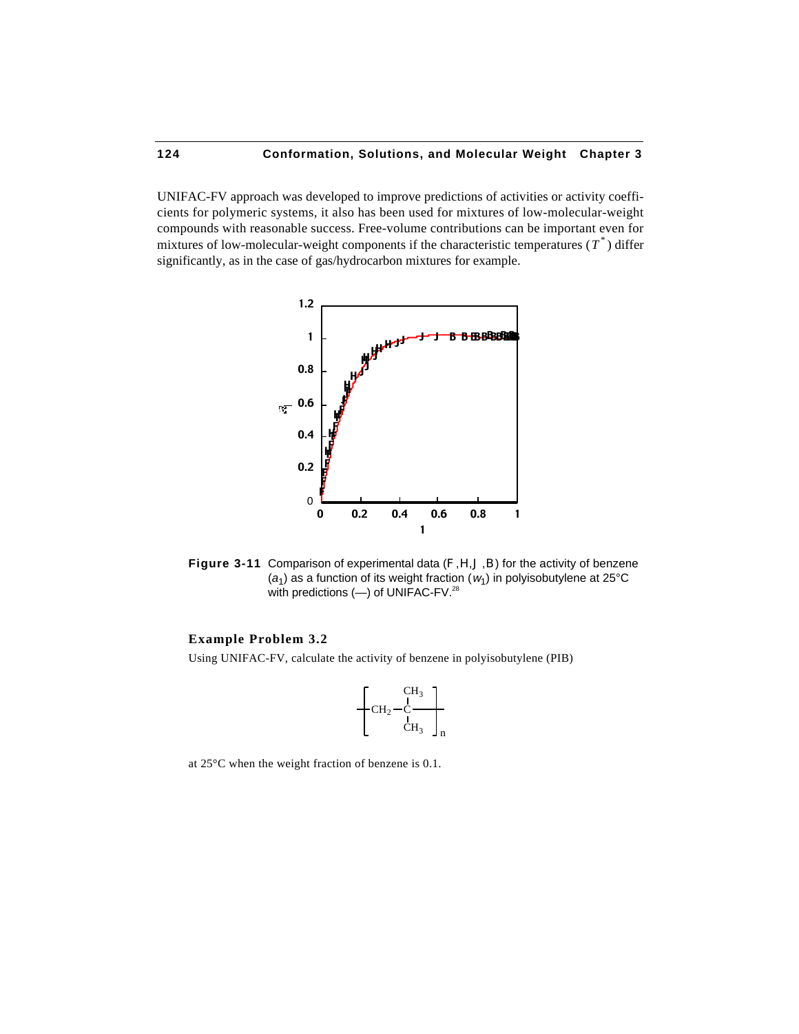UNIFAC-FV approach was developed to improve predictions of activities or activity coefficients for polymeric systems, it also has been used for mixtures of low-molecular-weight compounds with reasonable success. Free-volume contributions can be important even for mixtures of low-molecular-weight components if the characteristic temperatures  $(T^*)$  differ significantly, as in the case of gas/hydrocarbon mixtures for example.



**Figure 3-11** Comparison of experimental data (F,H,J,B) for the activity of benzene ( $a_1$ ) as a function of its weight fraction ( $w_1$ ) in polyisobutylene at 25°C with predictions (-) of UNIFAC-FV.<sup>28</sup>

### **Example Problem 3.2**

Using UNIFAC-FV, calculate the activity of benzene in polyisobutylene (PIB)

$$
\left\{\!\!\!\begin{array}{c}\scriptstyle{\mathrm{CH}_3}\\ \scriptstyle{\mathrm{CH}_2-\mathrm{C}}\\ \scriptstyle{\mathrm{CH}_3}\end{array}\right\}_n
$$

at 25°C when the weight fraction of benzene is 0.1.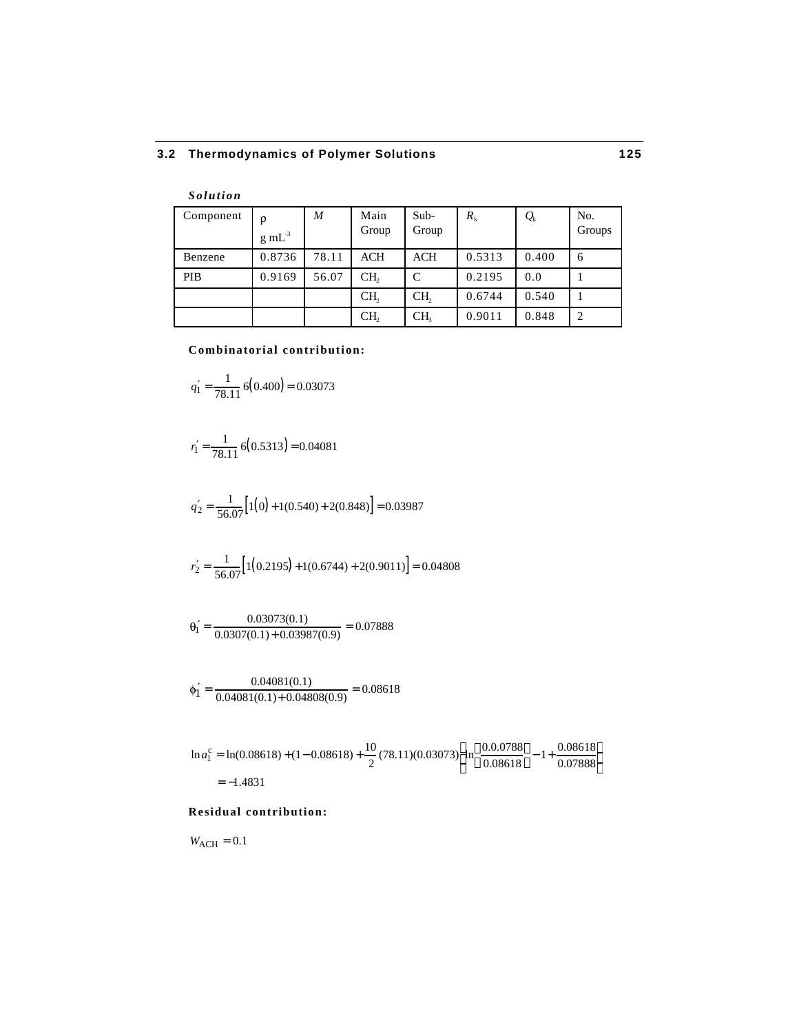| <b>Solution</b> |                     |       |                 |                 |         |                   |                |
|-----------------|---------------------|-------|-----------------|-----------------|---------|-------------------|----------------|
| Component       | ρ                   | M     | Main            | $Sub-$          | $R_{k}$ | $\mathcal{Q}_{k}$ | No.            |
|                 | $g \text{ mL}^{-3}$ |       | Group           | Group           |         |                   | Groups         |
| Benzene         | 0.8736              | 78.11 | ACH             | ACH             | 0.5313  | 0.400             | 6              |
| <b>PIB</b>      | 0.9169              | 56.07 | CH <sub>2</sub> | C               | 0.2195  | 0.0               |                |
|                 |                     |       | CH <sub>2</sub> | CH <sub>2</sub> | 0.6744  | 0.540             |                |
|                 |                     |       | CH,             | CH <sub>3</sub> | 0.9011  | 0.848             | $\overline{2}$ |

#### **Combinatorial contribution:**

$$
q_1 = \frac{1}{78.11} 6(0.400) = 0.03073
$$

$$
r_1 = \frac{1}{78.11} 6(0.5313) = 0.04081
$$

$$
q_2 = \frac{1}{56.07} \Big[ 1(0) + 1(0.540) + 2(0.848) \Big] = 0.03987
$$

$$
r_2 = \frac{1}{56.07} \Big[ 1(0.2195) + 1(0.6744) + 2(0.9011) \Big] = 0.04808
$$

$$
\theta_1 = \frac{0.03073(0.1)}{0.0307(0.1) + 0.03987(0.9)} = 0.07888
$$

$$
\phi_1 = \frac{0.04081(0.1)}{0.04081(0.1) + 0.04808(0.9)} = 0.08618
$$

$$
\ln a_1^c = \ln(0.08618) + (1 - 0.08618) + \frac{10}{2}(78.11)(0.03073) \ln \frac{0.0.0788}{0.08618} - 1 + \frac{0.08618}{0.07888}
$$
  
= -1.4831

# **Residual contribution:**

 $W_{\text{ACH}} = 0.1$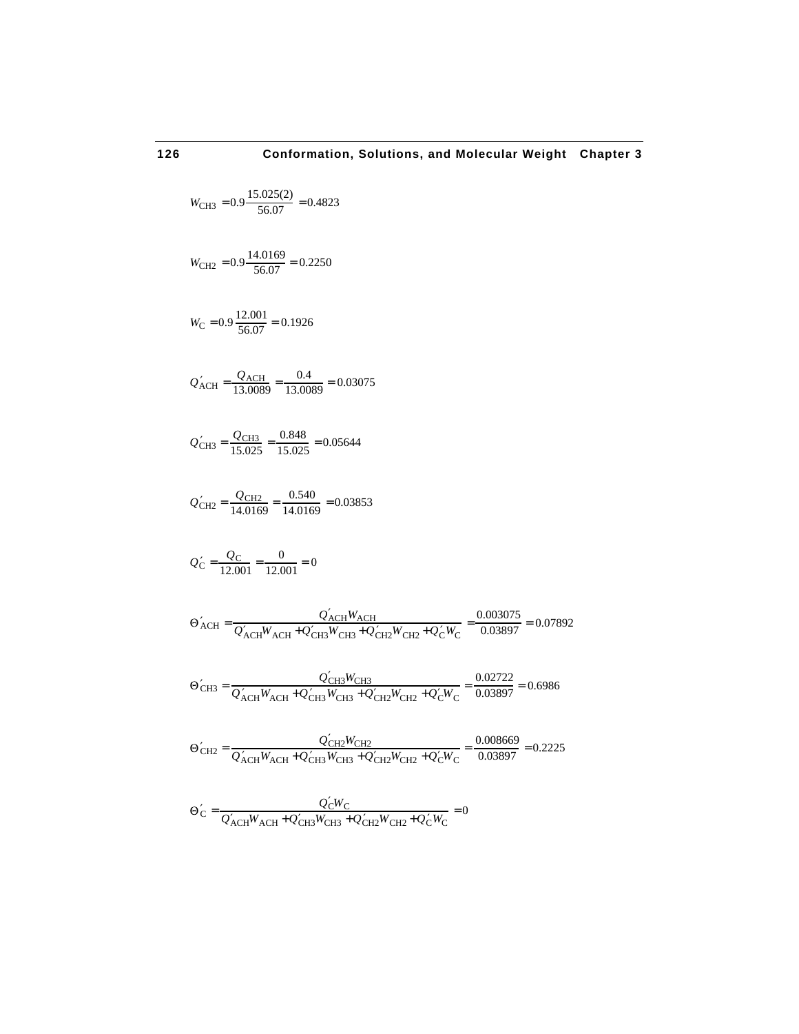$$
W_{\text{CH3}} = 0.9 \frac{15.025(2)}{56.07} = 0.4823
$$
\n
$$
W_{\text{CH2}} = 0.9 \frac{14.0169}{56.07} = 0.2250
$$
\n
$$
W_{\text{C}} = 0.9 \frac{12.001}{56.07} = 0.1926
$$
\n
$$
Q_{\text{ACH}} = \frac{Q_{\text{ACH}}}{13.0089} = \frac{0.4}{13.0089} = 0.03075
$$
\n
$$
Q_{\text{CH3}} = \frac{Q_{\text{CH3}}}{15.025} = \frac{0.848}{15.025} = 0.05644
$$
\n
$$
Q_{\text{CH2}} = \frac{Q_{\text{CH2}}}{14.0169} = \frac{0.540}{14.0169} = 0.03853
$$
\n
$$
Q_{\text{C}} = \frac{Q_{\text{C}}}{12.001} = \frac{0}{12.001} = 0
$$
\n
$$
\Theta_{\text{ACH}} = \frac{Q_{\text{ACH}} W_{\text{ACH}}}{Q_{\text{ACH}} W_{\text{ACH}} + Q_{\text{CH3}} W_{\text{CH3}} + Q_{\text{CH2}} W_{\text{CH2}} + Q_{\text{C}} W_{\text{C}}}{0.03897} = 0.07892
$$
\n
$$
\Theta_{\text{CH3}} = \frac{Q_{\text{CH3}} W_{\text{ACH}}}{Q_{\text{ACH}} W_{\text{ACH}} + Q_{\text{CH3}} W_{\text{CH3}} + Q_{\text{CH2}} W_{\text{CH2}} + Q_{\text{C}} W_{\text{C}}}{0.03897} = 0.6986
$$
\n
$$
\Theta_{\text{CH2}} = \frac{Q_{\text{CH2}} W_{\text{ACH}}}{Q_{\text{ACH}} W_{\text{ACH}} + Q_{\text{CH3}} W_{\text{CH3}} + Q_{\text{CH2}} W_{\text{CH2}} + Q_{\text{C}} W_{\text{C}}}{0.03897} = 0.2225
$$
\n
$$
Q_{\text{
$$

 $C = \frac{Q_C W_C}{Q_W W_C}$  $Q_{\text{ACH}}W_{\text{ACH}} + Q_{\text{CH3}}W_{\text{CH3}} + Q_{\text{CH2}}W_{\text{CH2}} + Q_{\text{CW}} = 0$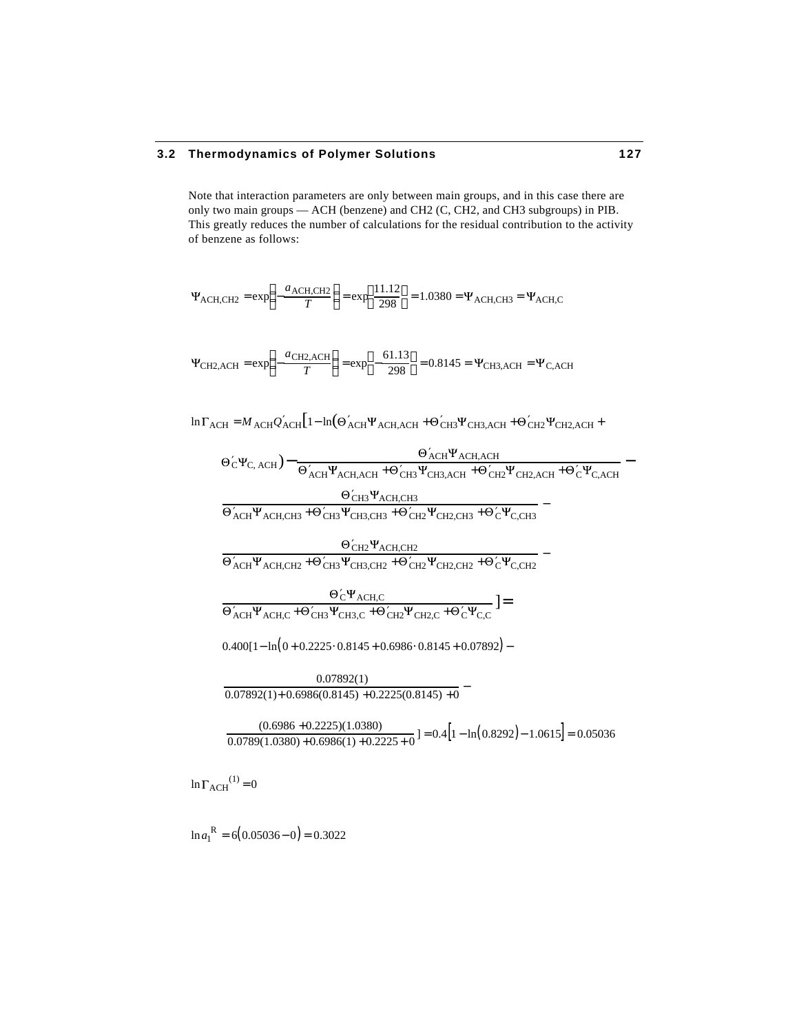Note that interaction parameters are only between main groups, and in this case there are only two main groups — ACH (benzene) and CH2 (C, CH2, and CH3 subgroups) in PIB. This greatly reduces the number of calculations for the residual contribution to the activity of benzene as follows:

 $\text{ACH,CH2} = \text{exp} \quad -\frac{a_{\text{ACH,CH2}}}{T}$ *T*  $-\frac{a_{\text{ACH},\text{CH2}}}{T}$  $= \exp \frac{11.12}{298}$ 298 J r. =  $1.0380$  =  $\Psi$ <sub>ACH,CH3</sub> =  $\Psi$ <sub>ACH,C</sub>

 $CH2, ACH = exp - \frac{a_{CH2,ACH}}{T}$ *T*  $-\frac{a_{\text{CH2,ACH}}}{T}$  $= \exp \ -\frac{61.13}{298}$ 298 =  $0.8145$  =  $\Psi$ <sub>CH3,ACH</sub> =  $\Psi$ <sub>C,ACH</sub>

ln  $\Gamma_{\text{ACH}}$  = *M* <sub>ACH</sub>Q<sub>ACH</sub> $\left[1-\ln(\Theta_{\text{ACH}}\Psi_{\text{ACH,ACH}} + \Theta_{\text{CH3}}\Psi_{\text{CH3,ACH}} + \Theta_{\text{CH2}}\Psi_{\text{CH2,ACH}} + \Theta_{\text{CH2}}\Psi_{\text{CH2,ACH}}\right]$ 

 $\Theta_{\text{C}}\Psi_{\text{C, ACH}}$ ) –  $\Theta_{\text{ACH}}$  (e) w  $\Theta_{\text{ACH}}$  (e)  $\Theta$  $\frac{\sigma_{\rm{ACH}} + \sigma_{\rm{CH}} + \sigma_{\rm{CH}}}{\sigma_{\rm{CH}} + \sigma_{\rm{CH}} + \sigma_{\rm{CH}} + \sigma_{\rm{CH}} + \sigma_{\rm{CH}} + \sigma_{\rm{CH}} + \sigma_{\rm{CH}} + \sigma_{\rm{CH}} + \sigma_{\rm{CH}} + \sigma_{\rm{CH}} + \sigma_{\rm{CH}} + \sigma_{\rm{CH}} + \sigma_{\rm{CH}} + \sigma_{\rm{CH}} + \sigma_{\rm{CH}} + \sigma_{\rm{CH}} + \sigma_{\rm{CH}} + \sigma_{\rm{CH}} + \sigma_{\rm{CH}} + \sigma_{\rm{CH}} + \sigma_{\rm{CH}} + \$ снз $\Psi$ асн,снз  $\frac{1-\text{CB}-\text{ACH},\text{CB}}{1-\text{C}}$  +  $\Theta$  CH3<sup>+</sup> CH3, CH3 +  $\Theta$  CH2<sup>+</sup> C<sub>H2</sub>, CH3 +  $\Theta$  C<sup>H</sup><sub>C</sub>, CH3  $-$ 

 $_{\rm CH2}$  $\Psi_{\rm ACH,CH2}$  $\frac{\text{C}}{\text{ACH}}$  $\frac{\Psi_{\text{ACH,CH2}} + \Theta_{\text{CH3}} \Psi_{\text{CH3,CH2}} + \Theta_{\text{CH2}} \Psi_{\text{CH2,CH2}} + \Theta_{\text{C}} \Psi_{\text{C,CH2}}}{\text{C}}$ 

 $\rm{c}\rm{^{\mathbf{\Psi}}$ ach,c  $\frac{\sigma_{\rm C} + \gamma_{\rm ACH,C}}{(\sigma_{\rm C} + \sigma_{\rm CH3} + \sigma_{\rm CH2})^2 \sigma_{\rm CH2} + \sigma_{\rm C} + \sigma_{\rm C} + \sigma_{\rm C}^2}$ ] =

 $0.400[1 - ln(0 + 0.2225 \cdot 0.8145 + 0.6986 \cdot 0.8145 + 0.07892]$  –

0.07892(1)  $\frac{0.07892(1) + 0.6986(0.8145) + 0.2225(0.8145) + 0}{0.07892(1) + 0.6986(0.8145) + 0.2225(0.8145) + 0}$ 

(0.6986 +0.2225)(1.0380)  $\frac{(0.0960 + 0.2229)(1.0360)}{0.0789(1.0380) + 0.6986(1) + 0.2225 + 0} = 0.4[1 - \ln(0.8292) - 1.0615] = 0.05036$ 

 $\ln \Gamma_{\text{ACH}}^{(1)} = 0$ 

 $\ln a_1^{\text{R}} = 6(0.05036 - 0) = 0.3022$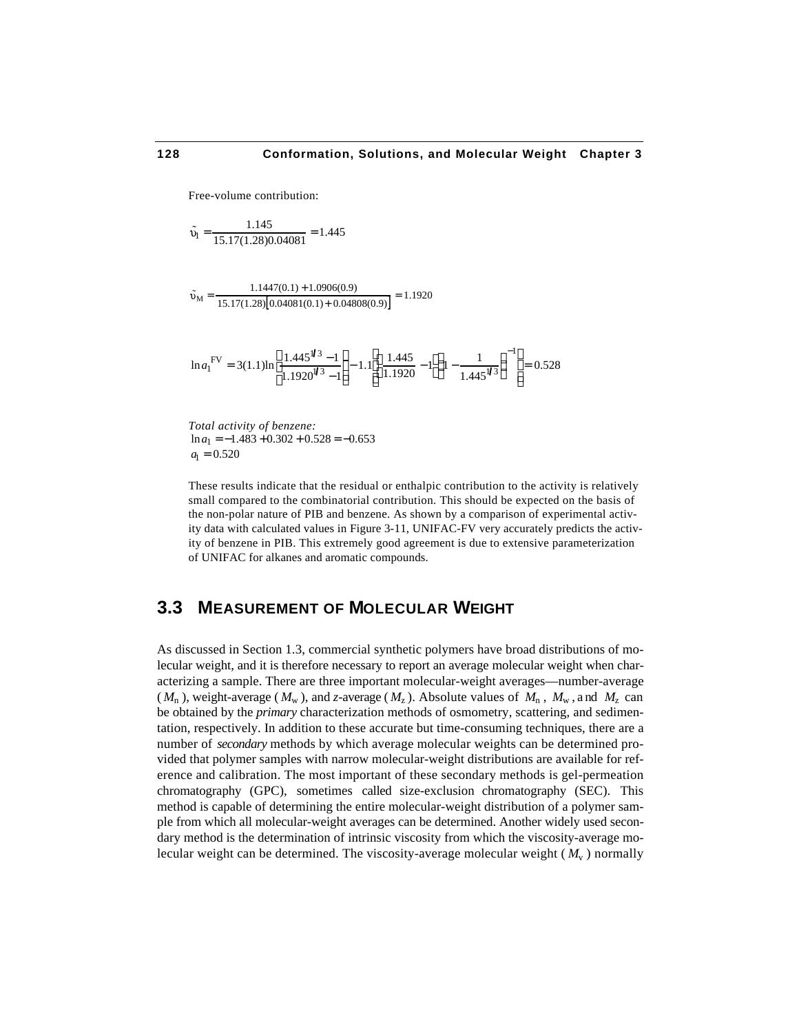Free-volume contribution:

$$
\tilde{\upsilon}_l = \frac{1.145}{15.17(1.28)0.04081} = 1.445
$$

 $\tilde{O}_{\rm M} = \frac{1.1447(0.1) + 1.0906(0.9)}{15,17(1,28)\sqrt{0.04081(0.1) + 0.048}}$ 15.17(1.28)[0.04081(0.1)+ 0.04808(0.9)]  $= 1.1920$ 

$$
\ln a_1^{\text{FV}} = 3(1.1) \ln \frac{1.445^{\frac{1}{3}} - 1}{1.1920^{\frac{1}{3}} - 1} - 1.1 \frac{1.445}{1.1920} - 1 \frac{1}{1.445^{\frac{1}{3}}} - \frac{1}{1.445^{\frac{1}{3}}} = 0.528
$$

*Total activity of benzene:*  $ln a_1 = -1.483 + 0.302 + 0.528 = -0.653$  $a_1 = 0.520$ 

These results indicate that the residual or enthalpic contribution to the activity is relatively small compared to the combinatorial contribution. This should be expected on the basis of the non-polar nature of PIB and benzene. As shown by a comparison of experimental activity data with calculated values in Figure 3-11, UNIFAC-FV very accurately predicts the activity of benzene in PIB. This extremely good agreement is due to extensive parameterization of UNIFAC for alkanes and aromatic compounds.

# **3.3 MEASUREMENT OF MOLECULAR WEIGHT**

As discussed in Section 1.3, commercial synthetic polymers have broad distributions of molecular weight, and it is therefore necessary to report an average molecular weight when characterizing a sample. There are three important molecular-weight averages—number-average  $(M_n)$ , weight-average  $(M_w)$ , and *z*-average  $(M_z)$ . Absolute values of  $M_n$ ,  $M_w$ , and  $M_z$  can be obtained by the *primary* characterization methods of osmometry, scattering, and sedimentation, respectively. In addition to these accurate but time-consuming techniques, there are a number of *secondary* methods by which average molecular weights can be determined provided that polymer samples with narrow molecular-weight distributions are available for reference and calibration. The most important of these secondary methods is gel-permeation chromatography (GPC), sometimes called size-exclusion chromatography (SEC). This method is capable of determining the entire molecular-weight distribution of a polymer sample from which all molecular-weight averages can be determined. Another widely used secondary method is the determination of intrinsic viscosity from which the viscosity-average molecular weight can be determined. The viscosity-average molecular weight ( $M_{\rm v}$ ) normally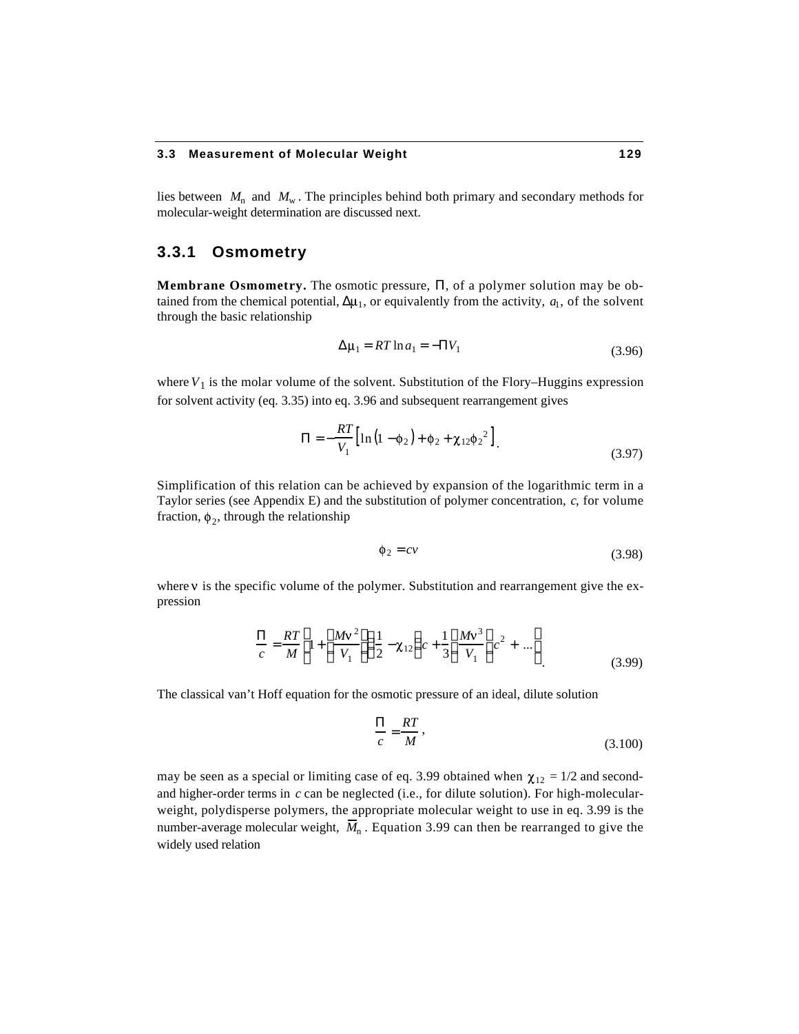#### **3.3 Measurement of Molecular Weight 129**

lies between  $M_n$  and  $M_w$ . The principles behind both primary and secondary methods for molecular-weight determination are discussed next.

## **3.3.1 Osmometry**

**Membrane Osmometry.** The osmotic pressure, , of a polymer solution may be obtained from the chemical potential,  $\mu_1$ , or equivalently from the activity,  $a_1$ , of the solvent through the basic relationship

$$
\mu_1 = RT \ln a_1 = -V_1 \tag{3.96}
$$

where  $V_1$  is the molar volume of the solvent. Substitution of the Flory–Huggins expression for solvent activity (eq. 3.35) into eq. 3.96 and subsequent rearrangement gives

$$
= -\frac{RT}{V_1} \Big[ \ln \Big( 1 - \phi_2 \Big) + \phi_2 + \chi_{12} \phi_2^2 \Big] \ . \tag{3.97}
$$

Simplification of this relation can be achieved by expansion of the logarithmic term in a Taylor series (see Appendix E) and the substitution of polymer concentration, *c*, for volume fraction,  $\phi_2$ , through the relationship

$$
\phi_2 = cv \tag{3.98}
$$

where  $\nu$  is the specific volume of the polymer. Substitution and rearrangement give the expression

$$
\frac{RT}{c} = \frac{RT}{M} \left(1 + \frac{Mv^2}{V_1} - \frac{1}{2} - \chi_{12} \right) c + \frac{1}{3} \frac{Mv^3}{V_1} c^2 + \dots
$$
\n(3.99)

The classical van't Hoff equation for the osmotic pressure of an ideal, dilute solution

$$
\frac{RT}{c} = \frac{RT}{M},\tag{3.100}
$$

may be seen as a special or limiting case of eq. 3.99 obtained when  $\chi_{12} = 1/2$  and secondand higher-order terms in *c* can be neglected (i.e., for dilute solution). For high-molecularweight, polydisperse polymers, the appropriate molecular weight to use in eq. 3.99 is the number-average molecular weight,  $\overline{M}_n$ . Equation 3.99 can then be rearranged to give the widely used relation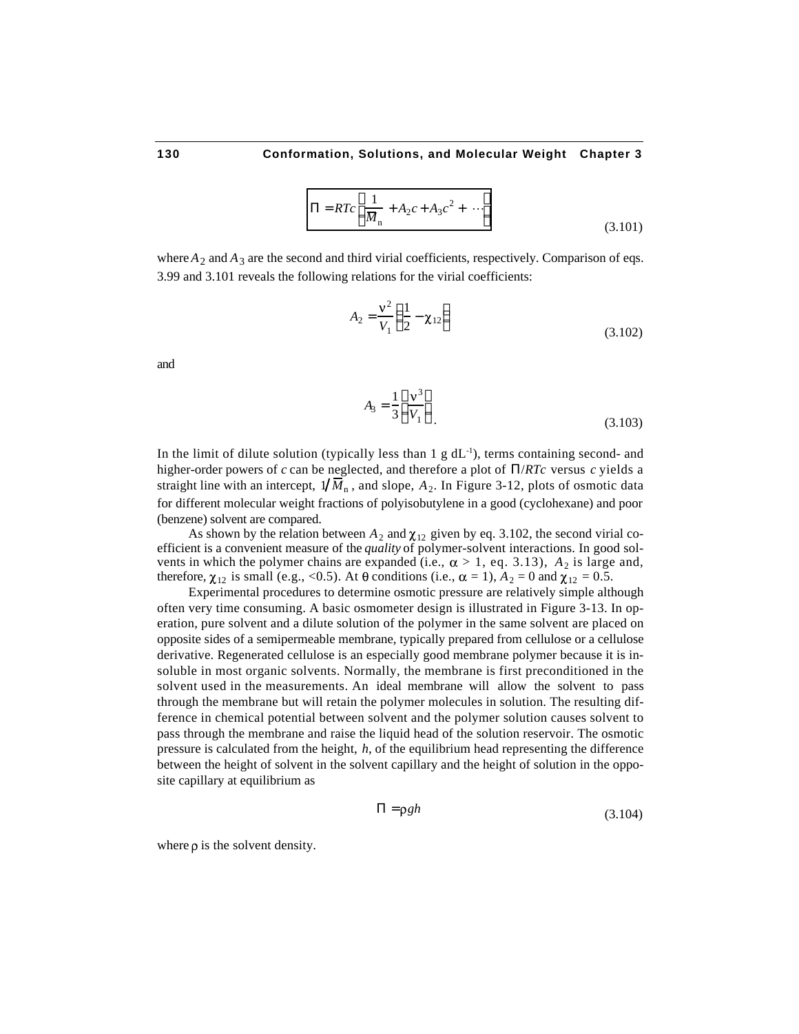$$
= RTc \frac{1}{M_{\rm n}} + A_2c + A_3c^2 + \cdots
$$
 (3.101)

where  $A_2$  and  $A_3$  are the second and third virial coefficients, respectively. Comparison of eqs. 3.99 and 3.101 reveals the following relations for the virial coefficients:

$$
A_2 = \frac{v^2}{V_1} - \frac{1}{2} - \chi_{12}
$$
 (3.102)

and

$$
A_3 = \frac{1}{3} \frac{v^3}{V_1} \tag{3.103}
$$

In the limit of dilute solution (typically less than  $1 \text{ g d}L^{-1}$ ), terms containing second- and higher-order powers of *c* can be neglected, and therefore a plot of /*RTc* versus *c* yields a straight line with an intercept,  $1/M_{\rm n}$ , and slope,  $A_2$ . In Figure 3-12, plots of osmotic data for different molecular weight fractions of polyisobutylene in a good (cyclohexane) and poor (benzene) solvent are compared.

As shown by the relation between  $A_2$  and  $\chi_{12}$  given by eq. 3.102, the second virial coefficient is a convenient measure of the *quality* of polymer-solvent interactions. In good solvents in which the polymer chains are expanded (i.e.,  $\alpha > 1$ , eq. 3.13),  $A_2$  is large and, therefore,  $\chi_{12}$  is small (e.g., <0.5). At  $\theta$  conditions (i.e.,  $\alpha = 1$ ),  $A_2 = 0$  and  $\chi_{12} = 0.5$ .

Experimental procedures to determine osmotic pressure are relatively simple although often very time consuming. A basic osmometer design is illustrated in Figure 3-13. In operation, pure solvent and a dilute solution of the polymer in the same solvent are placed on opposite sides of a semipermeable membrane, typically prepared from cellulose or a cellulose derivative. Regenerated cellulose is an especially good membrane polymer because it is insoluble in most organic solvents. Normally, the membrane is first preconditioned in the solvent used in the measurements. An ideal membrane will allow the solvent to pass through the membrane but will retain the polymer molecules in solution. The resulting difference in chemical potential between solvent and the polymer solution causes solvent to pass through the membrane and raise the liquid head of the solution reservoir. The osmotic pressure is calculated from the height, *h*, of the equilibrium head representing the difference between the height of solvent in the solvent capillary and the height of solution in the opposite capillary at equilibrium as

$$
= \rho g h \tag{3.104}
$$

where  $\rho$  is the solvent density.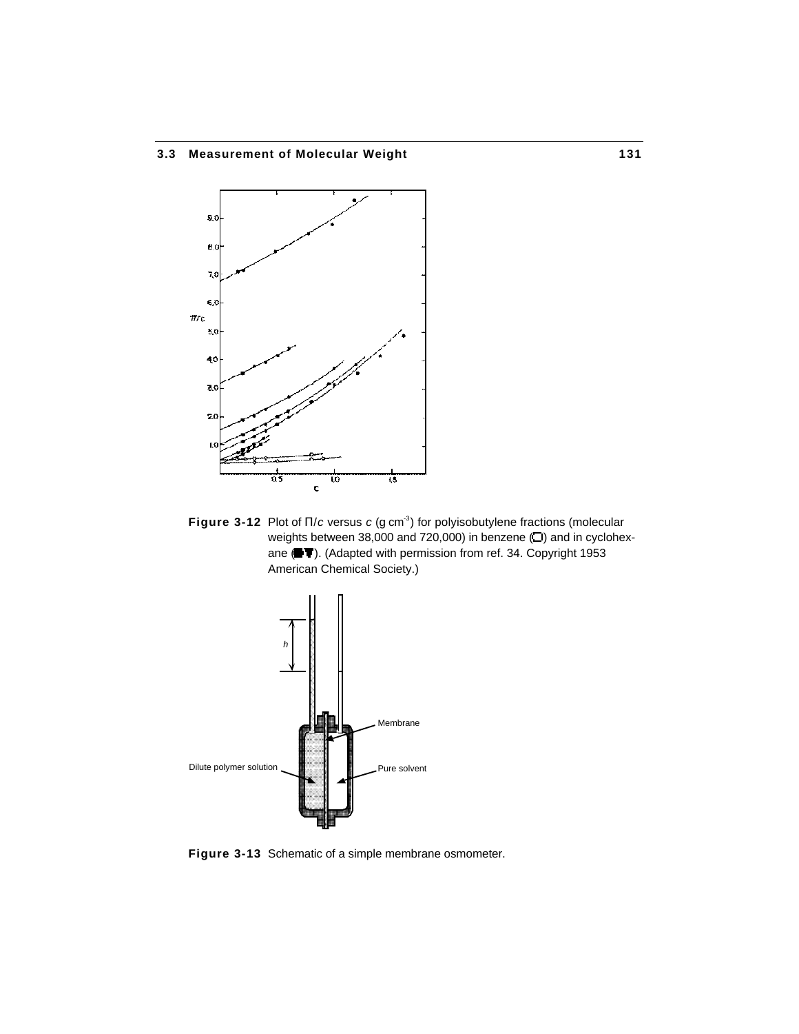## **3.3 Measurement of Molecular Weight 131**



**Figure 3-12** Plot of /*c* versus *c* (g cm<sup>-3</sup>) for polyisobutylene fractions (molecular weights between 38,000 and 720,000) in benzene  $(D)$  and in cyclohexane ( $\blacksquare$ ). (Adapted with permission from ref. 34. Copyright 1953 American Chemical Society.)



**Figure 3-13** Schematic of a simple membrane osmometer.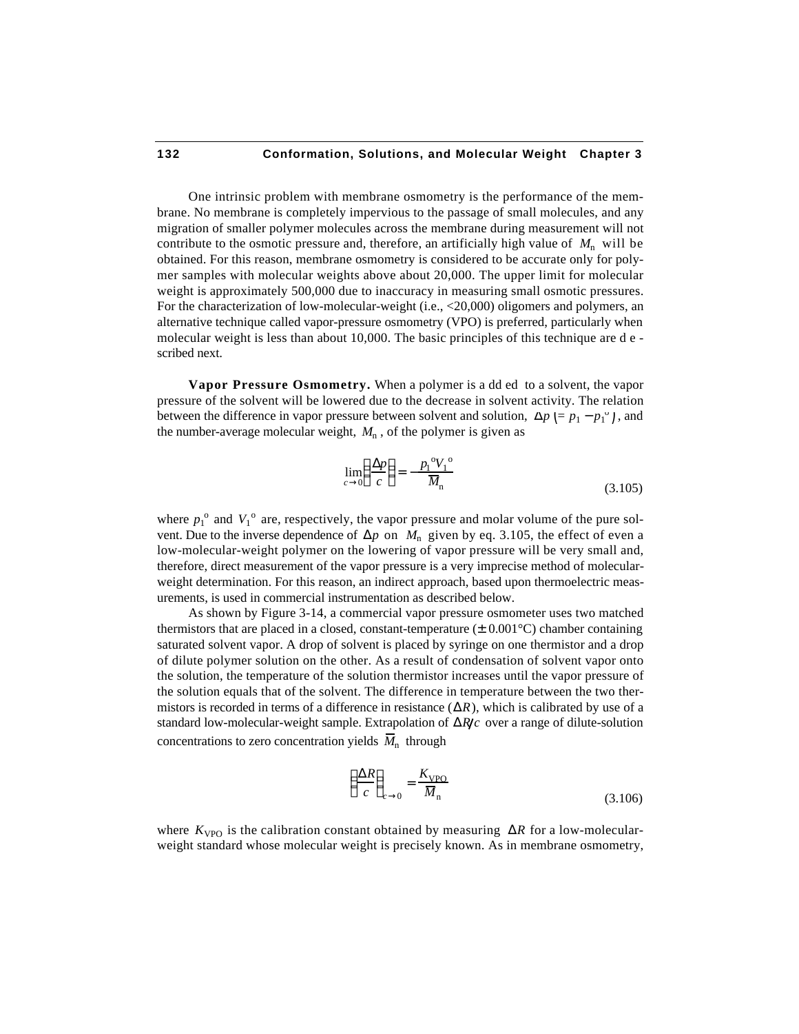One intrinsic problem with membrane osmometry is the performance of the membrane. No membrane is completely impervious to the passage of small molecules, and any migration of smaller polymer molecules across the membrane during measurement will not contribute to the osmotic pressure and, therefore, an artificially high value of  $M_n$  will be obtained. For this reason, membrane osmometry is considered to be accurate only for polymer samples with molecular weights above about 20,000. The upper limit for molecular weight is approximately 500,000 due to inaccuracy in measuring small osmotic pressures. For the characterization of low-molecular-weight (i.e., <20,000) oligomers and polymers, an alternative technique called vapor-pressure osmometry (VPO) is preferred, particularly when molecular weight is less than about 10,000. The basic principles of this technique are d e scribed next.

**Vapor Pressure Osmometry.** When a polymer is a dd ed to a solvent, the vapor pressure of the solvent will be lowered due to the decrease in solvent activity. The relation between the difference in vapor pressure between solvent and solution,  $= p_1 - p_1^{\circ}$ , and the number-average molecular weight,  $M_n$ , of the polymer is given as

$$
\lim_{c \to 0} \frac{p}{c} = -\frac{p_1^{\circ} V_1^{\circ}}{M_n}
$$
\n(3.105)

where  $p_1^{\,\text{o}}$  and  $V_1^{\,\text{o}}$  are, respectively, the vapor pressure and molar volume of the pure solvent. Due to the inverse dependence of  $p$  on  $M_n$  given by eq. 3.105, the effect of even a low-molecular-weight polymer on the lowering of vapor pressure will be very small and, therefore, direct measurement of the vapor pressure is a very imprecise method of molecularweight determination. For this reason, an indirect approach, based upon thermoelectric measurements, is used in commercial instrumentation as described below.

As shown by Figure 3-14, a commercial vapor pressure osmometer uses two matched thermistors that are placed in a closed, constant-temperature  $(\pm 0.001^{\circ}C)$  chamber containing saturated solvent vapor. A drop of solvent is placed by syringe on one thermistor and a drop of dilute polymer solution on the other. As a result of condensation of solvent vapor onto the solution, the temperature of the solution thermistor increases until the vapor pressure of the solution equals that of the solvent. The difference in temperature between the two thermistors is recorded in terms of a difference in resistance ( *R*), which is calibrated by use of a standard low-molecular-weight sample. Extrapolation of *R c* over a range of dilute-solution concentrations to zero concentration yields  $\overline{M}_n$  through

$$
\frac{R}{c_{c=0}} = \frac{K_{\text{VPO}}}{\overline{M}_{\text{n}}} \tag{3.106}
$$

where  $K_{\text{VPO}}$  is the calibration constant obtained by measuring *R* for a low-molecularweight standard whose molecular weight is precisely known. As in membrane osmometry,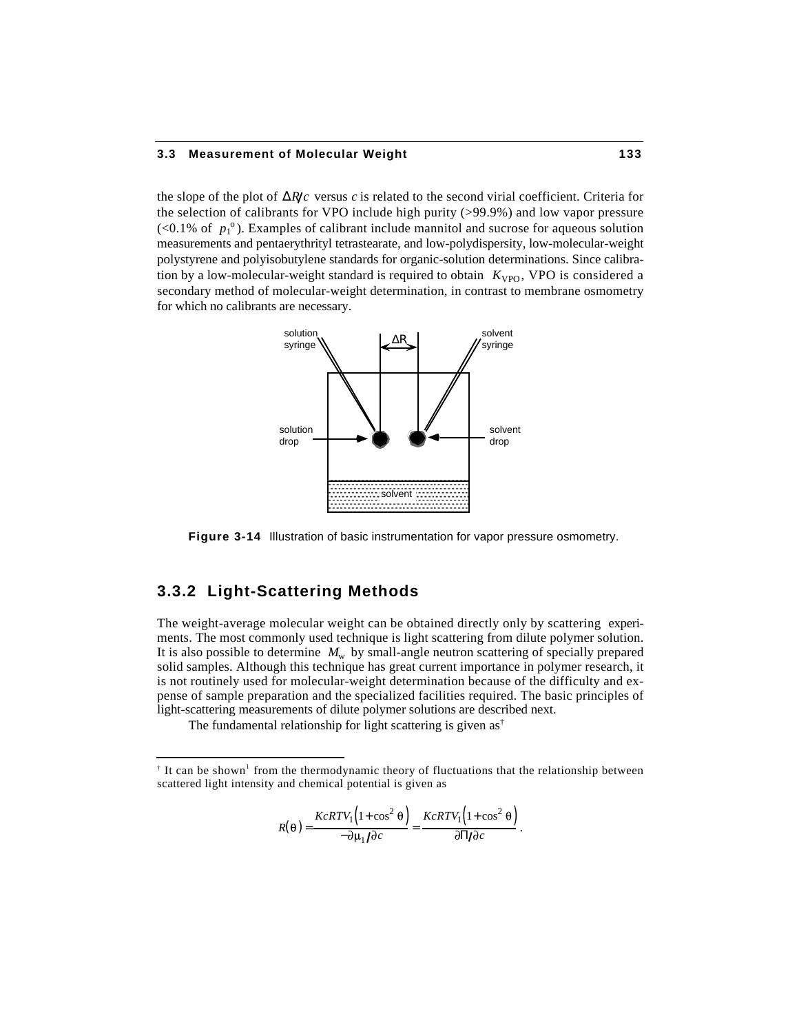#### **3.3 Measurement of Molecular Weight 133**

the slope of the plot of  $\overline{R}$  *R c* versus *c* is related to the second virial coefficient. Criteria for the selection of calibrants for VPO include high purity (>99.9%) and low vapor pressure  $\left($  <0.1% of  $p_1^{\,\text{o}}$ ). Examples of calibrant include mannitol and sucrose for aqueous solution measurements and pentaerythrityl tetrastearate, and low-polydispersity, low-molecular-weight polystyrene and polyisobutylene standards for organic-solution determinations. Since calibration by a low-molecular-weight standard is required to obtain  $K_{VPO}$ , VPO is considered a secondary method of molecular-weight determination, in contrast to membrane osmometry for which no calibrants are necessary.



**Figure 3-14** Illustration of basic instrumentation for vapor pressure osmometry.

# **3.3.2 Light-Scattering Methods**

1

The weight-average molecular weight can be obtained directly only by scattering experiments. The most commonly used technique is light scattering from dilute polymer solution. It is also possible to determine  $M_w$  by small-angle neutron scattering of specially prepared solid samples. Although this technique has great current importance in polymer research, it is not routinely used for molecular-weight determination because of the difficulty and expense of sample preparation and the specialized facilities required. The basic principles of light-scattering measurements of dilute polymer solutions are described next.

The fundamental relationship for light scattering is given as<sup>†</sup>

$$
R(\theta) = \frac{KcRTV_1(1+\cos^2\theta)}{-\partial\mu_1/\partial c} = \frac{KcRTV_1(1+\cos^2\theta)}{\partial/\partial c}.
$$

 $\dagger$  It can be shown<sup>1</sup> from the thermodynamic theory of fluctuations that the relationship between scattered light intensity and chemical potential is given as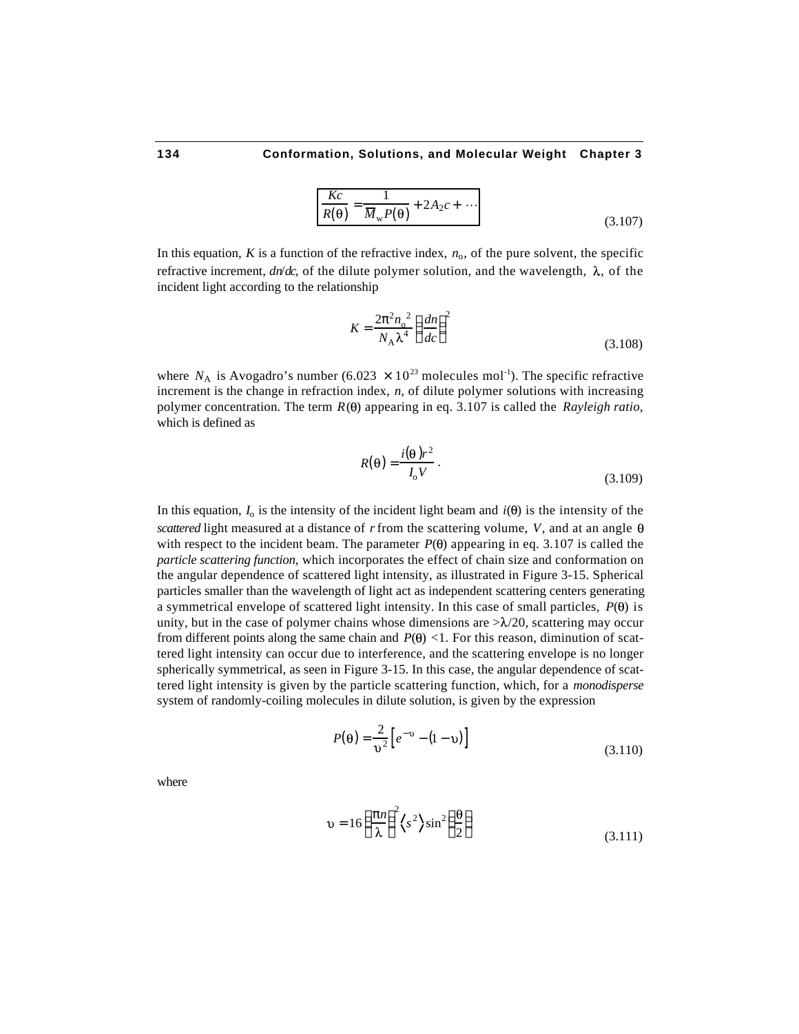$$
\frac{Kc}{R(\theta)} = \frac{1}{\overline{M}_{\rm w}P(\theta)} + 2A_2c + \cdots
$$
\n(3.107)

In this equation,  $K$  is a function of the refractive index,  $n_0$ , of the pure solvent, the specific refractive increment,  $dn/dc$ , of the dilute polymer solution, and the wavelength,  $\lambda$ , of the incident light according to the relationship

$$
K = \frac{2 \t{2} n_0^2}{N_A \lambda^4} \frac{dn}{dc}
$$
 (3.108)

where  $N_A$  is Avogadro's number (6.023  $\times$  10<sup>23</sup> molecules mol<sup>-1</sup>). The specific refractive increment is the change in refraction index, *n*, of dilute polymer solutions with increasing polymer concentration. The term  $R(\theta)$  appearing in eq. 3.107 is called the *Rayleigh ratio*, which is defined as

$$
R(\theta) = \frac{i(\theta)r^2}{I_0 V} \,. \tag{3.109}
$$

In this equation,  $I_0$  is the intensity of the incident light beam and  $i(\theta)$  is the intensity of the *scattered* light measured at a distance of *r* from the scattering volume, *V*, and at an angle with respect to the incident beam. The parameter  $P(\theta)$  appearing in eq. 3.107 is called the *particle scattering function*, which incorporates the effect of chain size and conformation on the angular dependence of scattered light intensity, as illustrated in Figure 3-15. Spherical particles smaller than the wavelength of light act as independent scattering centers generating a symmetrical envelope of scattered light intensity. In this case of small particles,  $P(\theta)$  is unity, but in the case of polymer chains whose dimensions are  $\lambda/20$ , scattering may occur from different points along the same chain and  $P(\theta)$  <1. For this reason, diminution of scattered light intensity can occur due to interference, and the scattering envelope is no longer spherically symmetrical, as seen in Figure 3-15. In this case, the angular dependence of scattered light intensity is given by the particle scattering function, which, for a *monodisperse* system of randomly-coiling molecules in dilute solution, is given by the expression

$$
P(\theta) = \frac{2}{v^2} \left[ e^{-v} - (1 - v) \right]
$$
\n(3.110)

where

$$
\upsilon = 16 \frac{n}{\lambda}^{2} \left\langle s^{2} \right\rangle \sin^{2} \frac{\theta}{2}
$$
 (3.111)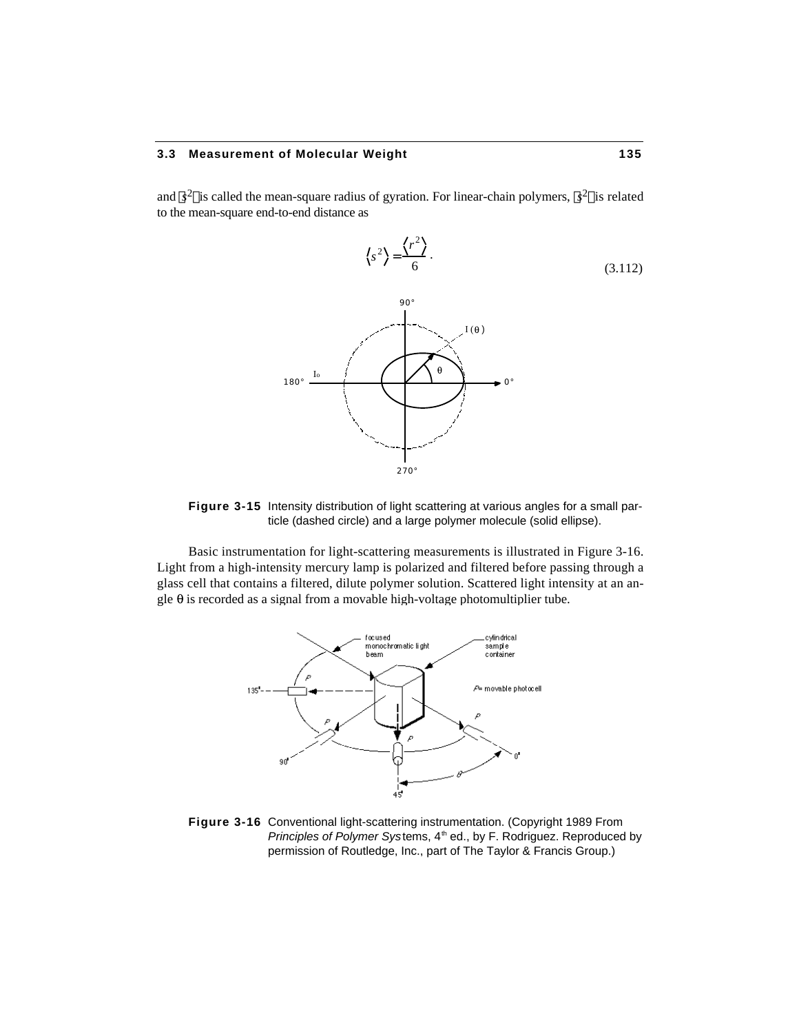#### **3.3 Measurement of Molecular Weight 135**

and  $s^2$  is called the mean-square radius of gyration. For linear-chain polymers,  $s^2$  is related to the mean-square end-to-end distance as



**Figure 3-15** Intensity distribution of light scattering at various angles for a small particle (dashed circle) and a large polymer molecule (solid ellipse).

Basic instrumentation for light-scattering measurements is illustrated in Figure 3-16. Light from a high-intensity mercury lamp is polarized and filtered before passing through a glass cell that contains a filtered, dilute polymer solution. Scattered light intensity at an angle  $\theta$  is recorded as a signal from a movable high-voltage photomultiplier tube.



**Figure 3-16** Conventional light-scattering instrumentation. (Copyright 1989 From *Principles of Polymer Systems, 4<sup>th</sup> ed., by F. Rodriguez. Reproduced by* permission of Routledge, Inc., part of The Taylor & Francis Group.)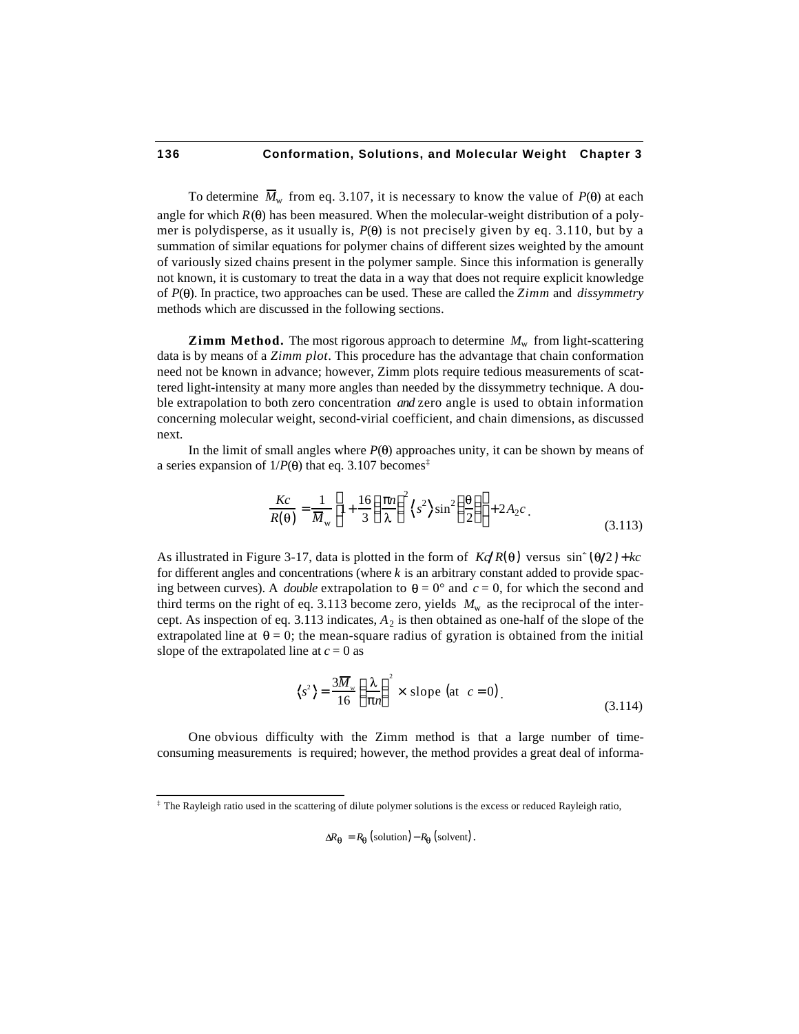To determine  $\overline{M}_{\text{w}}$  from eq. 3.107, it is necessary to know the value of  $P(\theta)$  at each angle for which  $R(\theta)$  has been measured. When the molecular-weight distribution of a polymer is polydisperse, as it usually is,  $P(\theta)$  is not precisely given by eq. 3.110, but by a summation of similar equations for polymer chains of different sizes weighted by the amount of variously sized chains present in the polymer sample. Since this information is generally not known, it is customary to treat the data in a way that does not require explicit knowledge of *P*( ). In practice, two approaches can be used. These are called the *Zimm* and *dissymmetry* methods which are discussed in the following sections.

**Zimm Method.** The most rigorous approach to determine  $M_w$  from light-scattering data is by means of a *Zimm plot*. This procedure has the advantage that chain conformation need not be known in advance; however, Zimm plots require tedious measurements of scattered light-intensity at many more angles than needed by the dissymmetry technique. A double extrapolation to both zero concentration *and* zero angle is used to obtain information concerning molecular weight, second-virial coefficient, and chain dimensions, as discussed next.

In the limit of small angles where  $P(\theta)$  approaches unity, it can be shown by means of a series expansion of  $1/P(\theta)$  that eq. 3.107 becomes<sup>‡</sup>

$$
\frac{Kc}{R(\theta)} = \frac{1}{\overline{M}_{\rm w}} \left(1 + \frac{16}{3} \frac{n}{\lambda}^2 \left\langle s^2 \right\rangle \sin^2 \frac{\theta}{2} + 2A_2 c \right).
$$
\n(3.113)

As illustrated in Figure 3-17, data is plotted in the form of  $K\sqrt{R(\theta)}$  versus  $\sin^2(\theta/2) + kc$ for different angles and concentrations (where *k* is an arbitrary constant added to provide spacing between curves). A *double* extrapolation to  $\theta = 0^{\circ}$  and  $c = 0$ , for which the second and third terms on the right of eq. 3.113 become zero, yields  $M_w$  as the reciprocal of the intercept. As inspection of eq.  $3.113$  indicates,  $A_2$  is then obtained as one-half of the slope of the extrapolated line at  $\theta = 0$ ; the mean-square radius of gyration is obtained from the initial slope of the extrapolated line at  $c = 0$  as

$$
\langle s^2 \rangle = \frac{3\overline{M}_{\rm w}}{16} \frac{\lambda}{n}^2 \times \text{slope (at } c = 0)
$$
 (3.114)

One obvious difficulty with the Zimm method is that a large number of timeconsuming measurements is required; however, the method provides a great deal of informa-

 $\Delta R_{\Theta} = R_{\Theta}$  (solution) –  $R_{\Theta}$  (solvent).

 ‡ The Rayleigh ratio used in the scattering of dilute polymer solutions is the excess or reduced Rayleigh ratio,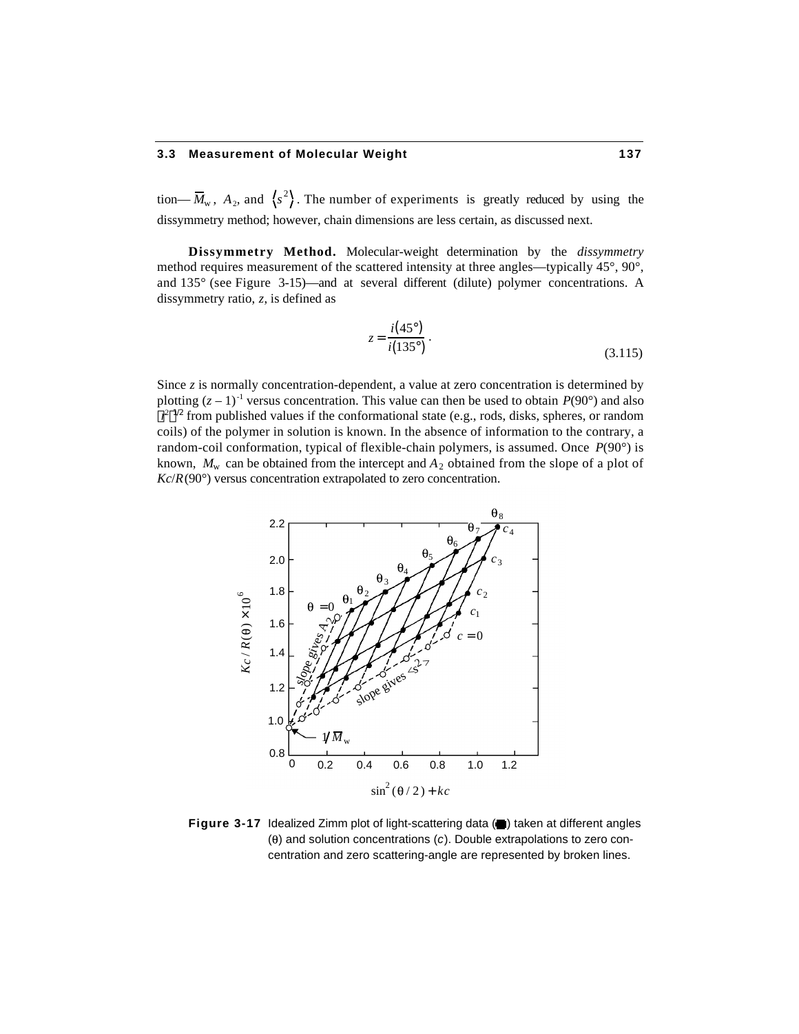#### **3.3 Measurement of Molecular Weight 137**

tion—  $\overline{M}_{w}$ ,  $A_2$ , and  $\langle s^2 \rangle$ . The number of experiments is greatly reduced by using the dissymmetry method; however, chain dimensions are less certain, as discussed next.

**Dissymmetry Method.** Molecular-weight determination by the *dissymmetry* method requires measurement of the scattered intensity at three angles—typically 45°, 90°, and 135° (see Figure 3-15)—and at several different (dilute) polymer concentrations. A dissymmetry ratio, *z*, is defined as

$$
z = \frac{i(45^{\circ})}{i(135^{\circ})} \,. \tag{3.115}
$$

Since *z* is normally concentration-dependent, a value at zero concentration is determined by plotting  $(z - 1)^{-1}$  versus concentration. This value can then be used to obtain  $P(90^{\circ})$  and also  $r^2$ <sup>1/2</sup> from published values if the conformational state (e.g., rods, disks, spheres, or random coils) of the polymer in solution is known. In the absence of information to the contrary, a random-coil conformation, typical of flexible-chain polymers, is assumed. Once *P*(90°) is known,  $M_{\rm w}$  can be obtained from the intercept and  $A_2$  obtained from the slope of a plot of *Kc*/*R*(90°) versus concentration extrapolated to zero concentration.



**Figure 3-17** Idealized Zimm plot of light-scattering data (a) taken at different angles ( ) and solution concentrations (*c*). Double extrapolations to zero concentration and zero scattering-angle are represented by broken lines.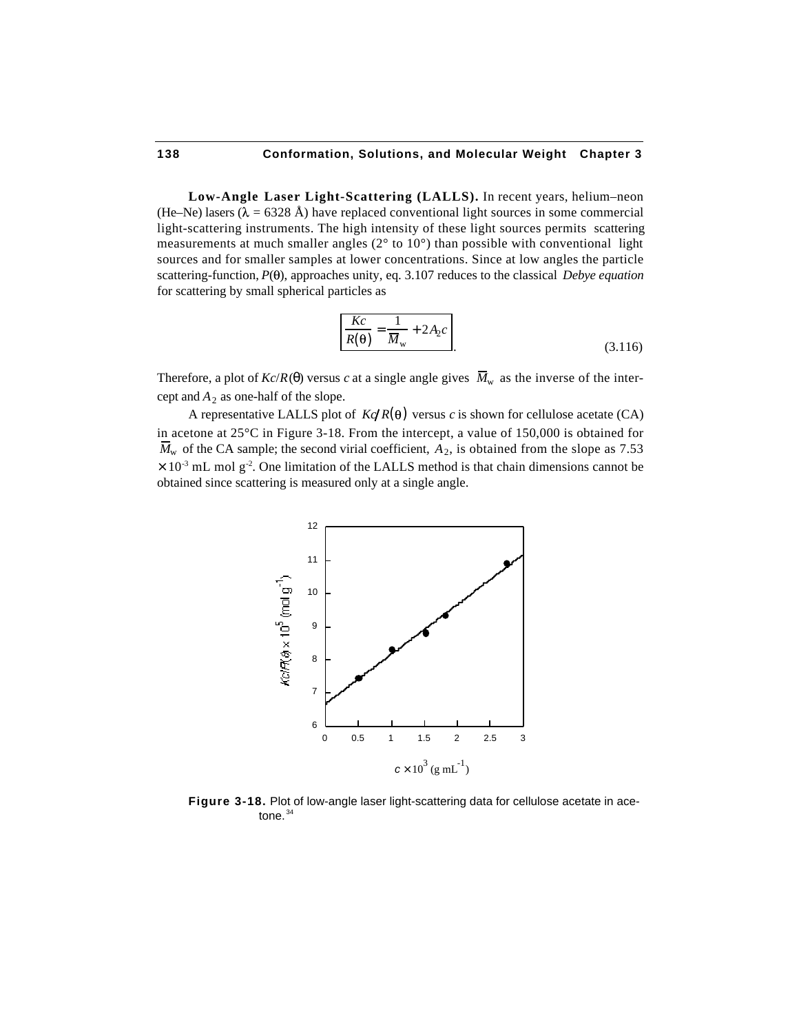**Low-Angle Laser Light-Scattering (LALLS).** In recent years, helium–neon (He–Ne) lasers ( $\lambda = 6328 \text{ Å}$ ) have replaced conventional light sources in some commercial light-scattering instruments. The high intensity of these light sources permits scattering measurements at much smaller angles  $(2^{\circ}$  to  $10^{\circ})$  than possible with conventional light sources and for smaller samples at lower concentrations. Since at low angles the particle scattering-function,  $P(\theta)$ , approaches unity, eq. 3.107 reduces to the classical *Debye equation* for scattering by small spherical particles as

$$
\frac{Kc}{R(\theta)} = \frac{1}{M_{\rm w}} + 2A_2c
$$
\n(3.116)

Therefore, a plot of  $Kc/R$ ( ) versus *c* at a single angle gives  $\overline{M}_w$  as the inverse of the intercept and  $A_2$  as one-half of the slope.

A representative LALLS plot of  $K\phi R(\theta)$  versus *c* is shown for cellulose acetate (CA) in acetone at 25°C in Figure 3-18. From the intercept, a value of 150,000 is obtained for  $M_{\rm w}$  of the CA sample; the second virial coefficient,  $A_2$ , is obtained from the slope as 7.53  $\times$  10<sup>-3</sup> mL mol g<sup>-2</sup>. One limitation of the LALLS method is that chain dimensions cannot be obtained since scattering is measured only at a single angle.



**Figure 3-18.** Plot of low-angle laser light-scattering data for cellulose acetate in acetone. $34$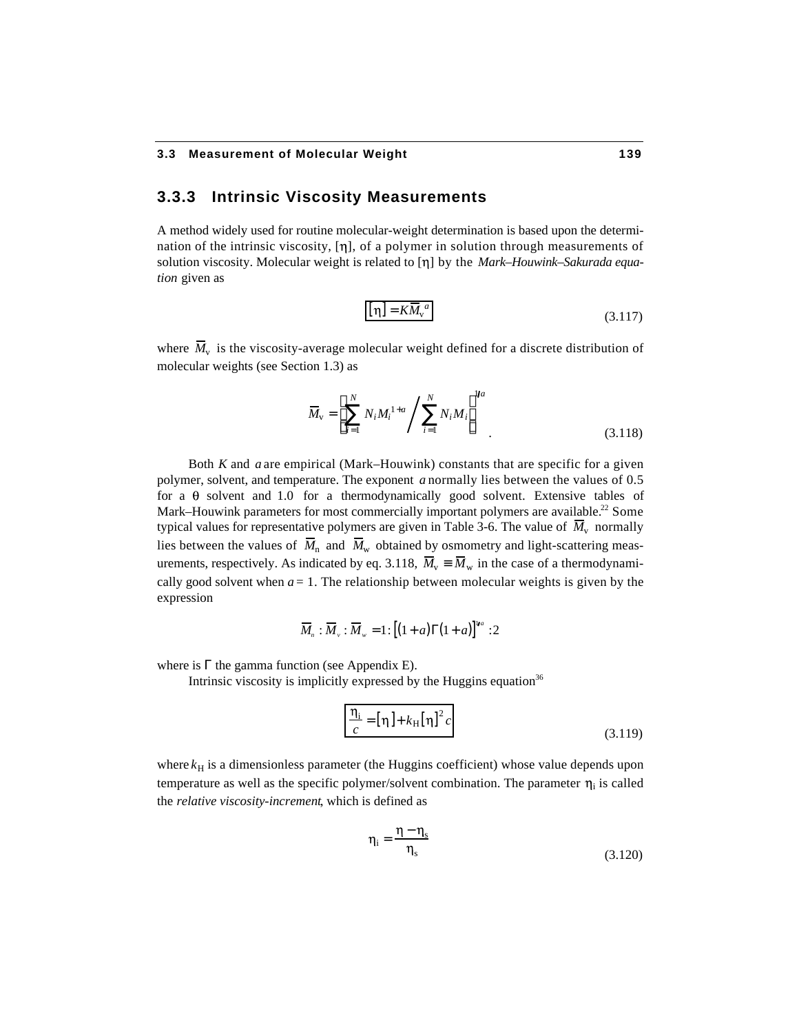## **3.3.3 Intrinsic Viscosity Measurements**

A method widely used for routine molecular-weight determination is based upon the determination of the intrinsic viscosity,  $[\eta]$ , of a polymer in solution through measurements of solution viscosity. Molecular weight is related to [ $\eta$ ] by the *Mark–Houwink–Sakurada equation* given as

$$
\left[\eta\right] = K\overline{M}_{\nu}^{\ a} \tag{3.117}
$$

where  $M_{\rm v}$  is the viscosity-average molecular weight defined for a discrete distribution of molecular weights (see Section 1.3) as

$$
\overline{M}_{\rm v} = \sum_{i=1}^{N} N_i M_i^{1+a} / \sum_{i=1}^{N} N_i M_i^{1+a}
$$
\n(3.118)

Both *K* and *a* are empirical (Mark–Houwink) constants that are specific for a given polymer, solvent, and temperature. The exponent *a* normally lies between the values of 0.5 for a  $\theta$  solvent and 1.0 for a thermodynamically good solvent. Extensive tables of Mark–Houwink parameters for most commercially important polymers are available.<sup>22</sup> Some typical values for representative polymers are given in Table 3-6. The value of  $M_{\rm v}$  normally lies between the values of  $\overline{M}_n$  and  $\overline{M}_w$  obtained by osmometry and light-scattering measurements, respectively. As indicated by eq. 3.118,  $\overline{M}_{v}$   $\overline{M}_{w}$  in the case of a thermodynamically good solvent when  $a = 1$ . The relationship between molecular weights is given by the expression

$$
\overline{M}_n : \overline{M}_v : \overline{M}_w = 1 : \left[ \begin{pmatrix} 1 + a \end{pmatrix} \begin{pmatrix} 1 + a \end{pmatrix} \right]^{1/a} : 2
$$

where is the gamma function (see Appendix E).

Intrinsic viscosity is implicitly expressed by the Huggins equation<sup>36</sup>

$$
\frac{\eta_{i}}{c} = [\eta] + k_{\text{H}}[\eta]^{2} c \tag{3.119}
$$

where  $k<sub>H</sub>$  is a dimensionless parameter (the Huggins coefficient) whose value depends upon temperature as well as the specific polymer/solvent combination. The parameter  $\eta_i$  is called the *relative viscosity-increment*, which is defined as

$$
\eta_i = \frac{\eta - \eta_s}{\eta_s} \tag{3.120}
$$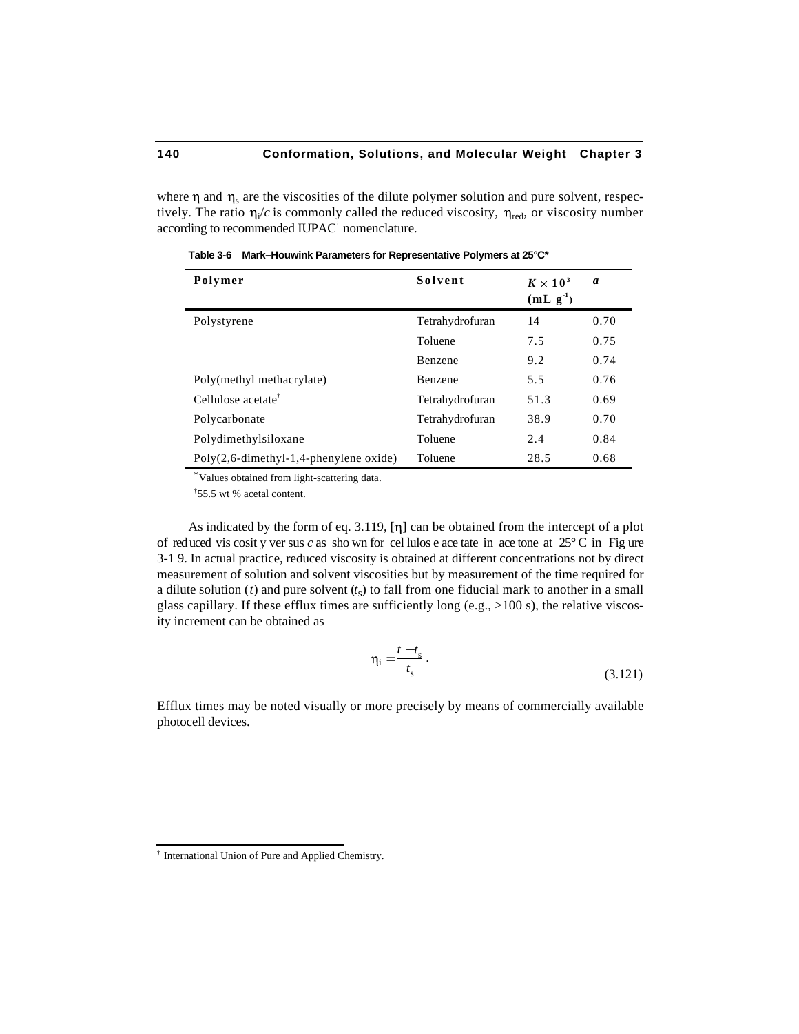where  $\eta$  and  $\eta_s$  are the viscosities of the dilute polymer solution and pure solvent, respectively. The ratio  $\eta_i/c$  is commonly called the reduced viscosity,  $\eta_{\text{red}}$ , or viscosity number according to recommended IUPAC<sup>†</sup> nomenclature.

| Polymer                                                | Solvent         | $K \times 10^3$<br>$(mL g-1)$ | a    |
|--------------------------------------------------------|-----------------|-------------------------------|------|
| Polystyrene                                            | Tetrahydrofuran | 14                            | 0.70 |
|                                                        | Toluene         | 7.5                           | 0.75 |
|                                                        | Benzene         | 9.2                           | 0.74 |
| Poly(methyl methacrylate)                              | Benzene         | 5.5                           | 0.76 |
| Cellulose acetate <sup>†</sup>                         | Tetrahydrofuran | 51.3                          | 0.69 |
| Polycarbonate                                          | Tetrahydrofuran | 38.9                          | 0.70 |
| Polydimethylsiloxane                                   | Toluene         | 2.4                           | 0.84 |
| $Poly(2,6\text{-dimethyl-1},4\text{-phenylene oxide})$ | Toluene         | 28.5                          | 0.68 |

**Table 3-6 Mark–Houwink Parameters for Representative Polymers at 25°C\***

\*Values obtained from light-scattering data.

†55.5 wt % acetal content.

As indicated by the form of eq. 3.119,  $[\eta]$  can be obtained from the intercept of a plot of red uced vis cosit y ver sus *c* as sho wn for cel lulos e ace tate in ace tone at 25° C in Fig ure 3-1 9. In actual practice, reduced viscosity is obtained at different concentrations not by direct measurement of solution and solvent viscosities but by measurement of the time required for a dilute solution  $(t)$  and pure solvent  $(t<sub>s</sub>)$  to fall from one fiducial mark to another in a small glass capillary. If these efflux times are sufficiently long (e.g.,  $>100$  s), the relative viscosity increment can be obtained as

$$
\eta_i = \frac{t - t_s}{t_s} \,. \tag{3.121}
$$

Efflux times may be noted visually or more precisely by means of commercially available photocell devices.

 † International Union of Pure and Applied Chemistry.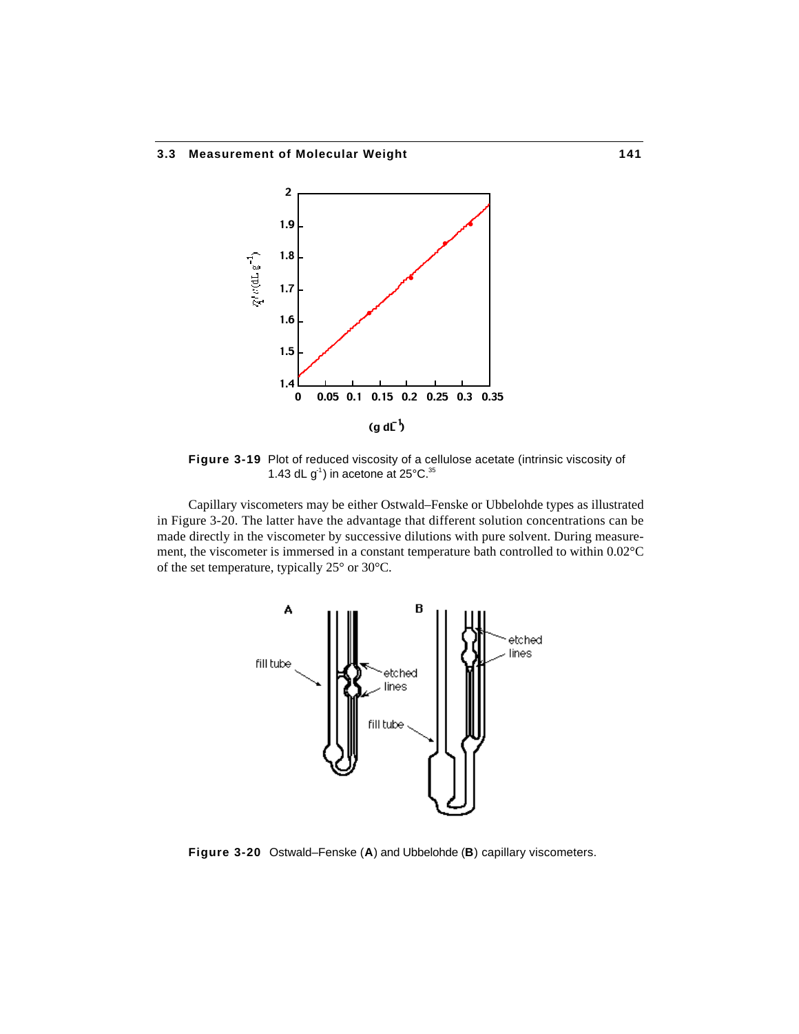

**Figure 3-19** Plot of reduced viscosity of a cellulose acetate (intrinsic viscosity of 1.43 dL  $g^1$ ) in acetone at 25 $^{\circ}$ C.<sup>35</sup>

Capillary viscometers may be either Ostwald–Fenske or Ubbelohde types as illustrated in Figure 3-20. The latter have the advantage that different solution concentrations can be made directly in the viscometer by successive dilutions with pure solvent. During measurement, the viscometer is immersed in a constant temperature bath controlled to within 0.02°C of the set temperature, typically 25° or 30°C.



**Figure 3-20** Ostwald–Fenske (**A**) and Ubbelohde (**B**) capillary viscometers.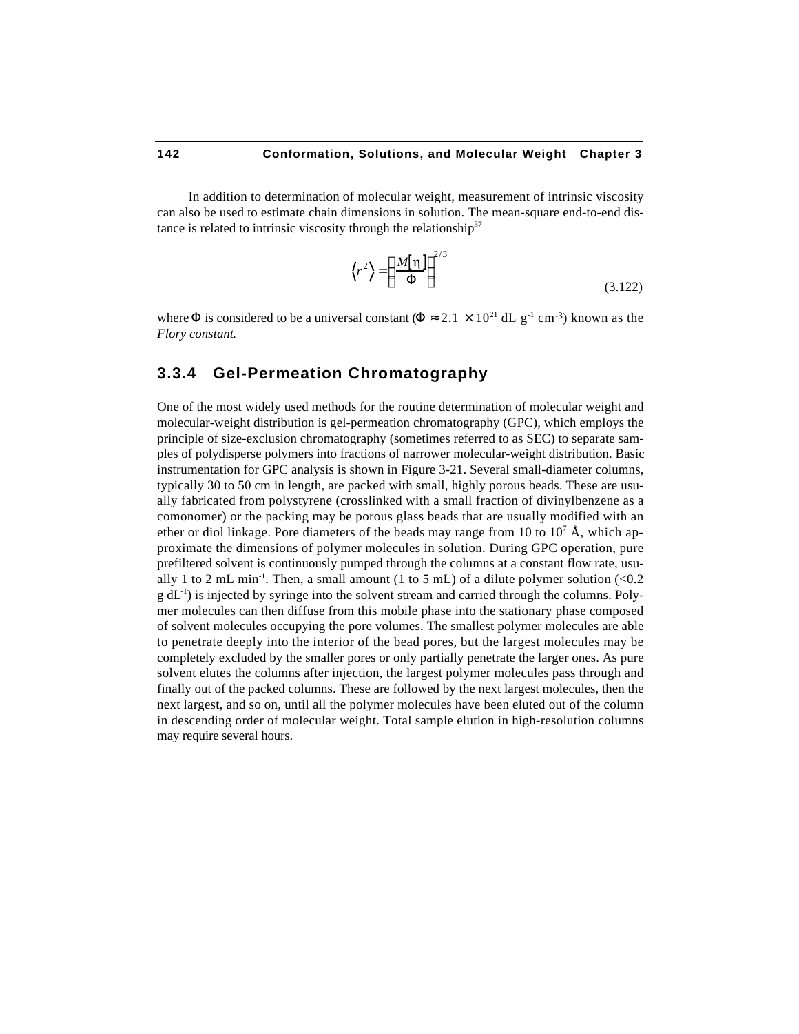In addition to determination of molecular weight, measurement of intrinsic viscosity can also be used to estimate chain dimensions in solution. The mean-square end-to-end distance is related to intrinsic viscosity through the relationship<sup>37</sup>

$$
\langle r^2 \rangle = \frac{M[\eta]}{2/3} \tag{3.122}
$$

where is considered to be a universal constant ( $2.1 \times 10^{21}$  dL g<sup>-1</sup> cm<sup>-3</sup>) known as the *Flory constant*.

# **3.3.4 Gel-Permeation Chromatography**

One of the most widely used methods for the routine determination of molecular weight and molecular-weight distribution is gel-permeation chromatography (GPC), which employs the principle of size-exclusion chromatography (sometimes referred to as SEC) to separate samples of polydisperse polymers into fractions of narrower molecular-weight distribution. Basic instrumentation for GPC analysis is shown in Figure 3-21. Several small-diameter columns, typically 30 to 50 cm in length, are packed with small, highly porous beads. These are usually fabricated from polystyrene (crosslinked with a small fraction of divinylbenzene as a comonomer) or the packing may be porous glass beads that are usually modified with an ether or diol linkage. Pore diameters of the beads may range from 10 to  $10^7 \text{ Å}$ , which approximate the dimensions of polymer molecules in solution. During GPC operation, pure prefiltered solvent is continuously pumped through the columns at a constant flow rate, usually 1 to 2 mL min<sup>-1</sup>. Then, a small amount (1 to 5 mL) of a dilute polymer solution  $\langle$ <0.2  $g$  dL<sup>-1</sup>) is injected by syringe into the solvent stream and carried through the columns. Polymer molecules can then diffuse from this mobile phase into the stationary phase composed of solvent molecules occupying the pore volumes. The smallest polymer molecules are able to penetrate deeply into the interior of the bead pores, but the largest molecules may be completely excluded by the smaller pores or only partially penetrate the larger ones. As pure solvent elutes the columns after injection, the largest polymer molecules pass through and finally out of the packed columns. These are followed by the next largest molecules, then the next largest, and so on, until all the polymer molecules have been eluted out of the column in descending order of molecular weight. Total sample elution in high-resolution columns may require several hours.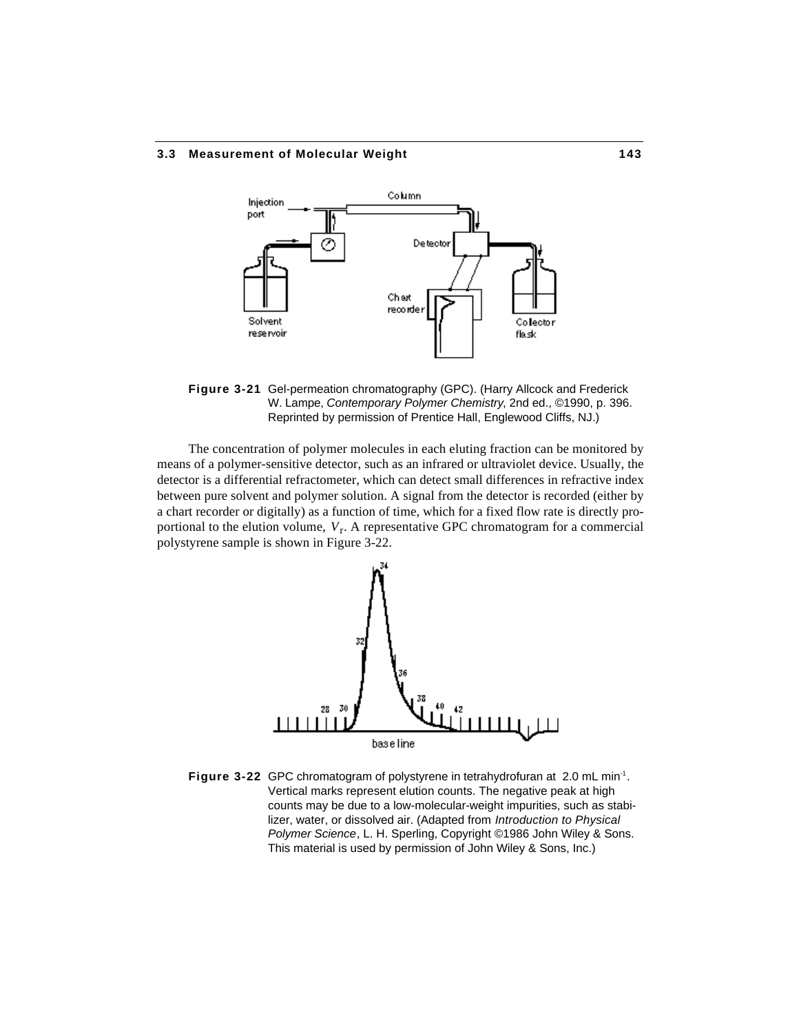#### **3.3 Measurement of Molecular Weight 143**



**Figure 3-21** Gel-permeation chromatography (GPC). (Harry Allcock and Frederick W. Lampe, *Contemporary Polymer Chemistry*, 2nd ed., ©1990, p. 396. Reprinted by permission of Prentice Hall, Englewood Cliffs, NJ.)

The concentration of polymer molecules in each eluting fraction can be monitored by means of a polymer-sensitive detector, such as an infrared or ultraviolet device. Usually, the detector is a differential refractometer, which can detect small differences in refractive index between pure solvent and polymer solution. A signal from the detector is recorded (either by a chart recorder or digitally) as a function of time, which for a fixed flow rate is directly proportional to the elution volume,  $V_r$ . A representative GPC chromatogram for a commercial polystyrene sample is shown in Figure 3-22.



Figure 3-22 GPC chromatogram of polystyrene in tetrahydrofuran at 2.0 mL min<sup>-1</sup>. Vertical marks represent elution counts. The negative peak at high counts may be due to a low-molecular-weight impurities, such as stabilizer, water, or dissolved air. (Adapted from *Introduction to Physical Polymer Science*, L. H. Sperling, Copyright ©1986 John Wiley & Sons. This material is used by permission of John Wiley & Sons, Inc.)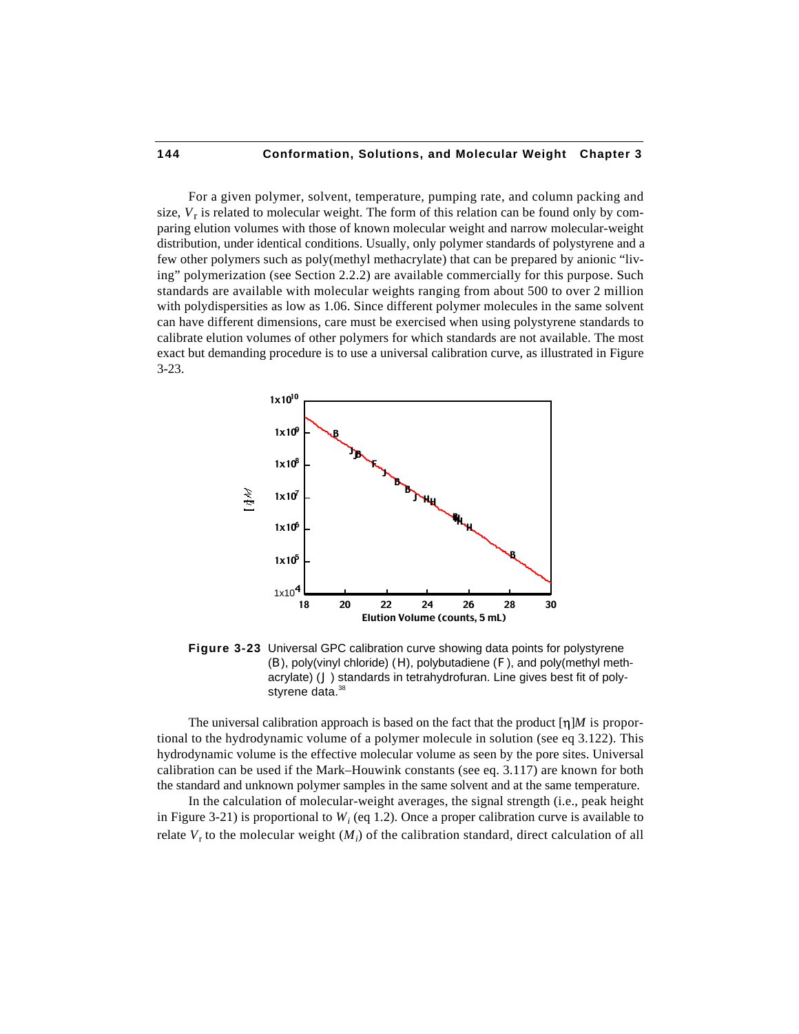For a given polymer, solvent, temperature, pumping rate, and column packing and size, *V*<sup>r</sup> is related to molecular weight. The form of this relation can be found only by comparing elution volumes with those of known molecular weight and narrow molecular-weight distribution, under identical conditions. Usually, only polymer standards of polystyrene and a few other polymers such as poly(methyl methacrylate) that can be prepared by anionic "living" polymerization (see Section 2.2.2) are available commercially for this purpose. Such standards are available with molecular weights ranging from about 500 to over 2 million with polydispersities as low as 1.06. Since different polymer molecules in the same solvent can have different dimensions, care must be exercised when using polystyrene standards to calibrate elution volumes of other polymers for which standards are not available. The most exact but demanding procedure is to use a universal calibration curve, as illustrated in Figure 3-23.



**Figure 3-23** Universal GPC calibration curve showing data points for polystyrene (B), poly(vinyl chloride) (H), polybutadiene (F), and poly(methyl methacrylate) (J) standards in tetrahydrofuran. Line gives best fit of polystyrene data.<sup>38</sup>

The universal calibration approach is based on the fact that the product  $[\eta]M$  is proportional to the hydrodynamic volume of a polymer molecule in solution (see eq 3.122). This hydrodynamic volume is the effective molecular volume as seen by the pore sites. Universal calibration can be used if the Mark–Houwink constants (see eq. 3.117) are known for both the standard and unknown polymer samples in the same solvent and at the same temperature.

In the calculation of molecular-weight averages, the signal strength (i.e., peak height in Figure 3-21) is proportional to  $W_i$  (eq 1.2). Once a proper calibration curve is available to relate  $V_r$  to the molecular weight  $(M_i)$  of the calibration standard, direct calculation of all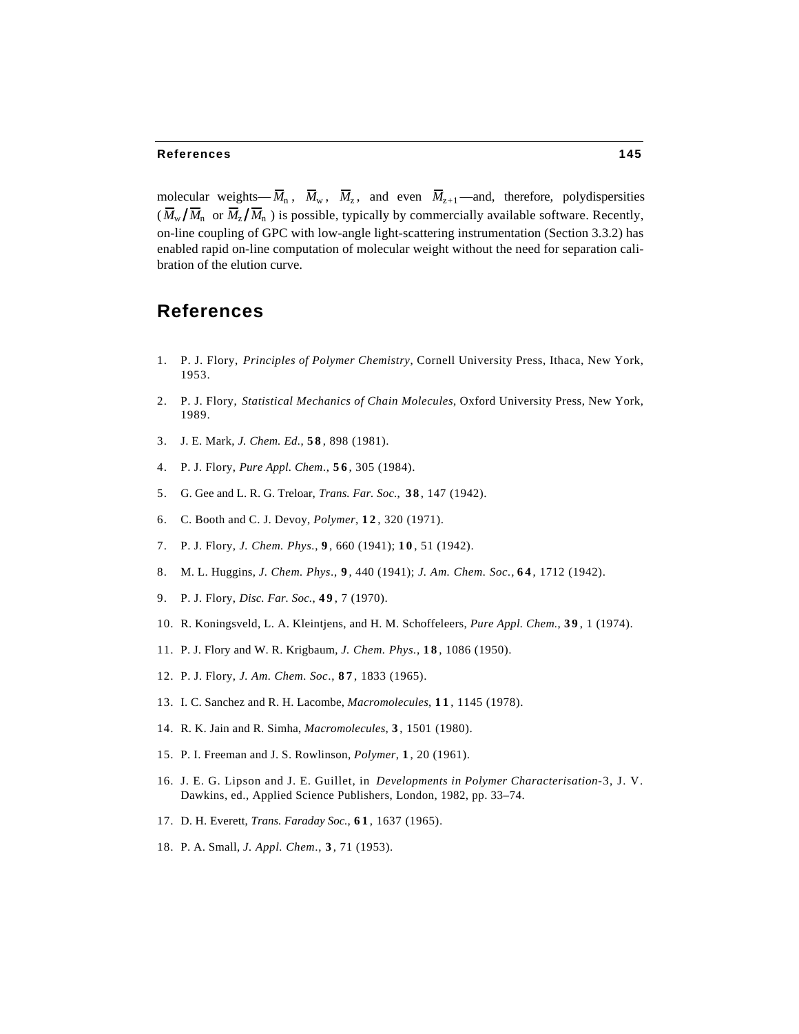molecular weights— $\overline{M}_n$ ,  $\overline{M}_w$ ,  $\overline{M}_z$ , and even  $\overline{M}_{z+1}$ —and, therefore, polydispersities  $(M_w/M_n \text{ or } M_z/M_n)$  is possible, typically by commercially available software. Recently, on-line coupling of GPC with low-angle light-scattering instrumentation (Section 3.3.2) has enabled rapid on-line computation of molecular weight without the need for separation calibration of the elution curve.

# **References**

- 1. P. J. Flory, *Principles of Polymer Chemistry*, Cornell University Press, Ithaca, New York, 1953.
- 2. P. J. Flory, *Statistical Mechanics of Chain Molecules*, Oxford University Press, New York, 1989.
- 3. J. E. Mark, *J. Chem. Ed.*, **5 8** , 898 (1981).
- 4. P. J. Flory, *Pure Appl. Chem*., **5 6** , 305 (1984).
- 5. G. Gee and L. R. G. Treloar, *Trans. Far. Soc.*, **38** , 147 (1942).
- 6. C. Booth and C. J. Devoy, *Polymer*, **1 2** , 320 (1971).
- 7. P. J. Flory, *J. Chem. Phys.*, **9** , 660 (1941); **1 0** , 51 (1942).
- 8. M. L. Huggins, *J. Chem. Phys*., **9** , 440 (1941); *J. Am. Chem. Soc.,* **6 4** , 1712 (1942).
- 9. P. J. Flory, *Disc. Far. Soc.*, **4 9** , 7 (1970).
- 10. R. Koningsveld, L. A. Kleintjens, and H. M. Schoffeleers, *Pure Appl. Chem.*, **3 9** , 1 (1974).
- 11. P. J. Flory and W. R. Krigbaum, *J. Chem. Phys.*, **1 8** , 1086 (1950).
- 12. P. J. Flory, *J. Am. Chem. Soc*., **8 7** , 1833 (1965).
- 13. I. C. Sanchez and R. H. Lacombe, *Macromolecules*, **1 1** , 1145 (1978).
- 14. R. K. Jain and R. Simha, *Macromolecules*, **3** , 1501 (1980).
- 15. P. I. Freeman and J. S. Rowlinson, *Polymer*, **1** , 20 (1961).
- 16. J. E. G. Lipson and J. E. Guillet, in *Developments in Polymer Characterisation*-3, J. V. Dawkins, ed., Applied Science Publishers, London, 1982, pp. 33–74.
- 17. D. H. Everett, *Trans. Faraday Soc.*, **6 1** , 1637 (1965).
- 18. P. A. Small, *J. Appl. Chem*., **3** , 71 (1953).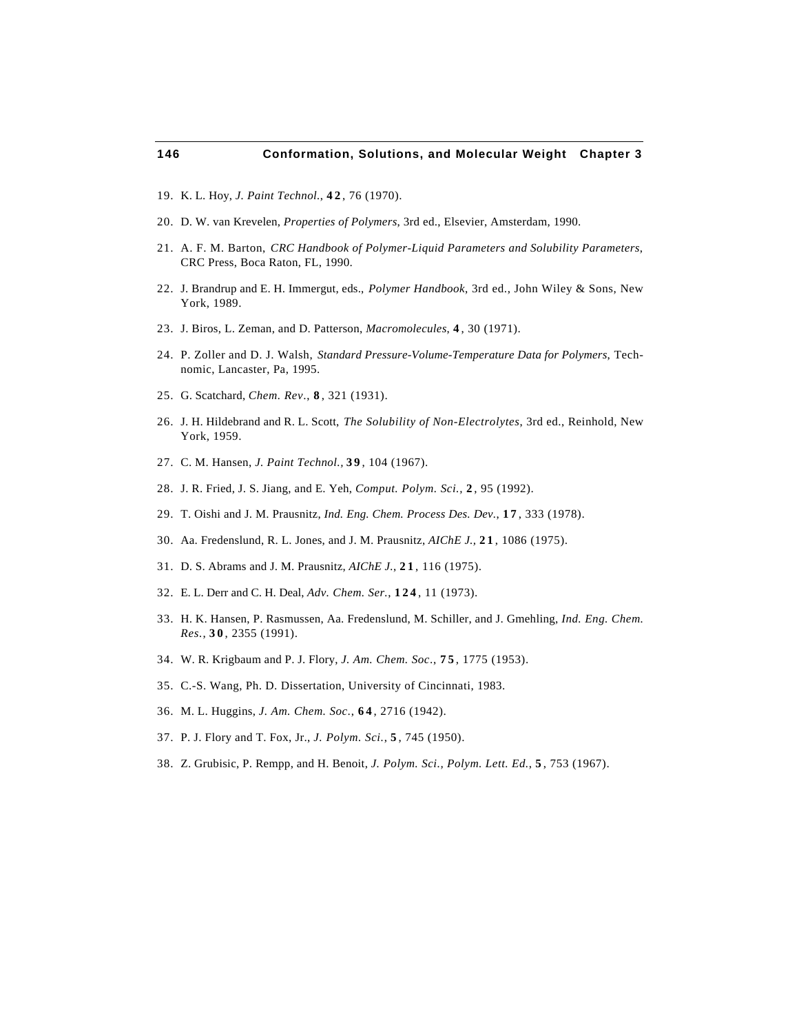- 19. K. L. Hoy, *J. Paint Technol.*, **4 2** , 76 (1970).
- 20. D. W. van Krevelen, *Properties of Polymers*, 3rd ed., Elsevier, Amsterdam, 1990.
- 21. A. F. M. Barton, *CRC Handbook of Polymer-Liquid Parameters and Solubility Parameters*, CRC Press, Boca Raton, FL, 1990.
- 22. J. Brandrup and E. H. Immergut, eds., *Polymer Handbook*, 3rd ed., John Wiley & Sons, New York, 1989.
- 23. J. Biros, L. Zeman, and D. Patterson, *Macromolecules*, **4** , 30 (1971).
- 24. P. Zoller and D. J. Walsh, *Standard Pressure-Volume-Temperature Data for Polymers*, Technomic, Lancaster, Pa, 1995.
- 25. G. Scatchard, *Chem. Rev*., **8** , 321 (1931).
- 26. J. H. Hildebrand and R. L. Scott, *The Solubility of Non-Electrolytes*, 3rd ed., Reinhold, New York, 1959.
- 27. C. M. Hansen, *J. Paint Technol.,* **3 9** , 104 (1967).
- 28. J. R. Fried, J. S. Jiang, and E. Yeh, *Comput. Polym. Sci.,* **2** , 95 (1992).
- 29. T. Oishi and J. M. Prausnitz, *Ind. Eng. Chem. Process Des. Dev.*, **1 7** , 333 (1978).
- 30. Aa. Fredenslund, R. L. Jones, and J. M. Prausnitz, *AIChE J.,* **2 1** , 1086 (1975).
- 31. D. S. Abrams and J. M. Prausnitz, *AIChE J.*, **2 1** , 116 (1975).
- 32. E. L. Derr and C. H. Deal, *Adv. Chem. Ser.*, **124** , 11 (1973).
- 33. H. K. Hansen, P. Rasmussen, Aa. Fredenslund, M. Schiller, and J. Gmehling, *Ind. Eng. Chem. Res.*, **3 0** , 2355 (1991).
- 34. W. R. Krigbaum and P. J. Flory, *J. Am. Chem. Soc*., **7 5** , 1775 (1953).
- 35. C.-S. Wang, Ph. D. Dissertation, University of Cincinnati, 1983.
- 36. M. L. Huggins, *J. Am. Chem. Soc*., **6 4** , 2716 (1942).
- 37. P. J. Flory and T. Fox, Jr., *J. Polym. Sci.*, **5** , 745 (1950).
- 38. Z. Grubisic, P. Rempp, and H. Benoit, *J. Polym. Sci., Polym. Lett. Ed.*, **5** , 753 (1967).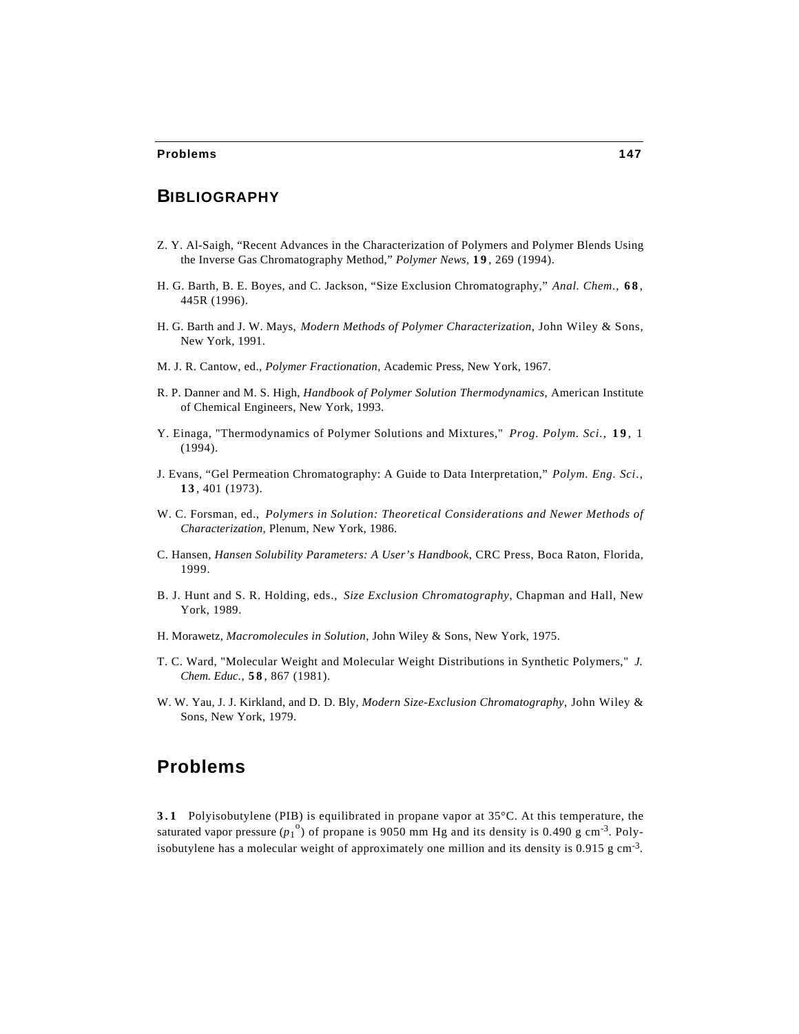# **BIBLIOGRAPHY**

- Z. Y. Al-Saigh, "Recent Advances in the Characterization of Polymers and Polymer Blends Using the Inverse Gas Chromatography Method," *Polymer News*, **1 9** , 269 (1994).
- H. G. Barth, B. E. Boyes, and C. Jackson, "Size Exclusion Chromatography," *Anal. Chem*., **6 8** , 445R (1996).
- H. G. Barth and J. W. Mays, *Modern Methods of Polymer Characterization*, John Wiley & Sons, New York, 1991.
- M. J. R. Cantow, ed., *Polymer Fractionation*, Academic Press, New York, 1967.
- R. P. Danner and M. S. High, *Handbook of Polymer Solution Thermodynamics*, American Institute of Chemical Engineers, New York, 1993.
- Y. Einaga, "Thermodynamics of Polymer Solutions and Mixtures," *Prog. Polym. Sci.*, **1 9** , 1 (1994).
- J. Evans, "Gel Permeation Chromatography: A Guide to Data Interpretation," *Polym. Eng. Sci*., **1 3** , 401 (1973).
- W. C. Forsman, ed., *Polymers in Solution: Theoretical Considerations and Newer Methods of Characterization*, Plenum, New York, 1986.
- C. Hansen, *Hansen Solubility Parameters: A User's Handbook*, CRC Press, Boca Raton, Florida, 1999.
- B. J. Hunt and S. R. Holding, eds., *Size Exclusion Chromatography*, Chapman and Hall, New York, 1989.
- H. Morawetz, *Macromolecules in Solution*, John Wiley & Sons, New York, 1975.
- T. C. Ward, "Molecular Weight and Molecular Weight Distributions in Synthetic Polymers," *J. Chem. Educ*., **5 8** , 867 (1981).
- W. W. Yau, J. J. Kirkland, and D. D. Bly, *Modern Size-Exclusion Chromatography*, John Wiley & Sons, New York, 1979.

# **Problems**

**3.1** Polyisobutylene (PIB) is equilibrated in propane vapor at 35°C. At this temperature, the saturated vapor pressure  $(p_1^{\circ})$  of propane is 9050 mm Hg and its density is 0.490 g cm<sup>-3</sup>. Polyisobutylene has a molecular weight of approximately one million and its density is  $0.915$  g cm<sup>-3</sup>.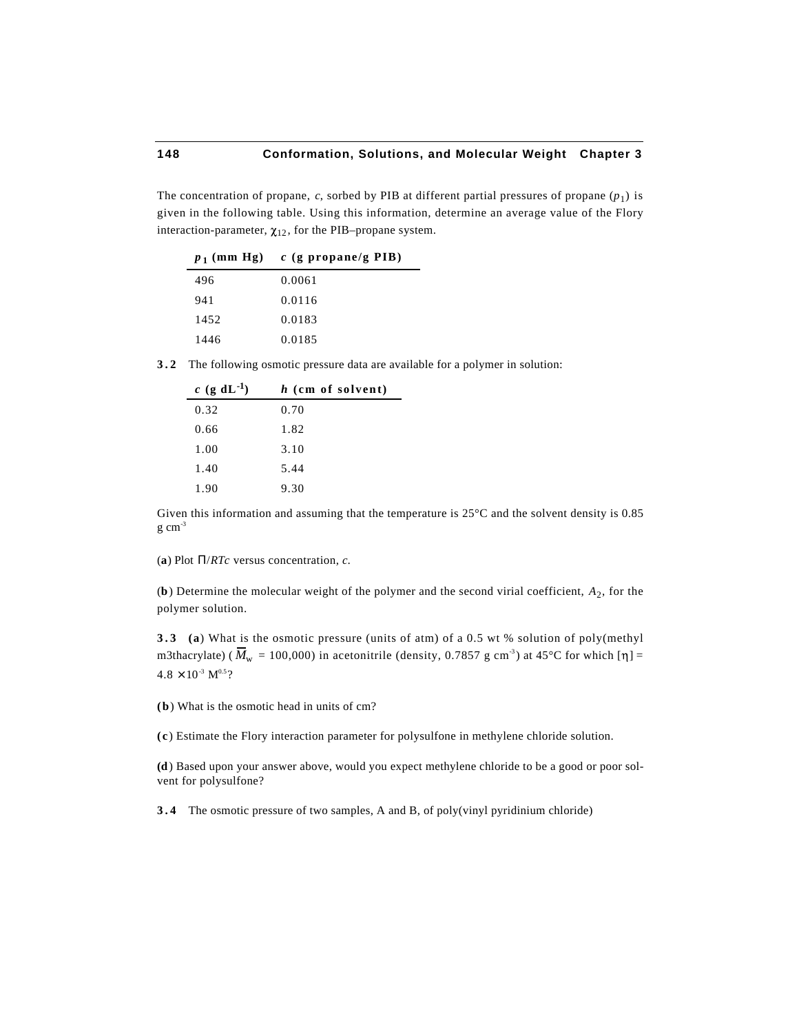The concentration of propane,  $c$ , sorbed by PIB at different partial pressures of propane  $(p_1)$  is given in the following table. Using this information, determine an average value of the Flory interaction-parameter,  $\chi_{12}$ , for the PIB–propane system.

|      | $p_1$ (mm Hg) c (g propane/g PIB) |
|------|-----------------------------------|
| 496  | 0.0061                            |
| 941  | 0.0116                            |
| 1452 | 0.0183                            |
| 1446 | 0.0185                            |

**3.2** The following osmotic pressure data are available for a polymer in solution:

| c (g dL <sup>-1</sup> ) | h (cm of solvent) |
|-------------------------|-------------------|
| 0.32                    | 0.70              |
| 0.66                    | 1.82              |
| 1.00                    | 3.10              |
| 1.40                    | 5.44              |
| 1.90                    | 9.30              |

Given this information and assuming that the temperature is 25°C and the solvent density is 0.85  $g \text{ cm}^{-3}$ 

(**a**) Plot /*RTc* versus concentration, *c*.

(**b**) Determine the molecular weight of the polymer and the second virial coefficient, *A*<sup>2</sup> , for the polymer solution.

**3.3 (a**) What is the osmotic pressure (units of atm) of a 0.5 wt % solution of poly(methyl m3thacrylate) ( $\overline{M}_{w}$  = 100,000) in acetonitrile (density, 0.7857 g cm<sup>-3</sup>) at 45°C for which [ $\eta$ ] =  $4.8 \times 10^{-3}$  M<sup>0.5</sup>?

**(b**) What is the osmotic head in units of cm?

**(c** ) Estimate the Flory interaction parameter for polysulfone in methylene chloride solution.

**(d**) Based upon your answer above, would you expect methylene chloride to be a good or poor solvent for polysulfone?

**3.4** The osmotic pressure of two samples, A and B, of poly(vinyl pyridinium chloride)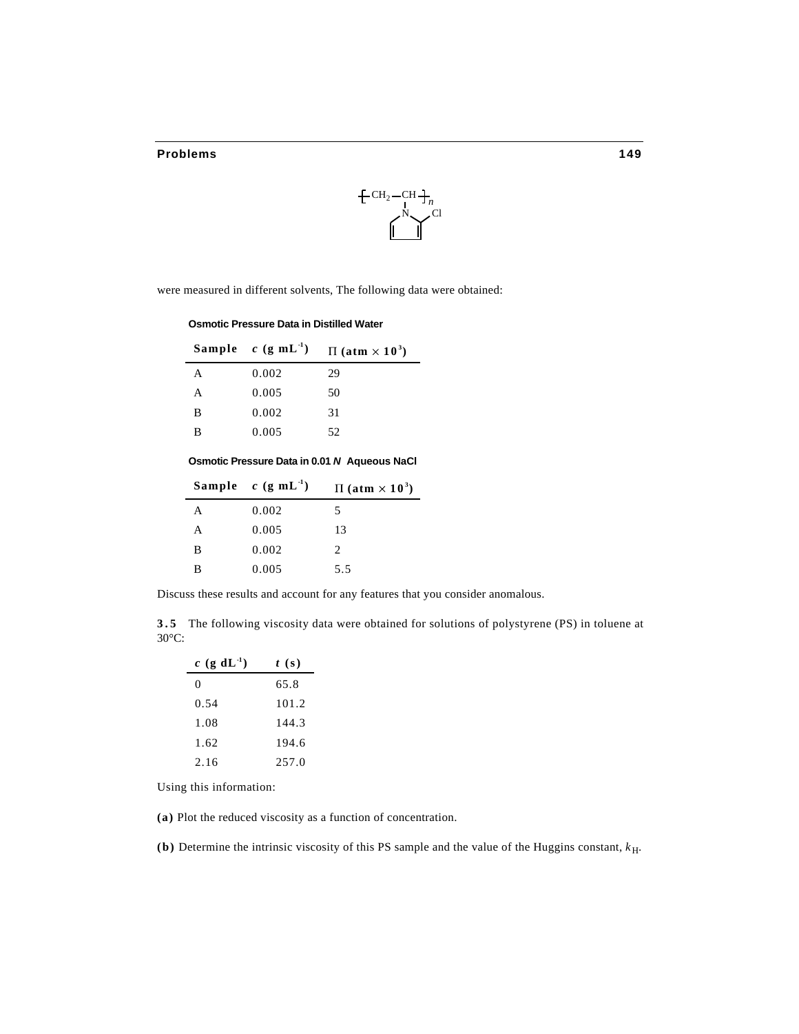#### **Problems 149**



were measured in different solvents, The following data were obtained:

**Osmotic Pressure Data in Distilled Water**

|   | Sample $c$ (g mL <sup>-1</sup> ) | $\Pi$ (atm $\times$ 10 <sup>3</sup> ) |
|---|----------------------------------|---------------------------------------|
| A | 0.002                            | 29                                    |
| A | 0.005                            | 50                                    |
| B | 0.002                            | 31                                    |
| B | 0.005                            | 52                                    |

**Osmotic Pressure Data in 0.01** *N* **Aqueous NaCl**

|   | Sample $c$ (g mL <sup>-1</sup> ) | $\Pi$ (atm $\times$ 10 <sup>3</sup> ) |
|---|----------------------------------|---------------------------------------|
| A | 0.002                            | 5                                     |
| A | 0.005                            | 13                                    |
| B | 0.002                            | $\mathfrak{D}_{\cdot}$                |
| в | 0.005                            | 5.5                                   |

Discuss these results and account for any features that you consider anomalous.

**3.5** The following viscosity data were obtained for solutions of polystyrene (PS) in toluene at 30°C:

| $c$ (g dL <sup>-1</sup> ) | t(s)  |
|---------------------------|-------|
| 0                         | 65.8  |
| 0.54                      | 101.2 |
| 1.08                      | 144.3 |
| 1.62                      | 194.6 |
| 2.16                      | 257.0 |

Using this information:

**(a)** Plot the reduced viscosity as a function of concentration.

**(b)** Determine the intrinsic viscosity of this PS sample and the value of the Huggins constant, *k*H.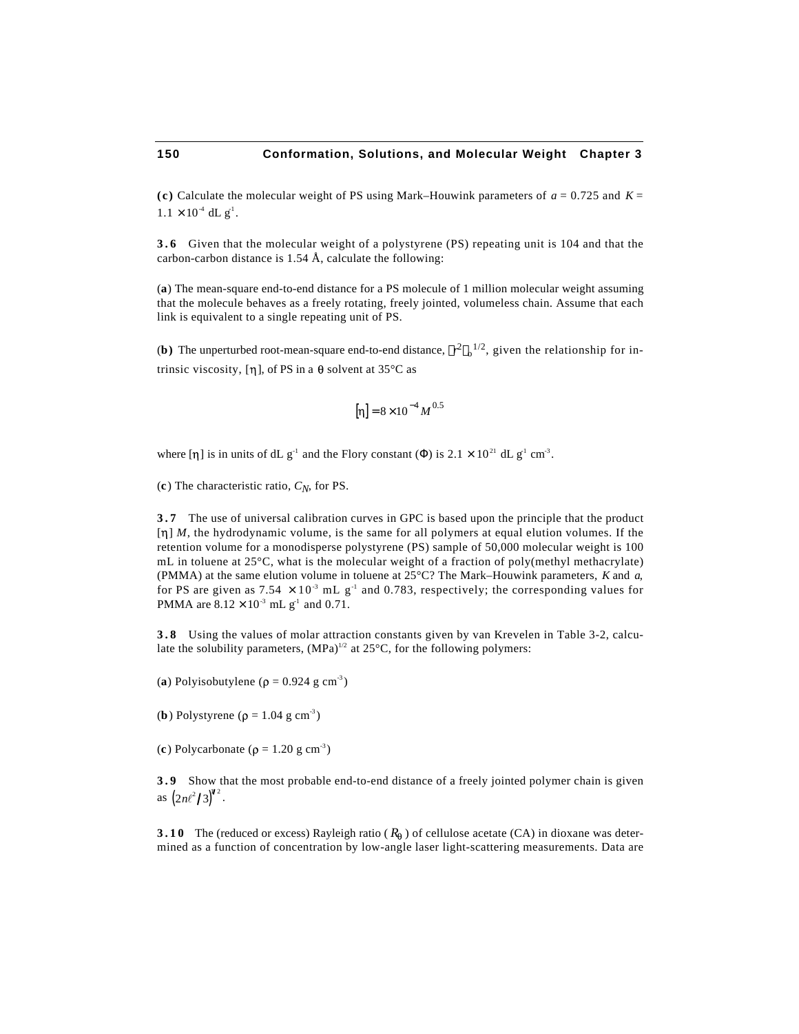**(c)** Calculate the molecular weight of PS using Mark–Houwink parameters of *a* = 0.725 and *K* =  $1.1 \times 10^{-4}$  dL g<sup>-1</sup>.

**3.6** Given that the molecular weight of a polystyrene (PS) repeating unit is 104 and that the carbon-carbon distance is 1.54 Å, calculate the following:

(**a**) The mean-square end-to-end distance for a PS molecule of 1 million molecular weight assuming that the molecule behaves as a freely rotating, freely jointed, volumeless chain. Assume that each link is equivalent to a single repeating unit of PS.

**(b)** The unperturbed root-mean-square end-to-end distance,  $r^2 \frac{1}{2}$ , given the relationship for intrinsic viscosity, [n], of PS in a  $\theta$  solvent at 35°C as

$$
[\eta] = 8 \times 10^{-4} M^{0.5}
$$

where [ $\eta$ ] is in units of dL g<sup>-1</sup> and the Flory constant () is 2.1  $\times$  10<sup>21</sup> dL g<sup>-1</sup> cm<sup>-3</sup>.

(**c** ) The characteristic ratio, *CN*, for PS.

**3.7** The use of universal calibration curves in GPC is based upon the principle that the product [n] *M*, the hydrodynamic volume, is the same for all polymers at equal elution volumes. If the retention volume for a monodisperse polystyrene (PS) sample of 50,000 molecular weight is 100 mL in toluene at 25°C, what is the molecular weight of a fraction of poly(methyl methacrylate) (PMMA) at the same elution volume in toluene at 25°C? The Mark–Houwink parameters, *K* and *a*, for PS are given as  $7.54 \times 10^{-3}$  mL g<sup>-1</sup> and 0.783, respectively; the corresponding values for PMMA are  $8.12 \times 10^{-3}$  mL g<sup>-1</sup> and 0.71.

**3.8** Using the values of molar attraction constants given by van Krevelen in Table 3-2, calculate the solubility parameters,  $(MPa)^{1/2}$  at 25°C, for the following polymers:

(a) Polyisobutylene  $(\rho = 0.924 \text{ g cm}^{-3})$ 

(**b**) Polystyrene ( $\rho = 1.04$  g cm<sup>-3</sup>)

(c) Polycarbonate ( $\rho = 1.20$  g cm<sup>-3</sup>)

**3.9** Show that the most probable end-to-end distance of a freely jointed polymer chain is given as  $(2n\ell^2/3)^{4/2}$ .

**3.10** The (reduced or excess) Rayleigh ratio ( $R_{\theta}$ ) of cellulose acetate (CA) in dioxane was determined as a function of concentration by low-angle laser light-scattering measurements. Data are